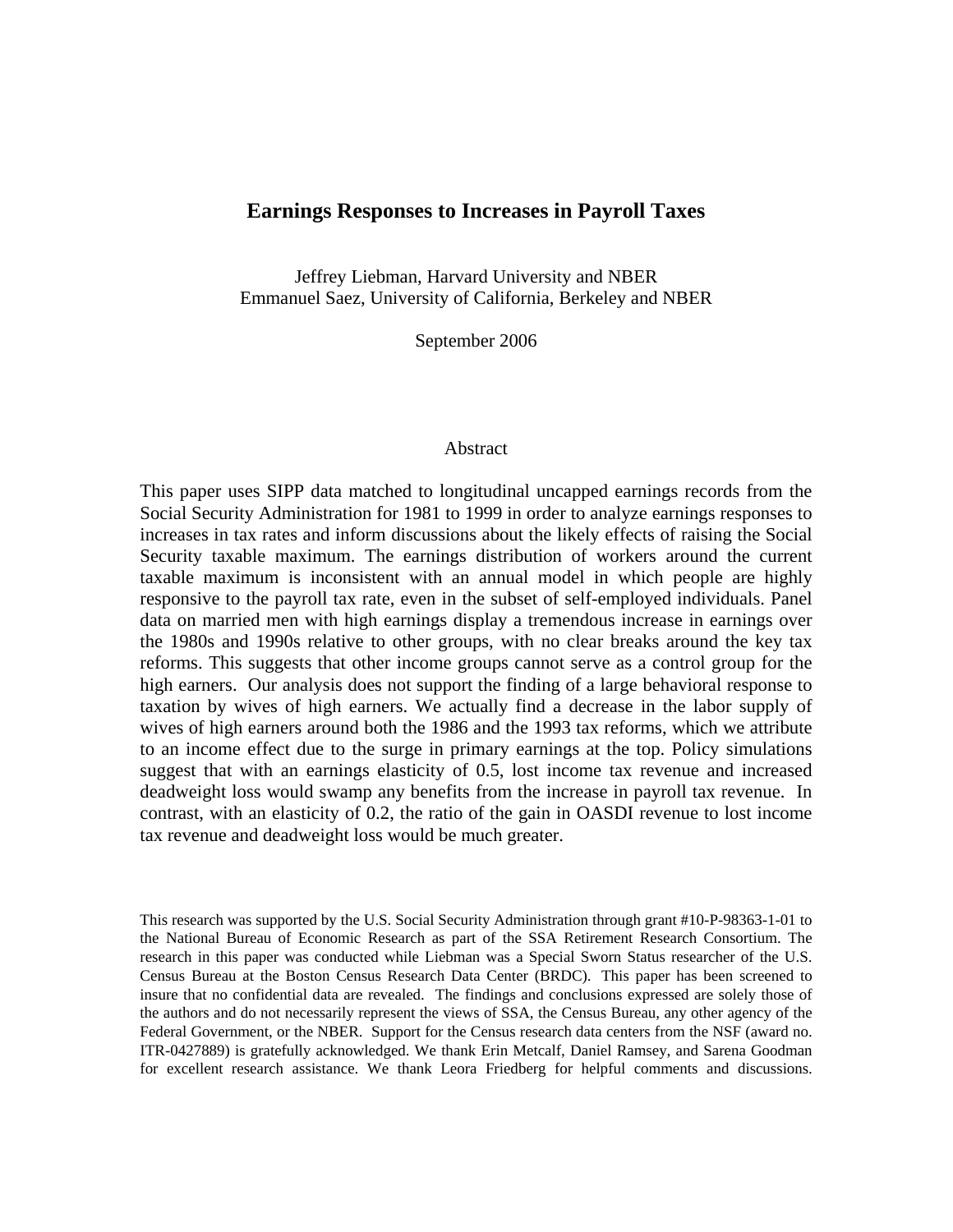# **Earnings Responses to Increases in Payroll Taxes**

Jeffrey Liebman, Harvard University and NBER Emmanuel Saez, University of California, Berkeley and NBER

September 2006

#### Abstract

This paper uses SIPP data matched to longitudinal uncapped earnings records from the Social Security Administration for 1981 to 1999 in order to analyze earnings responses to increases in tax rates and inform discussions about the likely effects of raising the Social Security taxable maximum. The earnings distribution of workers around the current taxable maximum is inconsistent with an annual model in which people are highly responsive to the payroll tax rate, even in the subset of self-employed individuals. Panel data on married men with high earnings display a tremendous increase in earnings over the 1980s and 1990s relative to other groups, with no clear breaks around the key tax reforms. This suggests that other income groups cannot serve as a control group for the high earners. Our analysis does not support the finding of a large behavioral response to taxation by wives of high earners. We actually find a decrease in the labor supply of wives of high earners around both the 1986 and the 1993 tax reforms, which we attribute to an income effect due to the surge in primary earnings at the top. Policy simulations suggest that with an earnings elasticity of 0.5, lost income tax revenue and increased deadweight loss would swamp any benefits from the increase in payroll tax revenue. In contrast, with an elasticity of 0.2, the ratio of the gain in OASDI revenue to lost income tax revenue and deadweight loss would be much greater.

This research was supported by the U.S. Social Security Administration through grant #10-P-98363-1-01 to the National Bureau of Economic Research as part of the SSA Retirement Research Consortium. The research in this paper was conducted while Liebman was a Special Sworn Status researcher of the U.S. Census Bureau at the Boston Census Research Data Center (BRDC). This paper has been screened to insure that no confidential data are revealed. The findings and conclusions expressed are solely those of the authors and do not necessarily represent the views of SSA, the Census Bureau, any other agency of the Federal Government, or the NBER. Support for the Census research data centers from the NSF (award no. ITR-0427889) is gratefully acknowledged. We thank Erin Metcalf, Daniel Ramsey, and Sarena Goodman for excellent research assistance. We thank Leora Friedberg for helpful comments and discussions.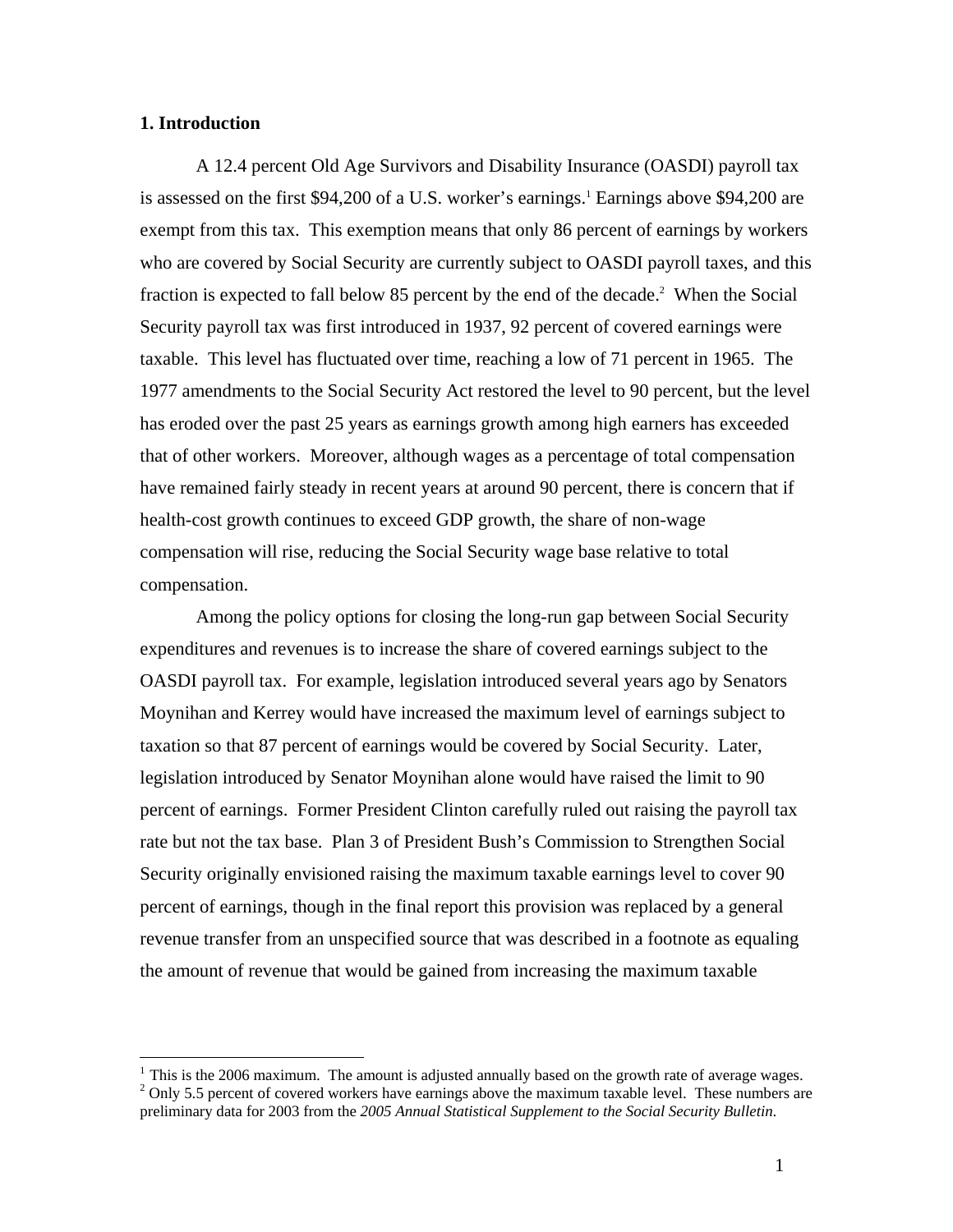# **1. Introduction**

 $\overline{a}$ 

A 12.4 percent Old Age Survivors and Disability Insurance (OASDI) payroll tax is assessed on the first \$94,200 of a U.S. worker's earnings.<sup>1</sup> Earnings above \$94,200 are exempt from this tax. This exemption means that only 86 percent of earnings by workers who are covered by Social Security are currently subject to OASDI payroll taxes, and this fraction is expected to fall below 85 percent by the end of the decade.<sup>2</sup> When the Social Security payroll tax was first introduced in 1937, 92 percent of covered earnings were taxable. This level has fluctuated over time, reaching a low of 71 percent in 1965. The 1977 amendments to the Social Security Act restored the level to 90 percent, but the level has eroded over the past 25 years as earnings growth among high earners has exceeded that of other workers. Moreover, although wages as a percentage of total compensation have remained fairly steady in recent years at around 90 percent, there is concern that if health-cost growth continues to exceed GDP growth, the share of non-wage compensation will rise, reducing the Social Security wage base relative to total compensation.

Among the policy options for closing the long-run gap between Social Security expenditures and revenues is to increase the share of covered earnings subject to the OASDI payroll tax. For example, legislation introduced several years ago by Senators Moynihan and Kerrey would have increased the maximum level of earnings subject to taxation so that 87 percent of earnings would be covered by Social Security. Later, legislation introduced by Senator Moynihan alone would have raised the limit to 90 percent of earnings. Former President Clinton carefully ruled out raising the payroll tax rate but not the tax base. Plan 3 of President Bush's Commission to Strengthen Social Security originally envisioned raising the maximum taxable earnings level to cover 90 percent of earnings, though in the final report this provision was replaced by a general revenue transfer from an unspecified source that was described in a footnote as equaling the amount of revenue that would be gained from increasing the maximum taxable

<sup>&</sup>lt;sup>1</sup> This is the 2006 maximum. The amount is adjusted annually based on the growth rate of average wages.  $2$  Only 5.5 percent of covered workers have earnings above the maximum taxable level. These numbers are preliminary data for 2003 from the *2005 Annual Statistical Supplement to the Social Security Bulletin*.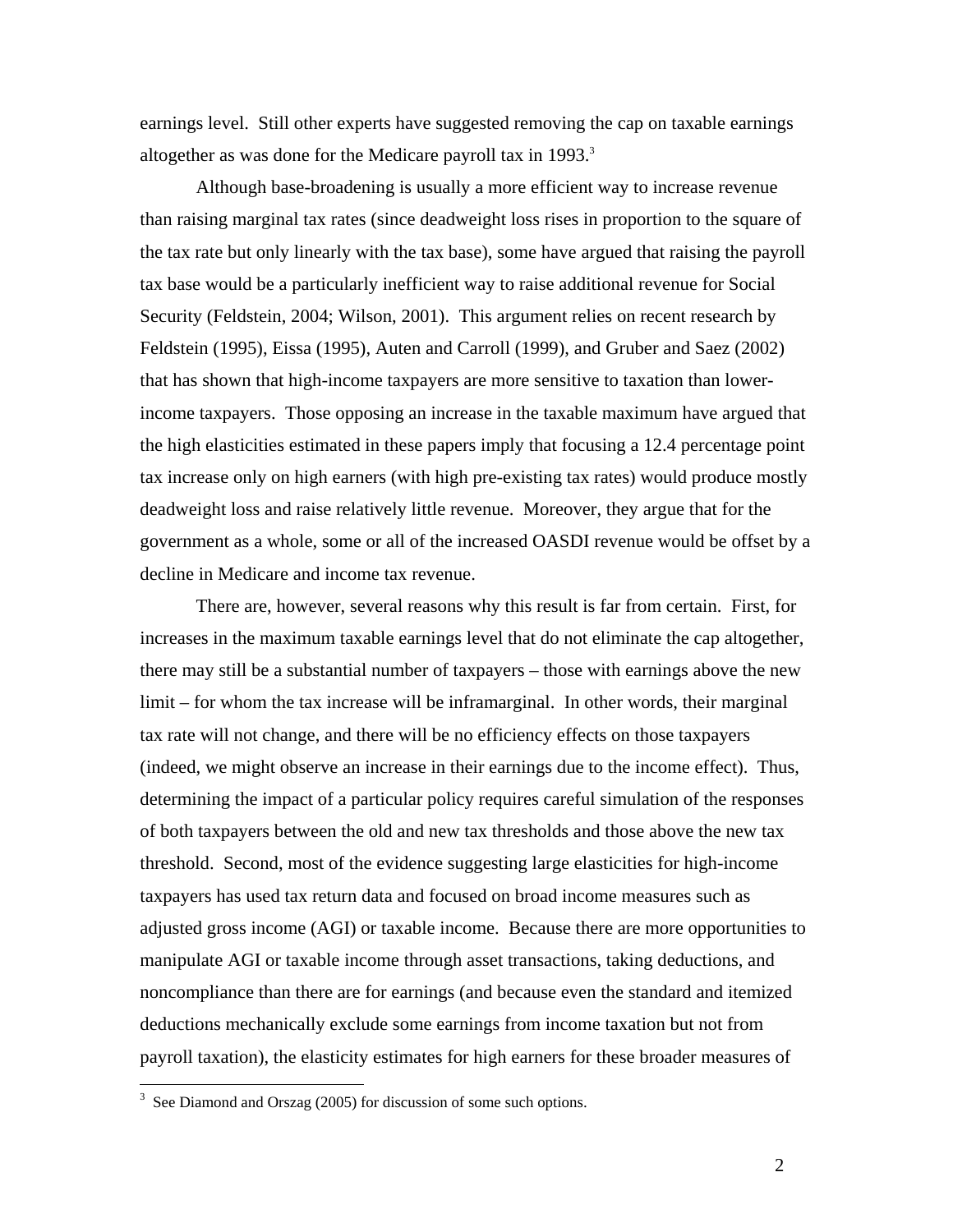earnings level. Still other experts have suggested removing the cap on taxable earnings altogether as was done for the Medicare payroll tax in 1993.<sup>3</sup>

Although base-broadening is usually a more efficient way to increase revenue than raising marginal tax rates (since deadweight loss rises in proportion to the square of the tax rate but only linearly with the tax base), some have argued that raising the payroll tax base would be a particularly inefficient way to raise additional revenue for Social Security (Feldstein, 2004; Wilson, 2001). This argument relies on recent research by Feldstein (1995), Eissa (1995), Auten and Carroll (1999), and Gruber and Saez (2002) that has shown that high-income taxpayers are more sensitive to taxation than lowerincome taxpayers. Those opposing an increase in the taxable maximum have argued that the high elasticities estimated in these papers imply that focusing a 12.4 percentage point tax increase only on high earners (with high pre-existing tax rates) would produce mostly deadweight loss and raise relatively little revenue. Moreover, they argue that for the government as a whole, some or all of the increased OASDI revenue would be offset by a decline in Medicare and income tax revenue.

There are, however, several reasons why this result is far from certain. First, for increases in the maximum taxable earnings level that do not eliminate the cap altogether, there may still be a substantial number of taxpayers – those with earnings above the new limit – for whom the tax increase will be inframarginal. In other words, their marginal tax rate will not change, and there will be no efficiency effects on those taxpayers (indeed, we might observe an increase in their earnings due to the income effect). Thus, determining the impact of a particular policy requires careful simulation of the responses of both taxpayers between the old and new tax thresholds and those above the new tax threshold. Second, most of the evidence suggesting large elasticities for high-income taxpayers has used tax return data and focused on broad income measures such as adjusted gross income (AGI) or taxable income. Because there are more opportunities to manipulate AGI or taxable income through asset transactions, taking deductions, and noncompliance than there are for earnings (and because even the standard and itemized deductions mechanically exclude some earnings from income taxation but not from payroll taxation), the elasticity estimates for high earners for these broader measures of

 $\overline{a}$ 

<sup>&</sup>lt;sup>3</sup> See Diamond and Orszag (2005) for discussion of some such options.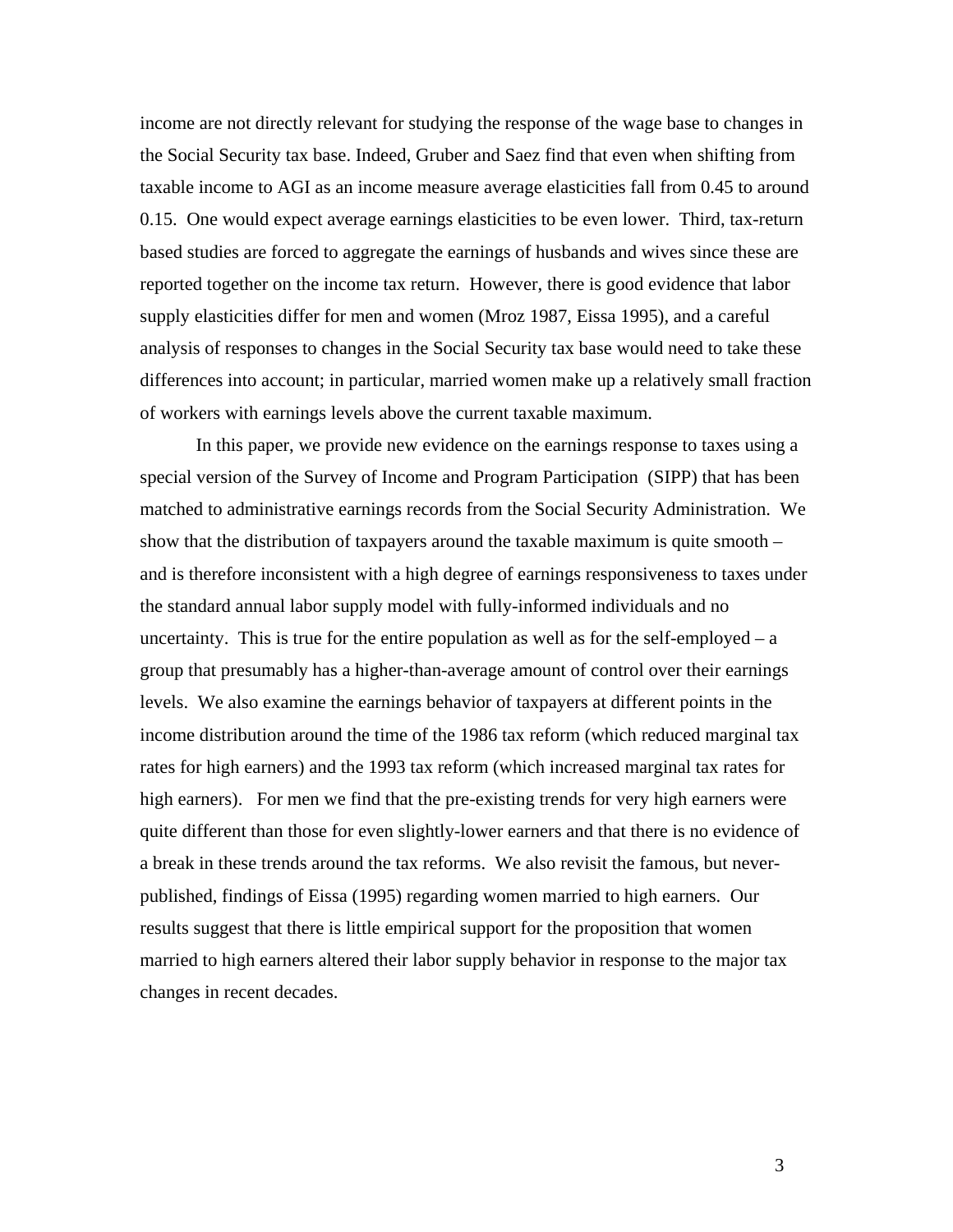income are not directly relevant for studying the response of the wage base to changes in the Social Security tax base. Indeed, Gruber and Saez find that even when shifting from taxable income to AGI as an income measure average elasticities fall from 0.45 to around 0.15. One would expect average earnings elasticities to be even lower. Third, tax-return based studies are forced to aggregate the earnings of husbands and wives since these are reported together on the income tax return. However, there is good evidence that labor supply elasticities differ for men and women (Mroz 1987, Eissa 1995), and a careful analysis of responses to changes in the Social Security tax base would need to take these differences into account; in particular, married women make up a relatively small fraction of workers with earnings levels above the current taxable maximum.

In this paper, we provide new evidence on the earnings response to taxes using a special version of the Survey of Income and Program Participation (SIPP) that has been matched to administrative earnings records from the Social Security Administration. We show that the distribution of taxpayers around the taxable maximum is quite smooth – and is therefore inconsistent with a high degree of earnings responsiveness to taxes under the standard annual labor supply model with fully-informed individuals and no uncertainty. This is true for the entire population as well as for the self-employed  $- a$ group that presumably has a higher-than-average amount of control over their earnings levels. We also examine the earnings behavior of taxpayers at different points in the income distribution around the time of the 1986 tax reform (which reduced marginal tax rates for high earners) and the 1993 tax reform (which increased marginal tax rates for high earners). For men we find that the pre-existing trends for very high earners were quite different than those for even slightly-lower earners and that there is no evidence of a break in these trends around the tax reforms. We also revisit the famous, but neverpublished, findings of Eissa (1995) regarding women married to high earners. Our results suggest that there is little empirical support for the proposition that women married to high earners altered their labor supply behavior in response to the major tax changes in recent decades.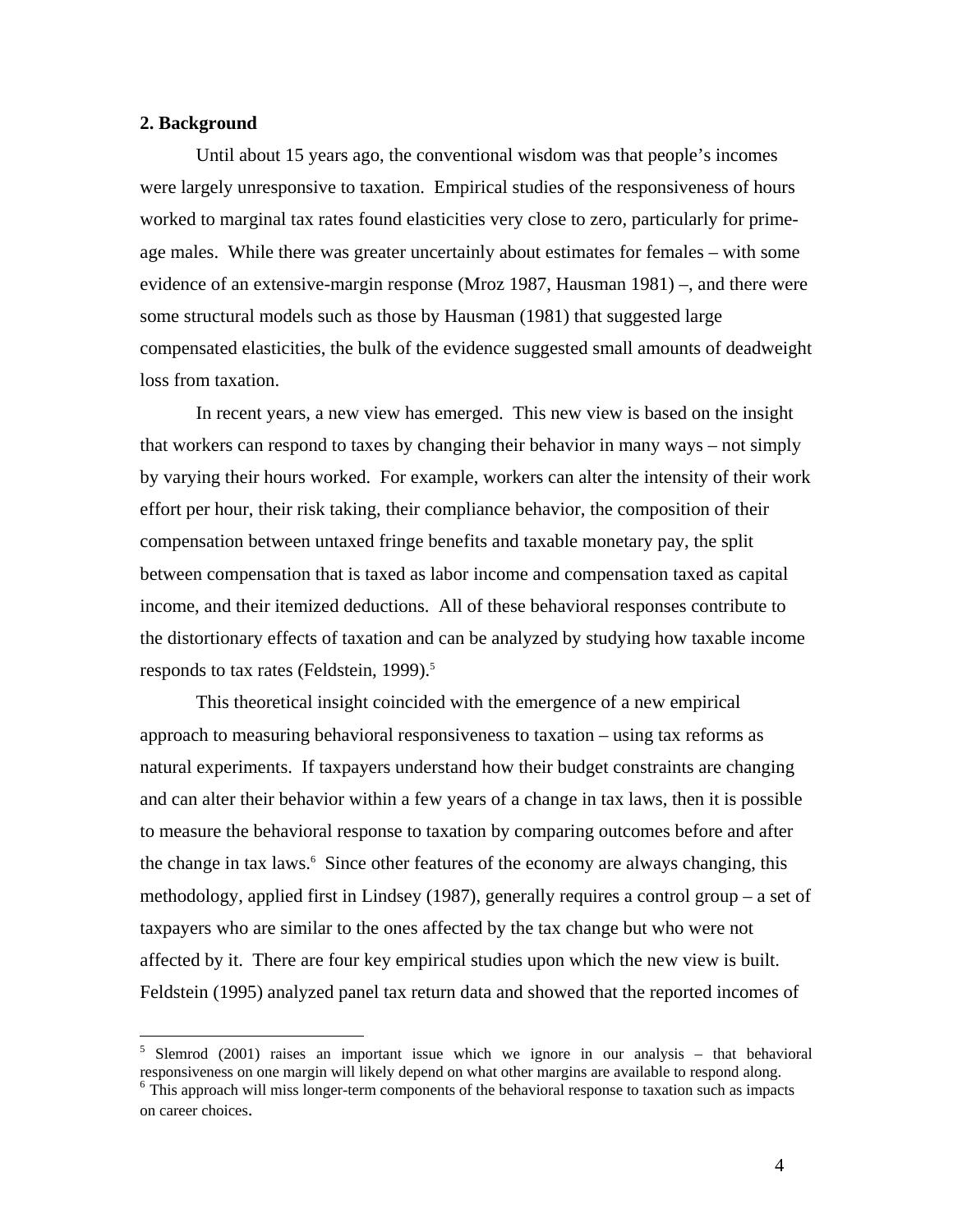## **2. Background**

 $\overline{a}$ 

 Until about 15 years ago, the conventional wisdom was that people's incomes were largely unresponsive to taxation. Empirical studies of the responsiveness of hours worked to marginal tax rates found elasticities very close to zero, particularly for primeage males. While there was greater uncertainly about estimates for females – with some evidence of an extensive-margin response (Mroz 1987, Hausman 1981) –, and there were some structural models such as those by Hausman (1981) that suggested large compensated elasticities, the bulk of the evidence suggested small amounts of deadweight loss from taxation.

 In recent years, a new view has emerged. This new view is based on the insight that workers can respond to taxes by changing their behavior in many ways – not simply by varying their hours worked. For example, workers can alter the intensity of their work effort per hour, their risk taking, their compliance behavior, the composition of their compensation between untaxed fringe benefits and taxable monetary pay, the split between compensation that is taxed as labor income and compensation taxed as capital income, and their itemized deductions. All of these behavioral responses contribute to the distortionary effects of taxation and can be analyzed by studying how taxable income responds to tax rates (Feldstein, 1999). $5$ 

 This theoretical insight coincided with the emergence of a new empirical approach to measuring behavioral responsiveness to taxation – using tax reforms as natural experiments. If taxpayers understand how their budget constraints are changing and can alter their behavior within a few years of a change in tax laws, then it is possible to measure the behavioral response to taxation by comparing outcomes before and after the change in tax laws.<sup>6</sup> Since other features of the economy are always changing, this methodology, applied first in Lindsey (1987), generally requires a control group – a set of taxpayers who are similar to the ones affected by the tax change but who were not affected by it. There are four key empirical studies upon which the new view is built. Feldstein (1995) analyzed panel tax return data and showed that the reported incomes of

<sup>&</sup>lt;sup>5</sup> Slemrod (2001) raises an important issue which we ignore in our analysis – that behavioral responsiveness on one margin will likely depend on what other margins are available to respond along.

<sup>&</sup>lt;sup>6</sup> This approach will miss longer-term components of the behavioral response to taxation such as impacts on career choices.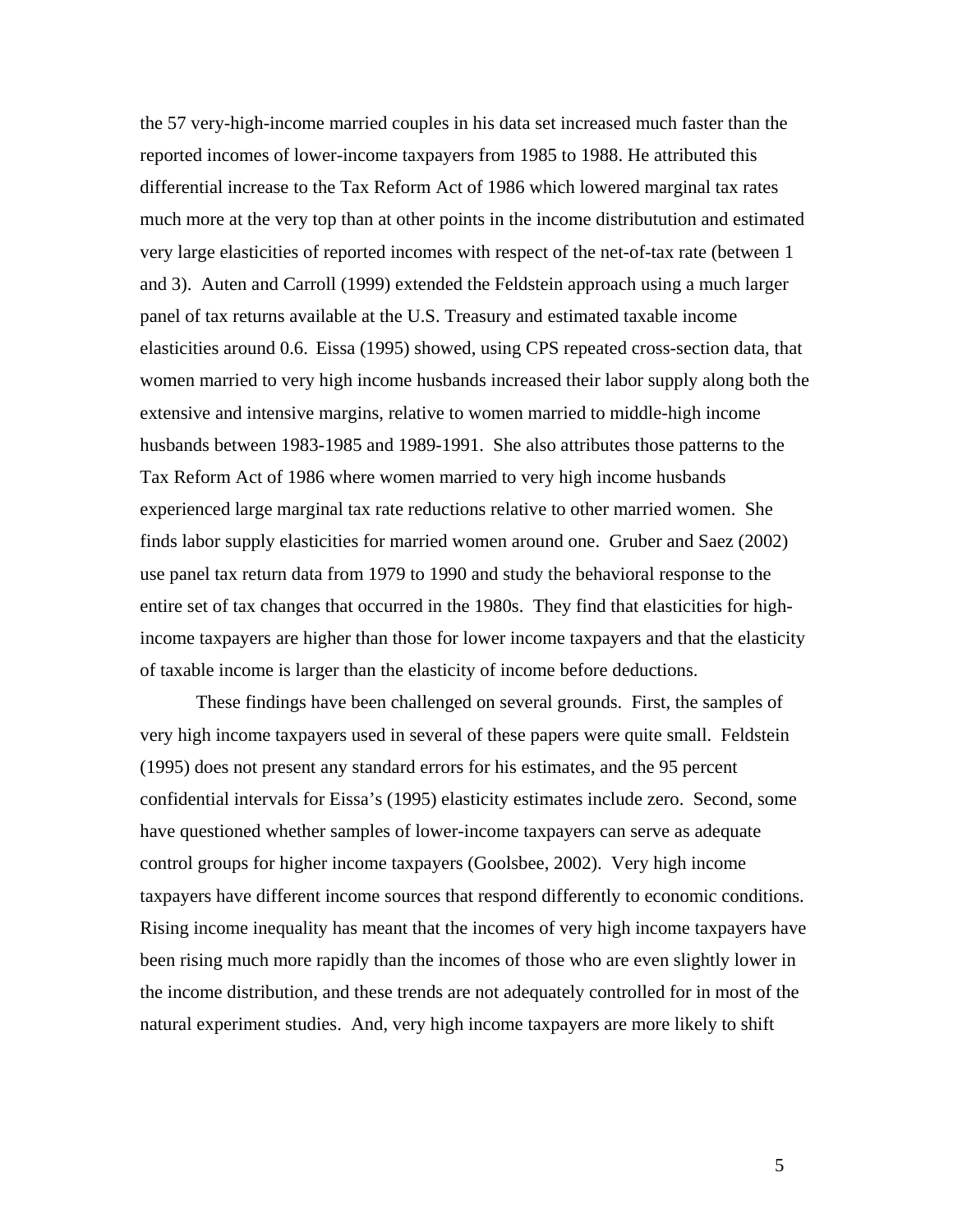the 57 very-high-income married couples in his data set increased much faster than the reported incomes of lower-income taxpayers from 1985 to 1988. He attributed this differential increase to the Tax Reform Act of 1986 which lowered marginal tax rates much more at the very top than at other points in the income distributution and estimated very large elasticities of reported incomes with respect of the net-of-tax rate (between 1 and 3). Auten and Carroll (1999) extended the Feldstein approach using a much larger panel of tax returns available at the U.S. Treasury and estimated taxable income elasticities around 0.6. Eissa (1995) showed, using CPS repeated cross-section data, that women married to very high income husbands increased their labor supply along both the extensive and intensive margins, relative to women married to middle-high income husbands between 1983-1985 and 1989-1991. She also attributes those patterns to the Tax Reform Act of 1986 where women married to very high income husbands experienced large marginal tax rate reductions relative to other married women. She finds labor supply elasticities for married women around one. Gruber and Saez (2002) use panel tax return data from 1979 to 1990 and study the behavioral response to the entire set of tax changes that occurred in the 1980s. They find that elasticities for highincome taxpayers are higher than those for lower income taxpayers and that the elasticity of taxable income is larger than the elasticity of income before deductions.

 These findings have been challenged on several grounds. First, the samples of very high income taxpayers used in several of these papers were quite small. Feldstein (1995) does not present any standard errors for his estimates, and the 95 percent confidential intervals for Eissa's (1995) elasticity estimates include zero. Second, some have questioned whether samples of lower-income taxpayers can serve as adequate control groups for higher income taxpayers (Goolsbee, 2002). Very high income taxpayers have different income sources that respond differently to economic conditions. Rising income inequality has meant that the incomes of very high income taxpayers have been rising much more rapidly than the incomes of those who are even slightly lower in the income distribution, and these trends are not adequately controlled for in most of the natural experiment studies. And, very high income taxpayers are more likely to shift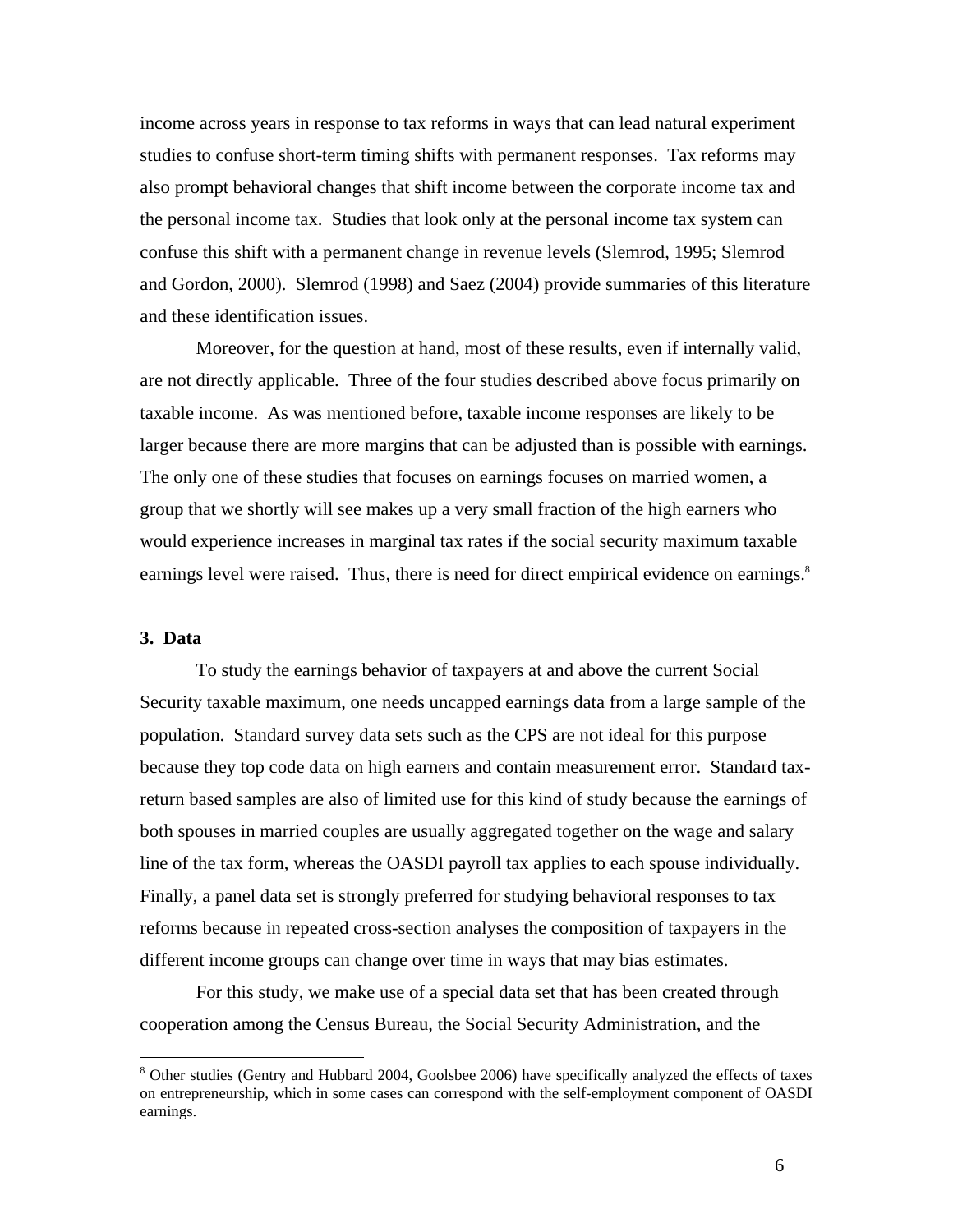income across years in response to tax reforms in ways that can lead natural experiment studies to confuse short-term timing shifts with permanent responses. Tax reforms may also prompt behavioral changes that shift income between the corporate income tax and the personal income tax. Studies that look only at the personal income tax system can confuse this shift with a permanent change in revenue levels (Slemrod, 1995; Slemrod and Gordon, 2000). Slemrod (1998) and Saez (2004) provide summaries of this literature and these identification issues.

 Moreover, for the question at hand, most of these results, even if internally valid, are not directly applicable. Three of the four studies described above focus primarily on taxable income. As was mentioned before, taxable income responses are likely to be larger because there are more margins that can be adjusted than is possible with earnings. The only one of these studies that focuses on earnings focuses on married women, a group that we shortly will see makes up a very small fraction of the high earners who would experience increases in marginal tax rates if the social security maximum taxable earnings level were raised. Thus, there is need for direct empirical evidence on earnings.<sup>8</sup>

## **3. Data**

1

 To study the earnings behavior of taxpayers at and above the current Social Security taxable maximum, one needs uncapped earnings data from a large sample of the population. Standard survey data sets such as the CPS are not ideal for this purpose because they top code data on high earners and contain measurement error. Standard taxreturn based samples are also of limited use for this kind of study because the earnings of both spouses in married couples are usually aggregated together on the wage and salary line of the tax form, whereas the OASDI payroll tax applies to each spouse individually. Finally, a panel data set is strongly preferred for studying behavioral responses to tax reforms because in repeated cross-section analyses the composition of taxpayers in the different income groups can change over time in ways that may bias estimates.

 For this study, we make use of a special data set that has been created through cooperation among the Census Bureau, the Social Security Administration, and the

<sup>&</sup>lt;sup>8</sup> Other studies (Gentry and Hubbard 2004, Goolsbee 2006) have specifically analyzed the effects of taxes on entrepreneurship, which in some cases can correspond with the self-employment component of OASDI earnings.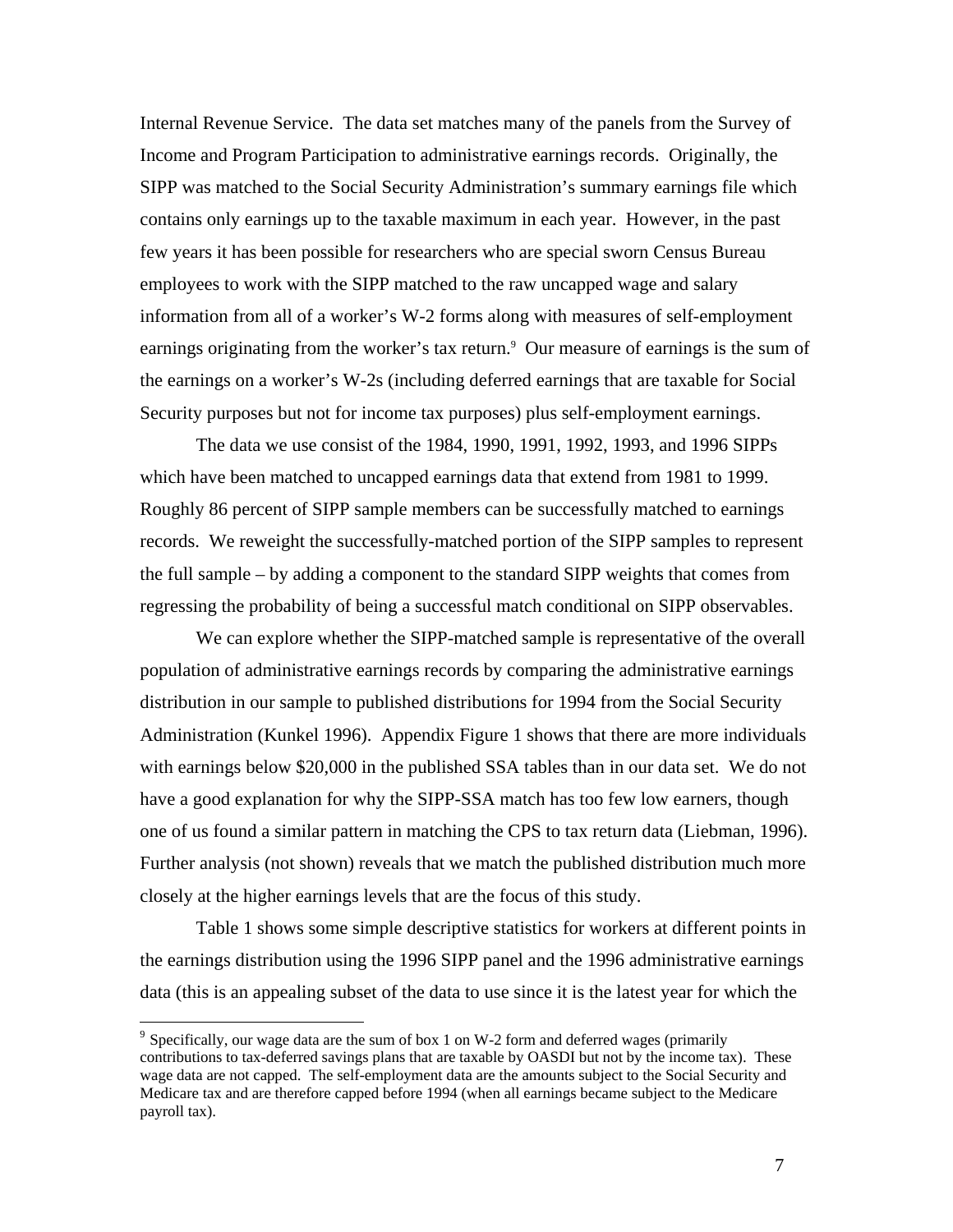Internal Revenue Service. The data set matches many of the panels from the Survey of Income and Program Participation to administrative earnings records. Originally, the SIPP was matched to the Social Security Administration's summary earnings file which contains only earnings up to the taxable maximum in each year. However, in the past few years it has been possible for researchers who are special sworn Census Bureau employees to work with the SIPP matched to the raw uncapped wage and salary information from all of a worker's W-2 forms along with measures of self-employment earnings originating from the worker's tax return.<sup>9</sup> Our measure of earnings is the sum of the earnings on a worker's W-2s (including deferred earnings that are taxable for Social Security purposes but not for income tax purposes) plus self-employment earnings.

 The data we use consist of the 1984, 1990, 1991, 1992, 1993, and 1996 SIPPs which have been matched to uncapped earnings data that extend from 1981 to 1999. Roughly 86 percent of SIPP sample members can be successfully matched to earnings records. We reweight the successfully-matched portion of the SIPP samples to represent the full sample – by adding a component to the standard SIPP weights that comes from regressing the probability of being a successful match conditional on SIPP observables.

 We can explore whether the SIPP-matched sample is representative of the overall population of administrative earnings records by comparing the administrative earnings distribution in our sample to published distributions for 1994 from the Social Security Administration (Kunkel 1996). Appendix Figure 1 shows that there are more individuals with earnings below \$20,000 in the published SSA tables than in our data set. We do not have a good explanation for why the SIPP-SSA match has too few low earners, though one of us found a similar pattern in matching the CPS to tax return data (Liebman, 1996). Further analysis (not shown) reveals that we match the published distribution much more closely at the higher earnings levels that are the focus of this study.

 Table 1 shows some simple descriptive statistics for workers at different points in the earnings distribution using the 1996 SIPP panel and the 1996 administrative earnings data (this is an appealing subset of the data to use since it is the latest year for which the

<sup>&</sup>lt;sup>9</sup> Specifically, our wage data are the sum of box 1 on W-2 form and deferred wages (primarily contributions to tax-deferred savings plans that are taxable by OASDI but not by the income tax). These wage data are not capped. The self-employment data are the amounts subject to the Social Security and Medicare tax and are therefore capped before 1994 (when all earnings became subject to the Medicare payroll tax).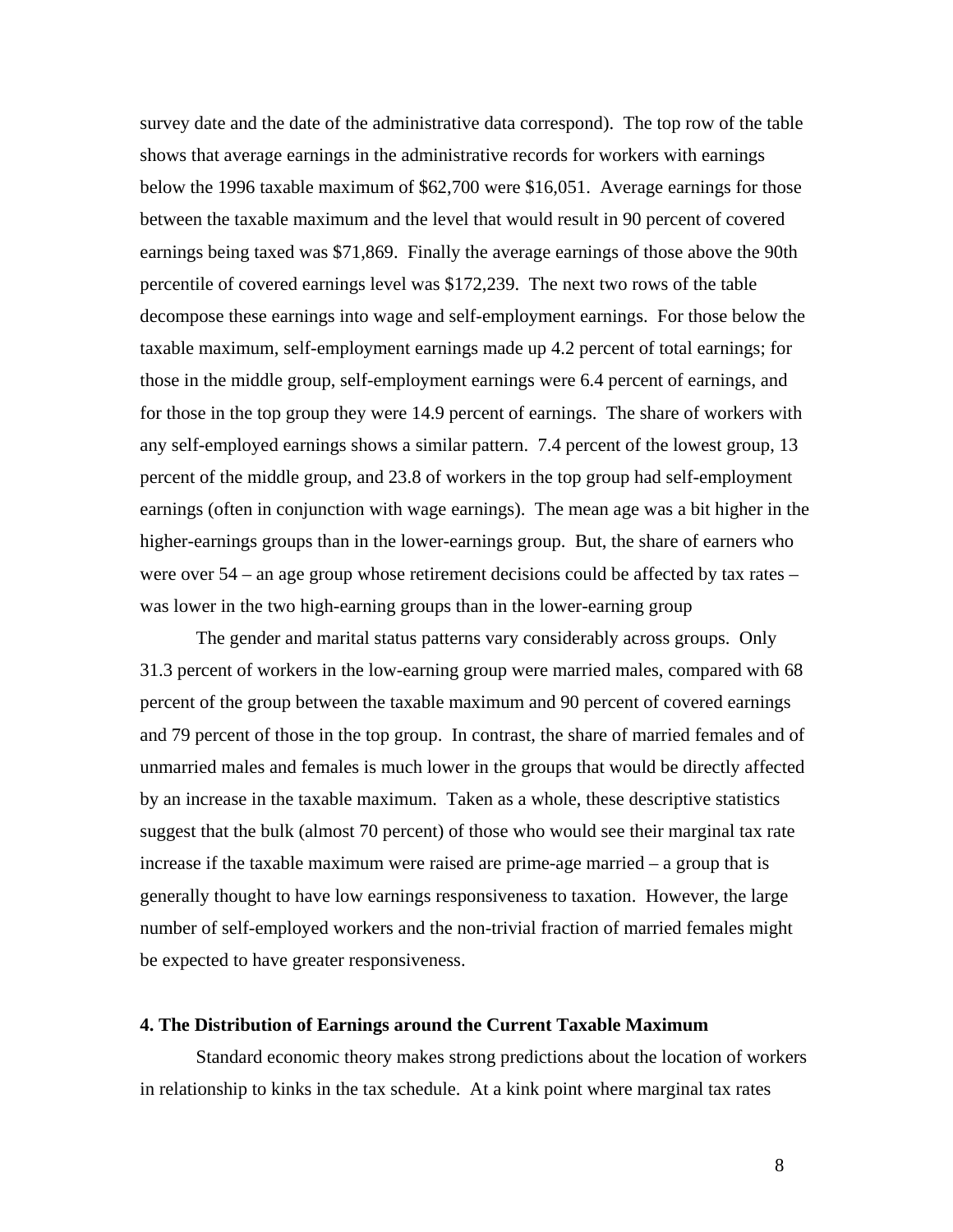survey date and the date of the administrative data correspond). The top row of the table shows that average earnings in the administrative records for workers with earnings below the 1996 taxable maximum of \$62,700 were \$16,051. Average earnings for those between the taxable maximum and the level that would result in 90 percent of covered earnings being taxed was \$71,869. Finally the average earnings of those above the 90th percentile of covered earnings level was \$172,239. The next two rows of the table decompose these earnings into wage and self-employment earnings. For those below the taxable maximum, self-employment earnings made up 4.2 percent of total earnings; for those in the middle group, self-employment earnings were 6.4 percent of earnings, and for those in the top group they were 14.9 percent of earnings. The share of workers with any self-employed earnings shows a similar pattern. 7.4 percent of the lowest group, 13 percent of the middle group, and 23.8 of workers in the top group had self-employment earnings (often in conjunction with wage earnings). The mean age was a bit higher in the higher-earnings groups than in the lower-earnings group. But, the share of earners who were over 54 – an age group whose retirement decisions could be affected by tax rates – was lower in the two high-earning groups than in the lower-earning group

 The gender and marital status patterns vary considerably across groups. Only 31.3 percent of workers in the low-earning group were married males, compared with 68 percent of the group between the taxable maximum and 90 percent of covered earnings and 79 percent of those in the top group. In contrast, the share of married females and of unmarried males and females is much lower in the groups that would be directly affected by an increase in the taxable maximum. Taken as a whole, these descriptive statistics suggest that the bulk (almost 70 percent) of those who would see their marginal tax rate increase if the taxable maximum were raised are prime-age married – a group that is generally thought to have low earnings responsiveness to taxation. However, the large number of self-employed workers and the non-trivial fraction of married females might be expected to have greater responsiveness.

## **4. The Distribution of Earnings around the Current Taxable Maximum**

 Standard economic theory makes strong predictions about the location of workers in relationship to kinks in the tax schedule. At a kink point where marginal tax rates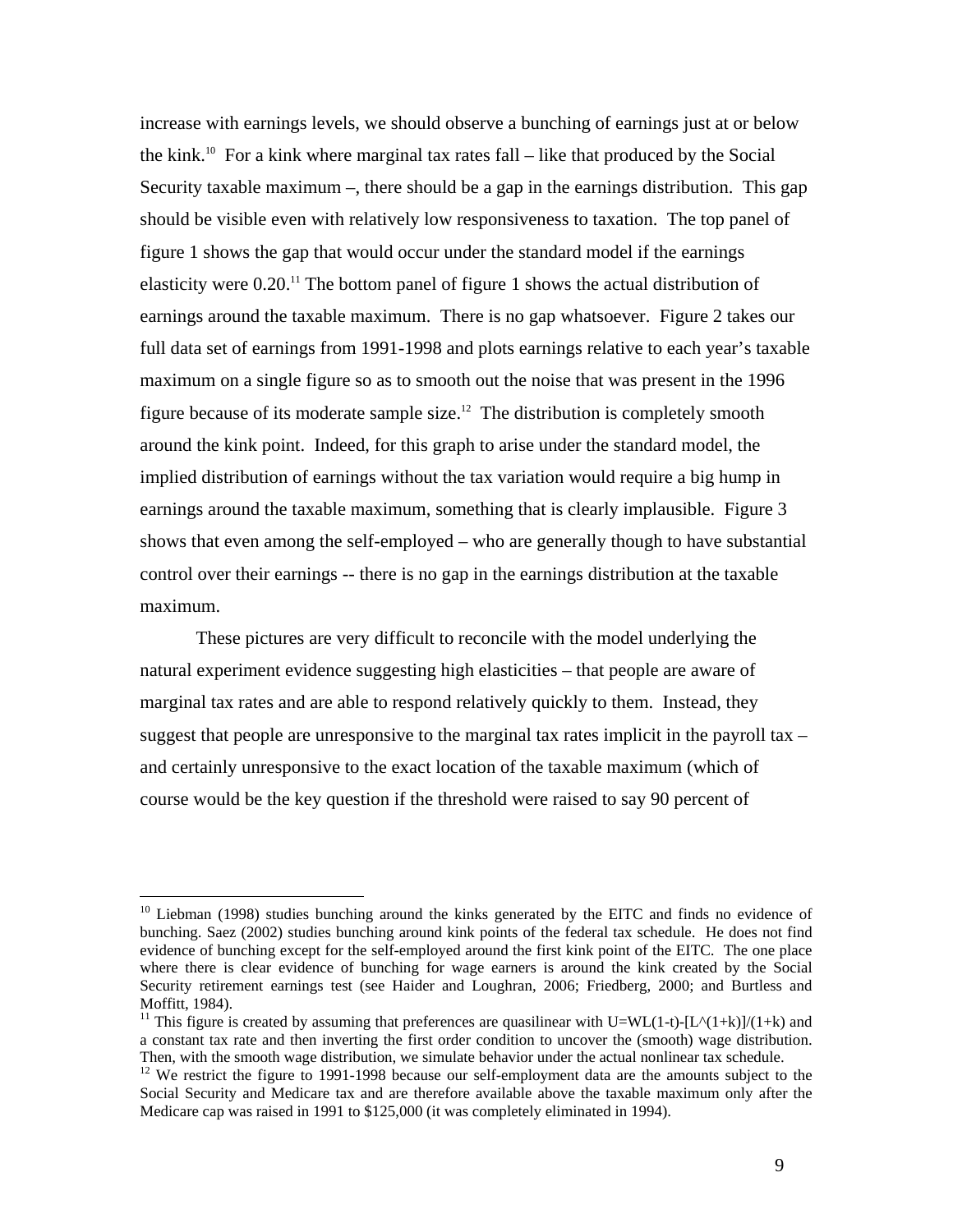increase with earnings levels, we should observe a bunching of earnings just at or below the kink.<sup>10</sup> For a kink where marginal tax rates fall – like that produced by the Social Security taxable maximum –, there should be a gap in the earnings distribution. This gap should be visible even with relatively low responsiveness to taxation. The top panel of figure 1 shows the gap that would occur under the standard model if the earnings elasticity were 0.20.11 The bottom panel of figure 1 shows the actual distribution of earnings around the taxable maximum. There is no gap whatsoever. Figure 2 takes our full data set of earnings from 1991-1998 and plots earnings relative to each year's taxable maximum on a single figure so as to smooth out the noise that was present in the 1996 figure because of its moderate sample size.<sup>12</sup> The distribution is completely smooth around the kink point. Indeed, for this graph to arise under the standard model, the implied distribution of earnings without the tax variation would require a big hump in earnings around the taxable maximum, something that is clearly implausible. Figure 3 shows that even among the self-employed – who are generally though to have substantial control over their earnings -- there is no gap in the earnings distribution at the taxable maximum.

 These pictures are very difficult to reconcile with the model underlying the natural experiment evidence suggesting high elasticities – that people are aware of marginal tax rates and are able to respond relatively quickly to them. Instead, they suggest that people are unresponsive to the marginal tax rates implicit in the payroll tax – and certainly unresponsive to the exact location of the taxable maximum (which of course would be the key question if the threshold were raised to say 90 percent of

 $\overline{a}$ 

<sup>&</sup>lt;sup>10</sup> Liebman (1998) studies bunching around the kinks generated by the EITC and finds no evidence of bunching. Saez (2002) studies bunching around kink points of the federal tax schedule. He does not find evidence of bunching except for the self-employed around the first kink point of the EITC. The one place where there is clear evidence of bunching for wage earners is around the kink created by the Social Security retirement earnings test (see Haider and Loughran, 2006; Friedberg, 2000; and Burtless and Moffitt, 1984).

<sup>&</sup>lt;sup>11</sup> This figure is created by assuming that preferences are quasilinear with U=WL(1-t)-[L^(1+k)]/(1+k) and a constant tax rate and then inverting the first order condition to uncover the (smooth) wage distribution. Then, with the smooth wage distribution, we simulate behavior under the actual nonlinear tax schedule.

<sup>&</sup>lt;sup>12</sup> We restrict the figure to 1991-1998 because our self-employment data are the amounts subject to the Social Security and Medicare tax and are therefore available above the taxable maximum only after the Medicare cap was raised in 1991 to \$125,000 (it was completely eliminated in 1994).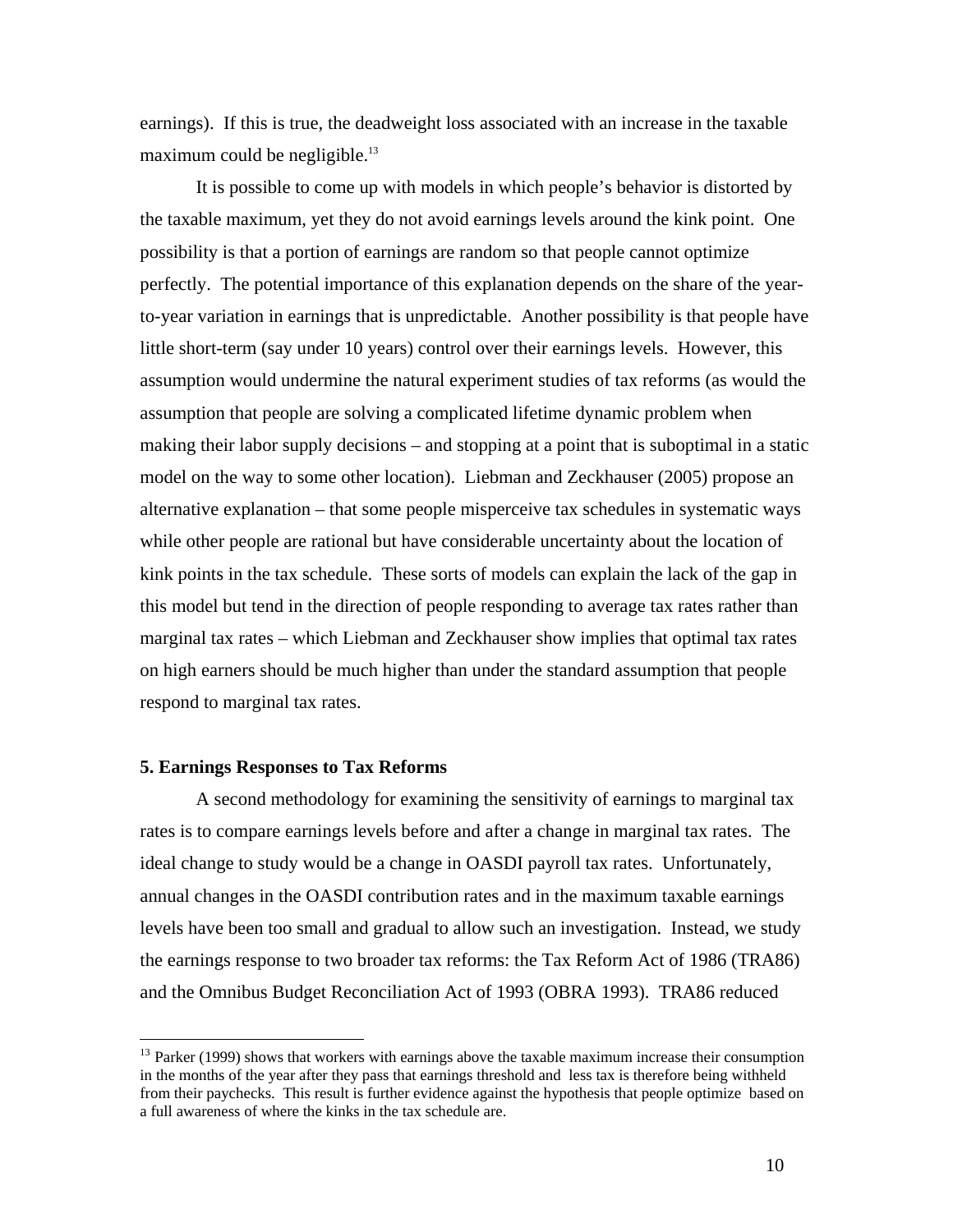earnings). If this is true, the deadweight loss associated with an increase in the taxable maximum could be negligible. $13$ 

 It is possible to come up with models in which people's behavior is distorted by the taxable maximum, yet they do not avoid earnings levels around the kink point. One possibility is that a portion of earnings are random so that people cannot optimize perfectly. The potential importance of this explanation depends on the share of the yearto-year variation in earnings that is unpredictable. Another possibility is that people have little short-term (say under 10 years) control over their earnings levels. However, this assumption would undermine the natural experiment studies of tax reforms (as would the assumption that people are solving a complicated lifetime dynamic problem when making their labor supply decisions – and stopping at a point that is suboptimal in a static model on the way to some other location). Liebman and Zeckhauser (2005) propose an alternative explanation – that some people misperceive tax schedules in systematic ways while other people are rational but have considerable uncertainty about the location of kink points in the tax schedule. These sorts of models can explain the lack of the gap in this model but tend in the direction of people responding to average tax rates rather than marginal tax rates – which Liebman and Zeckhauser show implies that optimal tax rates on high earners should be much higher than under the standard assumption that people respond to marginal tax rates.

#### **5. Earnings Responses to Tax Reforms**

<u>.</u>

A second methodology for examining the sensitivity of earnings to marginal tax rates is to compare earnings levels before and after a change in marginal tax rates. The ideal change to study would be a change in OASDI payroll tax rates. Unfortunately, annual changes in the OASDI contribution rates and in the maximum taxable earnings levels have been too small and gradual to allow such an investigation. Instead, we study the earnings response to two broader tax reforms: the Tax Reform Act of 1986 (TRA86) and the Omnibus Budget Reconciliation Act of 1993 (OBRA 1993). TRA86 reduced

 $13$  Parker (1999) shows that workers with earnings above the taxable maximum increase their consumption in the months of the year after they pass that earnings threshold and less tax is therefore being withheld from their paychecks. This result is further evidence against the hypothesis that people optimize based on a full awareness of where the kinks in the tax schedule are.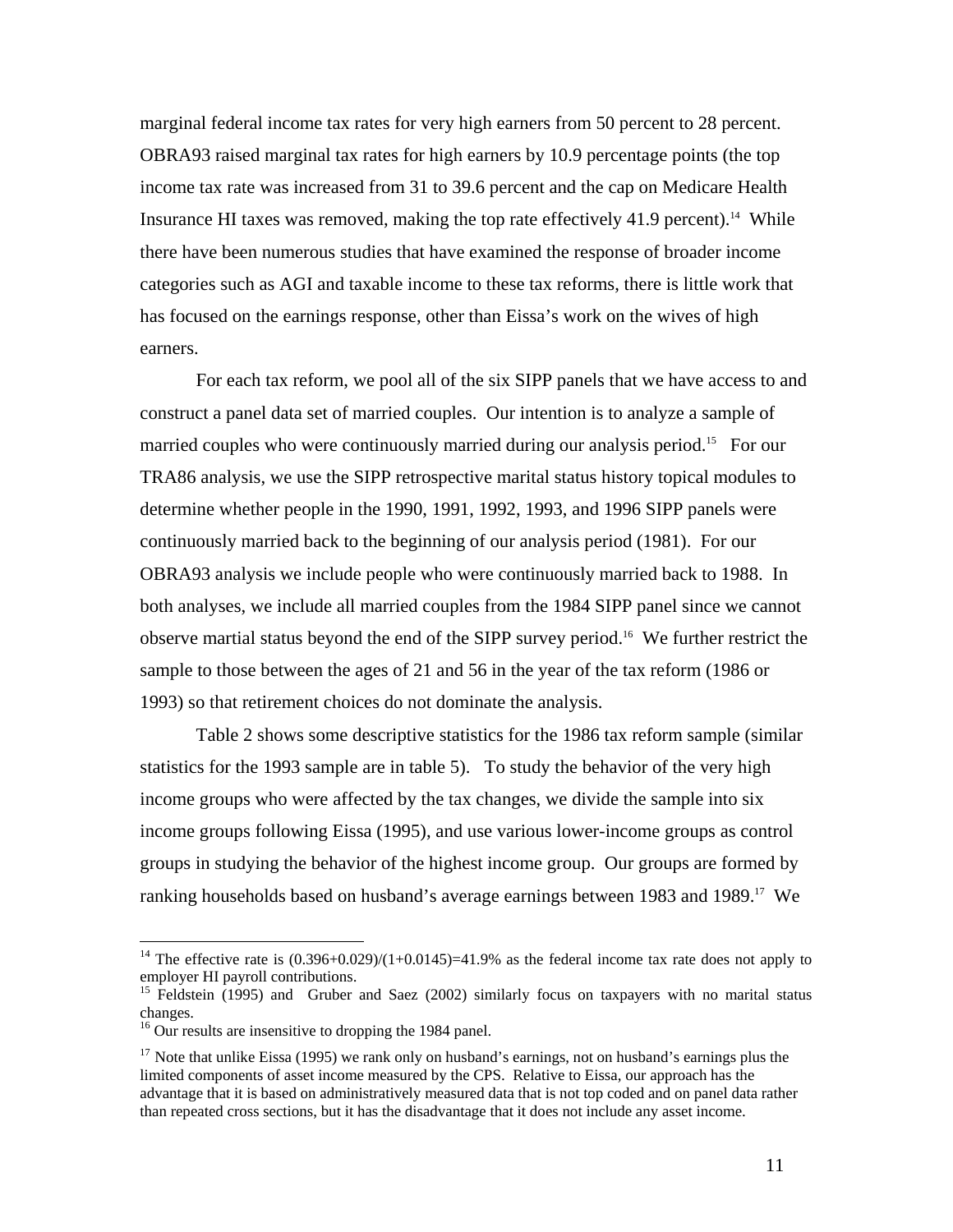marginal federal income tax rates for very high earners from 50 percent to 28 percent. OBRA93 raised marginal tax rates for high earners by 10.9 percentage points (the top income tax rate was increased from 31 to 39.6 percent and the cap on Medicare Health Insurance HI taxes was removed, making the top rate effectively  $41.9$  percent).<sup>14</sup> While there have been numerous studies that have examined the response of broader income categories such as AGI and taxable income to these tax reforms, there is little work that has focused on the earnings response, other than Eissa's work on the wives of high earners.

 For each tax reform, we pool all of the six SIPP panels that we have access to and construct a panel data set of married couples. Our intention is to analyze a sample of married couples who were continuously married during our analysis period.<sup>15</sup> For our TRA86 analysis, we use the SIPP retrospective marital status history topical modules to determine whether people in the 1990, 1991, 1992, 1993, and 1996 SIPP panels were continuously married back to the beginning of our analysis period (1981). For our OBRA93 analysis we include people who were continuously married back to 1988. In both analyses, we include all married couples from the 1984 SIPP panel since we cannot observe martial status beyond the end of the SIPP survey period.16 We further restrict the sample to those between the ages of 21 and 56 in the year of the tax reform (1986 or 1993) so that retirement choices do not dominate the analysis.

 Table 2 shows some descriptive statistics for the 1986 tax reform sample (similar statistics for the 1993 sample are in table 5). To study the behavior of the very high income groups who were affected by the tax changes, we divide the sample into six income groups following Eissa (1995), and use various lower-income groups as control groups in studying the behavior of the highest income group. Our groups are formed by ranking households based on husband's average earnings between 1983 and 1989.<sup>17</sup> We

<sup>&</sup>lt;sup>14</sup> The effective rate is  $(0.396+0.029)/(1+0.0145)=41.9%$  as the federal income tax rate does not apply to employer HI payroll contributions.

<sup>&</sup>lt;sup>15</sup> Feldstein (1995) and Gruber and Saez (2002) similarly focus on taxpayers with no marital status changes.

<sup>&</sup>lt;sup>16</sup> Our results are insensitive to dropping the 1984 panel.

<sup>&</sup>lt;sup>17</sup> Note that unlike Eissa (1995) we rank only on husband's earnings, not on husband's earnings plus the limited components of asset income measured by the CPS. Relative to Eissa, our approach has the advantage that it is based on administratively measured data that is not top coded and on panel data rather than repeated cross sections, but it has the disadvantage that it does not include any asset income.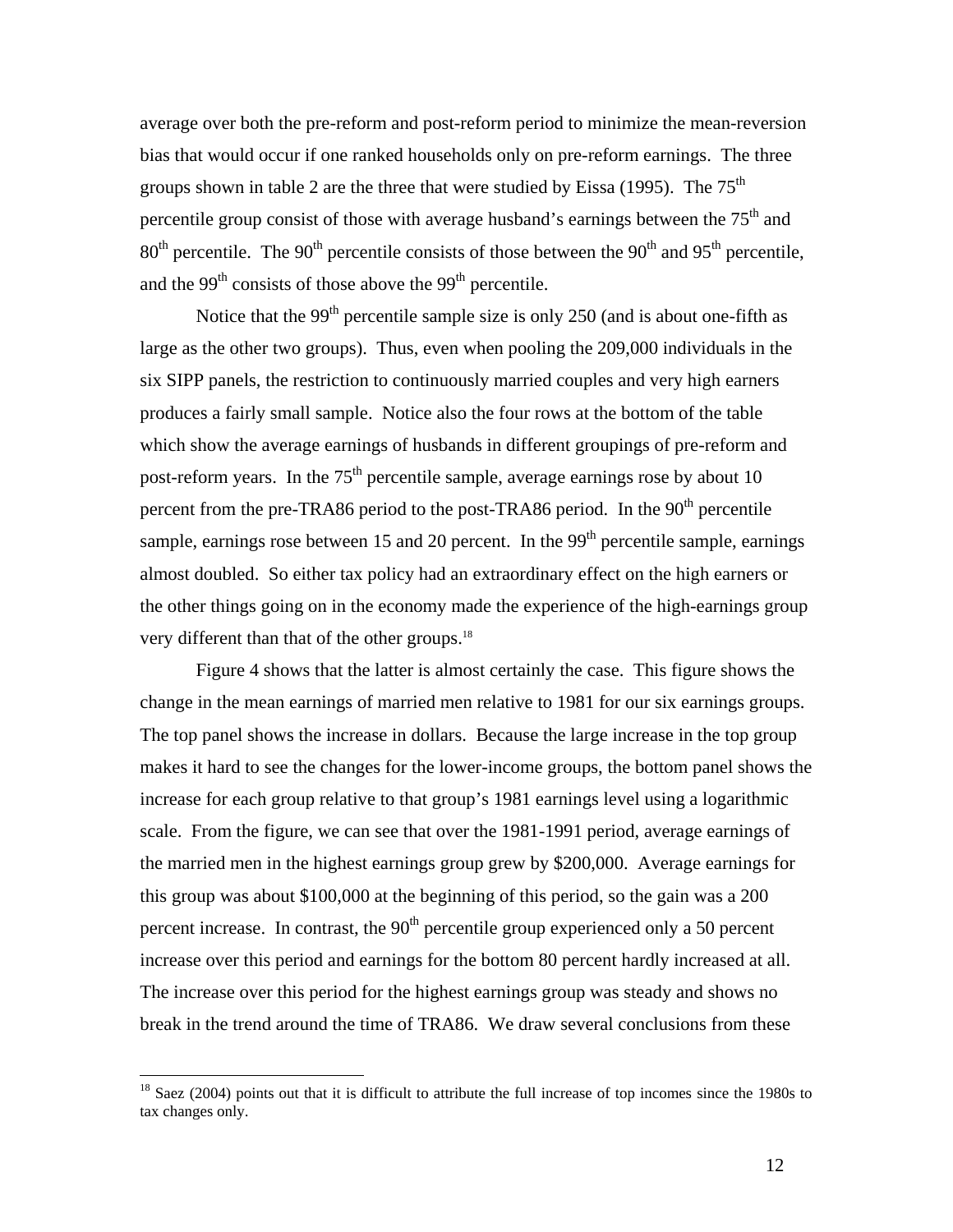average over both the pre-reform and post-reform period to minimize the mean-reversion bias that would occur if one ranked households only on pre-reform earnings. The three groups shown in table 2 are the three that were studied by Eissa (1995). The  $75<sup>th</sup>$ percentile group consist of those with average husband's earnings between the 75<sup>th</sup> and  $80<sup>th</sup>$  percentile. The  $90<sup>th</sup>$  percentile consists of those between the  $90<sup>th</sup>$  and  $95<sup>th</sup>$  percentile, and the  $99<sup>th</sup>$  consists of those above the  $99<sup>th</sup>$  percentile.

Notice that the  $99<sup>th</sup>$  percentile sample size is only 250 (and is about one-fifth as large as the other two groups). Thus, even when pooling the 209,000 individuals in the six SIPP panels, the restriction to continuously married couples and very high earners produces a fairly small sample. Notice also the four rows at the bottom of the table which show the average earnings of husbands in different groupings of pre-reform and post-reform years. In the  $75<sup>th</sup>$  percentile sample, average earnings rose by about 10 percent from the pre-TRA86 period to the post-TRA86 period. In the  $90<sup>th</sup>$  percentile sample, earnings rose between 15 and 20 percent. In the  $99<sup>th</sup>$  percentile sample, earnings almost doubled. So either tax policy had an extraordinary effect on the high earners or the other things going on in the economy made the experience of the high-earnings group very different than that of the other groups.<sup>18</sup>

 Figure 4 shows that the latter is almost certainly the case. This figure shows the change in the mean earnings of married men relative to 1981 for our six earnings groups. The top panel shows the increase in dollars. Because the large increase in the top group makes it hard to see the changes for the lower-income groups, the bottom panel shows the increase for each group relative to that group's 1981 earnings level using a logarithmic scale. From the figure, we can see that over the 1981-1991 period, average earnings of the married men in the highest earnings group grew by \$200,000. Average earnings for this group was about \$100,000 at the beginning of this period, so the gain was a 200 percent increase. In contrast, the  $90<sup>th</sup>$  percentile group experienced only a 50 percent increase over this period and earnings for the bottom 80 percent hardly increased at all. The increase over this period for the highest earnings group was steady and shows no break in the trend around the time of TRA86. We draw several conclusions from these

 $\overline{a}$ 

 $18$  Saez (2004) points out that it is difficult to attribute the full increase of top incomes since the 1980s to tax changes only.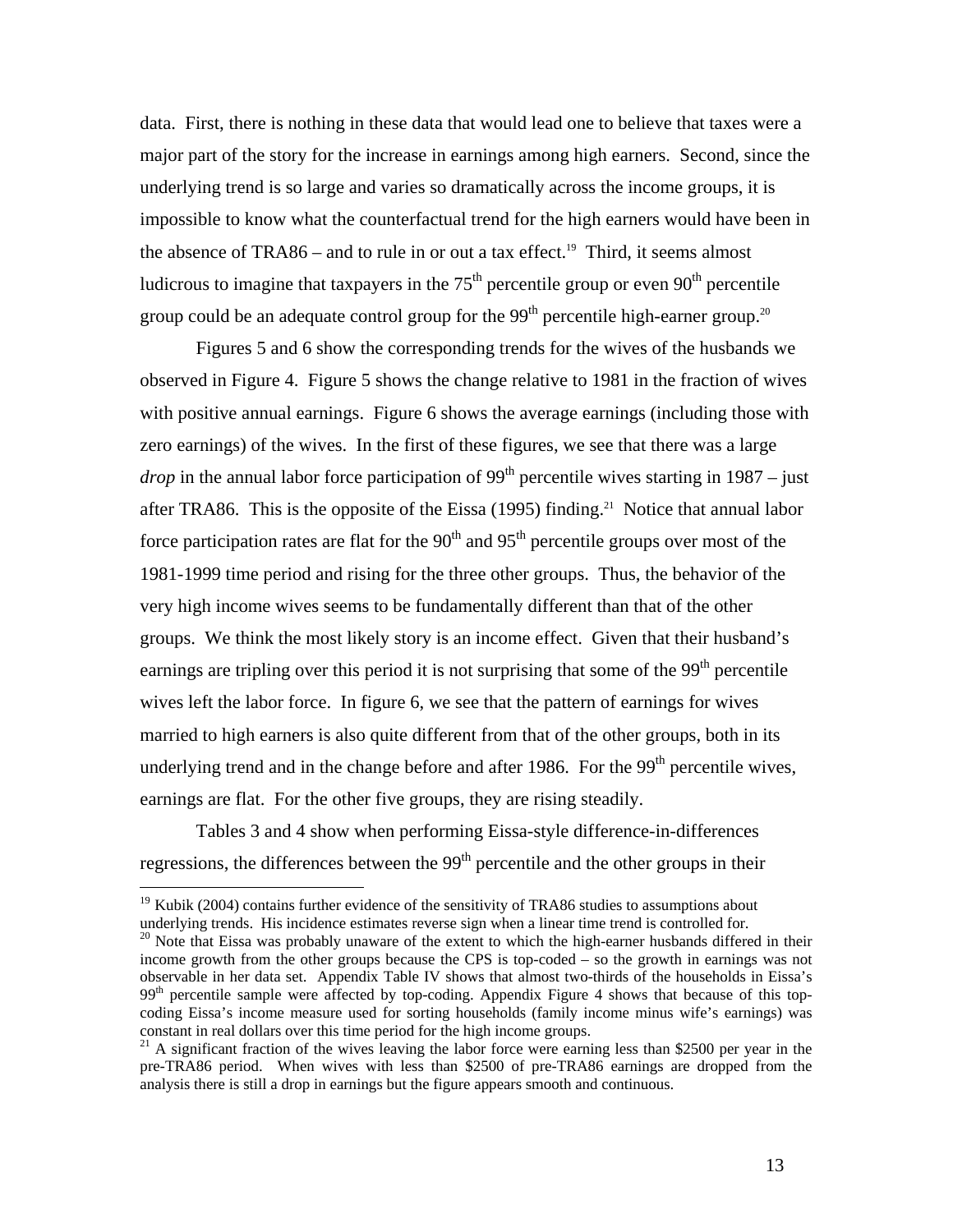data. First, there is nothing in these data that would lead one to believe that taxes were a major part of the story for the increase in earnings among high earners. Second, since the underlying trend is so large and varies so dramatically across the income groups, it is impossible to know what the counterfactual trend for the high earners would have been in the absence of  $TRA86$  – and to rule in or out a tax effect.<sup>19</sup> Third, it seems almost ludicrous to imagine that taxpayers in the  $75<sup>th</sup>$  percentile group or even  $90<sup>th</sup>$  percentile group could be an adequate control group for the  $99<sup>th</sup>$  percentile high-earner group.<sup>20</sup>

 Figures 5 and 6 show the corresponding trends for the wives of the husbands we observed in Figure 4. Figure 5 shows the change relative to 1981 in the fraction of wives with positive annual earnings. Figure 6 shows the average earnings (including those with zero earnings) of the wives. In the first of these figures, we see that there was a large *drop* in the annual labor force participation of  $99<sup>th</sup>$  percentile wives starting in 1987 – just after TRA86. This is the opposite of the Eissa  $(1995)$  finding.<sup>21</sup> Notice that annual labor force participation rates are flat for the  $90<sup>th</sup>$  and  $95<sup>th</sup>$  percentile groups over most of the 1981-1999 time period and rising for the three other groups. Thus, the behavior of the very high income wives seems to be fundamentally different than that of the other groups. We think the most likely story is an income effect. Given that their husband's earnings are tripling over this period it is not surprising that some of the  $99<sup>th</sup>$  percentile wives left the labor force. In figure 6, we see that the pattern of earnings for wives married to high earners is also quite different from that of the other groups, both in its underlying trend and in the change before and after 1986. For the 99<sup>th</sup> percentile wives, earnings are flat. For the other five groups, they are rising steadily.

 Tables 3 and 4 show when performing Eissa-style difference-in-differences regressions, the differences between the 99<sup>th</sup> percentile and the other groups in their

<sup>&</sup>lt;sup>19</sup> Kubik (2004) contains further evidence of the sensitivity of TRA86 studies to assumptions about underlying trends. His incidence estimates reverse sign when a linear time trend is controlled for.

<sup>&</sup>lt;sup>20</sup> Note that Eissa was probably unaware of the extent to which the high-earner husbands differed in their income growth from the other groups because the CPS is top-coded – so the growth in earnings was not observable in her data set. Appendix Table IV shows that almost two-thirds of the households in Eissa's  $99<sup>th</sup>$  percentile sample were affected by top-coding. Appendix Figure 4 shows that because of this topcoding Eissa's income measure used for sorting households (family income minus wife's earnings) was constant in real dollars over this time period for the high income groups.

 $21$  A significant fraction of the wives leaving the labor force were earning less than \$2500 per year in the pre-TRA86 period. When wives with less than \$2500 of pre-TRA86 earnings are dropped from the analysis there is still a drop in earnings but the figure appears smooth and continuous.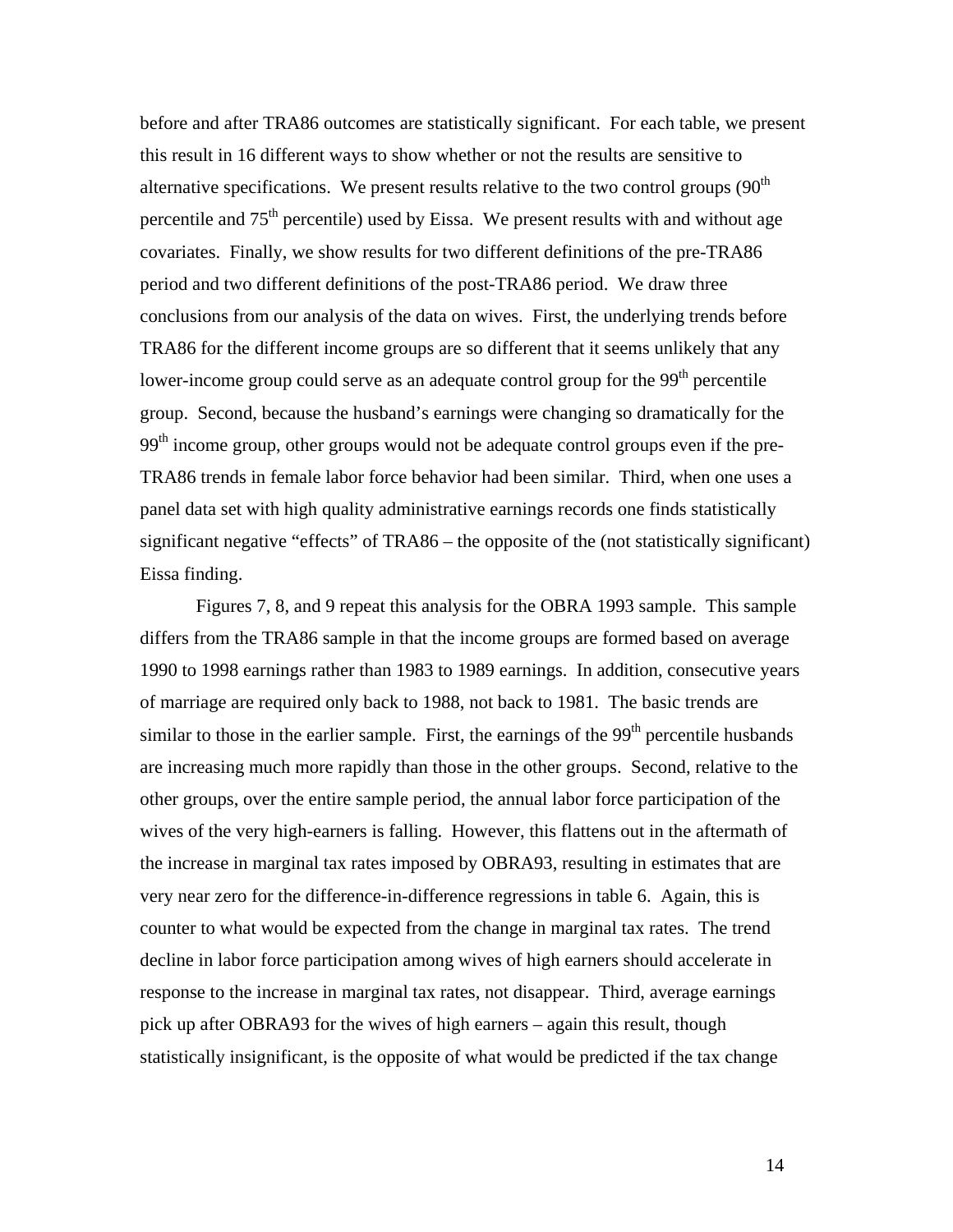before and after TRA86 outcomes are statistically significant. For each table, we present this result in 16 different ways to show whether or not the results are sensitive to alternative specifications. We present results relative to the two control groups  $(90<sup>th</sup>$ percentile and  $75<sup>th</sup>$  percentile) used by Eissa. We present results with and without age covariates. Finally, we show results for two different definitions of the pre-TRA86 period and two different definitions of the post-TRA86 period. We draw three conclusions from our analysis of the data on wives. First, the underlying trends before TRA86 for the different income groups are so different that it seems unlikely that any lower-income group could serve as an adequate control group for the  $99<sup>th</sup>$  percentile group. Second, because the husband's earnings were changing so dramatically for the  $99<sup>th</sup>$  income group, other groups would not be adequate control groups even if the pre-TRA86 trends in female labor force behavior had been similar. Third, when one uses a panel data set with high quality administrative earnings records one finds statistically significant negative "effects" of TRA86 – the opposite of the (not statistically significant) Eissa finding.

 Figures 7, 8, and 9 repeat this analysis for the OBRA 1993 sample. This sample differs from the TRA86 sample in that the income groups are formed based on average 1990 to 1998 earnings rather than 1983 to 1989 earnings. In addition, consecutive years of marriage are required only back to 1988, not back to 1981. The basic trends are similar to those in the earlier sample. First, the earnings of the  $99<sup>th</sup>$  percentile husbands are increasing much more rapidly than those in the other groups. Second, relative to the other groups, over the entire sample period, the annual labor force participation of the wives of the very high-earners is falling. However, this flattens out in the aftermath of the increase in marginal tax rates imposed by OBRA93, resulting in estimates that are very near zero for the difference-in-difference regressions in table 6. Again, this is counter to what would be expected from the change in marginal tax rates. The trend decline in labor force participation among wives of high earners should accelerate in response to the increase in marginal tax rates, not disappear. Third, average earnings pick up after OBRA93 for the wives of high earners – again this result, though statistically insignificant, is the opposite of what would be predicted if the tax change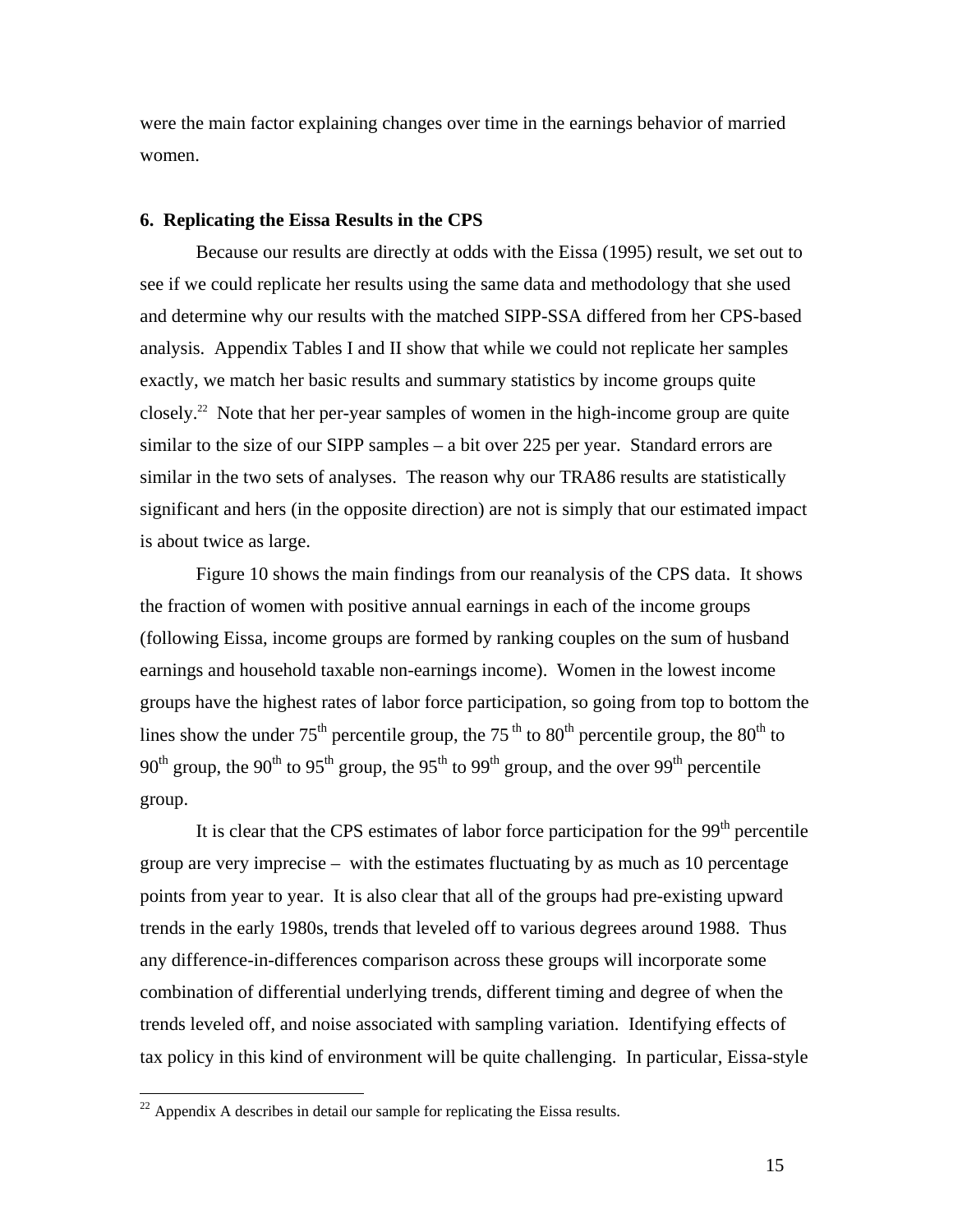were the main factor explaining changes over time in the earnings behavior of married women.

#### **6. Replicating the Eissa Results in the CPS**

 Because our results are directly at odds with the Eissa (1995) result, we set out to see if we could replicate her results using the same data and methodology that she used and determine why our results with the matched SIPP-SSA differed from her CPS-based analysis. Appendix Tables I and II show that while we could not replicate her samples exactly, we match her basic results and summary statistics by income groups quite closely.<sup>22</sup> Note that her per-year samples of women in the high-income group are quite similar to the size of our SIPP samples – a bit over 225 per year. Standard errors are similar in the two sets of analyses. The reason why our TRA86 results are statistically significant and hers (in the opposite direction) are not is simply that our estimated impact is about twice as large.

 Figure 10 shows the main findings from our reanalysis of the CPS data. It shows the fraction of women with positive annual earnings in each of the income groups (following Eissa, income groups are formed by ranking couples on the sum of husband earnings and household taxable non-earnings income). Women in the lowest income groups have the highest rates of labor force participation, so going from top to bottom the lines show the under  $75<sup>th</sup>$  percentile group, the  $75<sup>th</sup>$  to  $80<sup>th</sup>$  percentile group, the  $80<sup>th</sup>$  to 90<sup>th</sup> group, the 90<sup>th</sup> to 95<sup>th</sup> group, the 95<sup>th</sup> to 99<sup>th</sup> group, and the over 99<sup>th</sup> percentile group.

It is clear that the CPS estimates of labor force participation for the  $99<sup>th</sup>$  percentile group are very imprecise – with the estimates fluctuating by as much as 10 percentage points from year to year. It is also clear that all of the groups had pre-existing upward trends in the early 1980s, trends that leveled off to various degrees around 1988. Thus any difference-in-differences comparison across these groups will incorporate some combination of differential underlying trends, different timing and degree of when the trends leveled off, and noise associated with sampling variation. Identifying effects of tax policy in this kind of environment will be quite challenging. In particular, Eissa-style

 $\overline{a}$ 

 $^{22}$  Appendix A describes in detail our sample for replicating the Eissa results.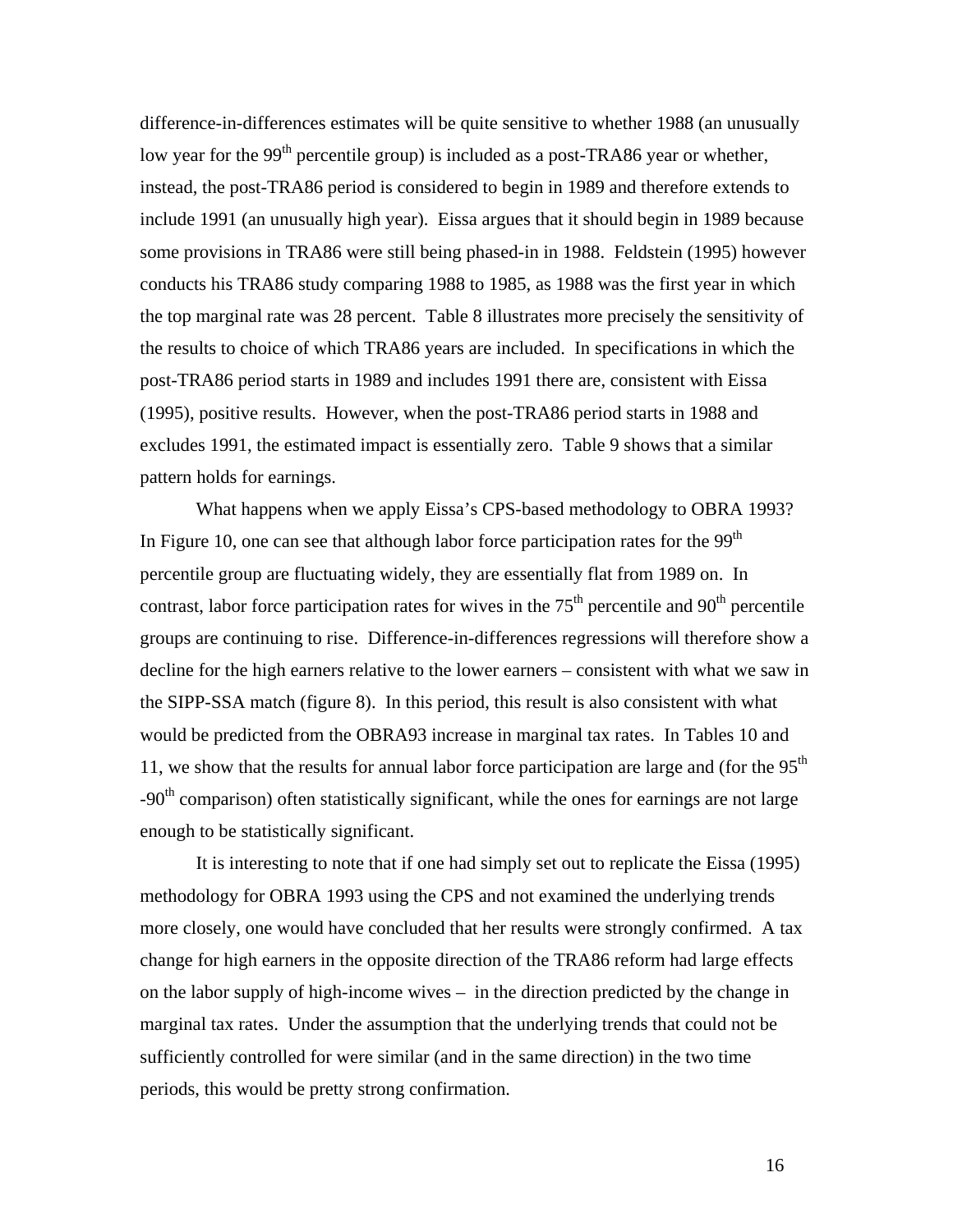difference-in-differences estimates will be quite sensitive to whether 1988 (an unusually low year for the 99<sup>th</sup> percentile group) is included as a post-TRA86 year or whether, instead, the post-TRA86 period is considered to begin in 1989 and therefore extends to include 1991 (an unusually high year). Eissa argues that it should begin in 1989 because some provisions in TRA86 were still being phased-in in 1988. Feldstein (1995) however conducts his TRA86 study comparing 1988 to 1985, as 1988 was the first year in which the top marginal rate was 28 percent. Table 8 illustrates more precisely the sensitivity of the results to choice of which TRA86 years are included. In specifications in which the post-TRA86 period starts in 1989 and includes 1991 there are, consistent with Eissa (1995), positive results. However, when the post-TRA86 period starts in 1988 and excludes 1991, the estimated impact is essentially zero. Table 9 shows that a similar pattern holds for earnings.

 What happens when we apply Eissa's CPS-based methodology to OBRA 1993? In Figure 10, one can see that although labor force participation rates for the  $99<sup>th</sup>$ percentile group are fluctuating widely, they are essentially flat from 1989 on. In contrast, labor force participation rates for wives in the  $75<sup>th</sup>$  percentile and  $90<sup>th</sup>$  percentile groups are continuing to rise. Difference-in-differences regressions will therefore show a decline for the high earners relative to the lower earners – consistent with what we saw in the SIPP-SSA match (figure 8). In this period, this result is also consistent with what would be predicted from the OBRA93 increase in marginal tax rates. In Tables 10 and 11, we show that the results for annual labor force participation are large and (for the  $95<sup>th</sup>$ -90<sup>th</sup> comparison) often statistically significant, while the ones for earnings are not large enough to be statistically significant.

 It is interesting to note that if one had simply set out to replicate the Eissa (1995) methodology for OBRA 1993 using the CPS and not examined the underlying trends more closely, one would have concluded that her results were strongly confirmed. A tax change for high earners in the opposite direction of the TRA86 reform had large effects on the labor supply of high-income wives – in the direction predicted by the change in marginal tax rates. Under the assumption that the underlying trends that could not be sufficiently controlled for were similar (and in the same direction) in the two time periods, this would be pretty strong confirmation.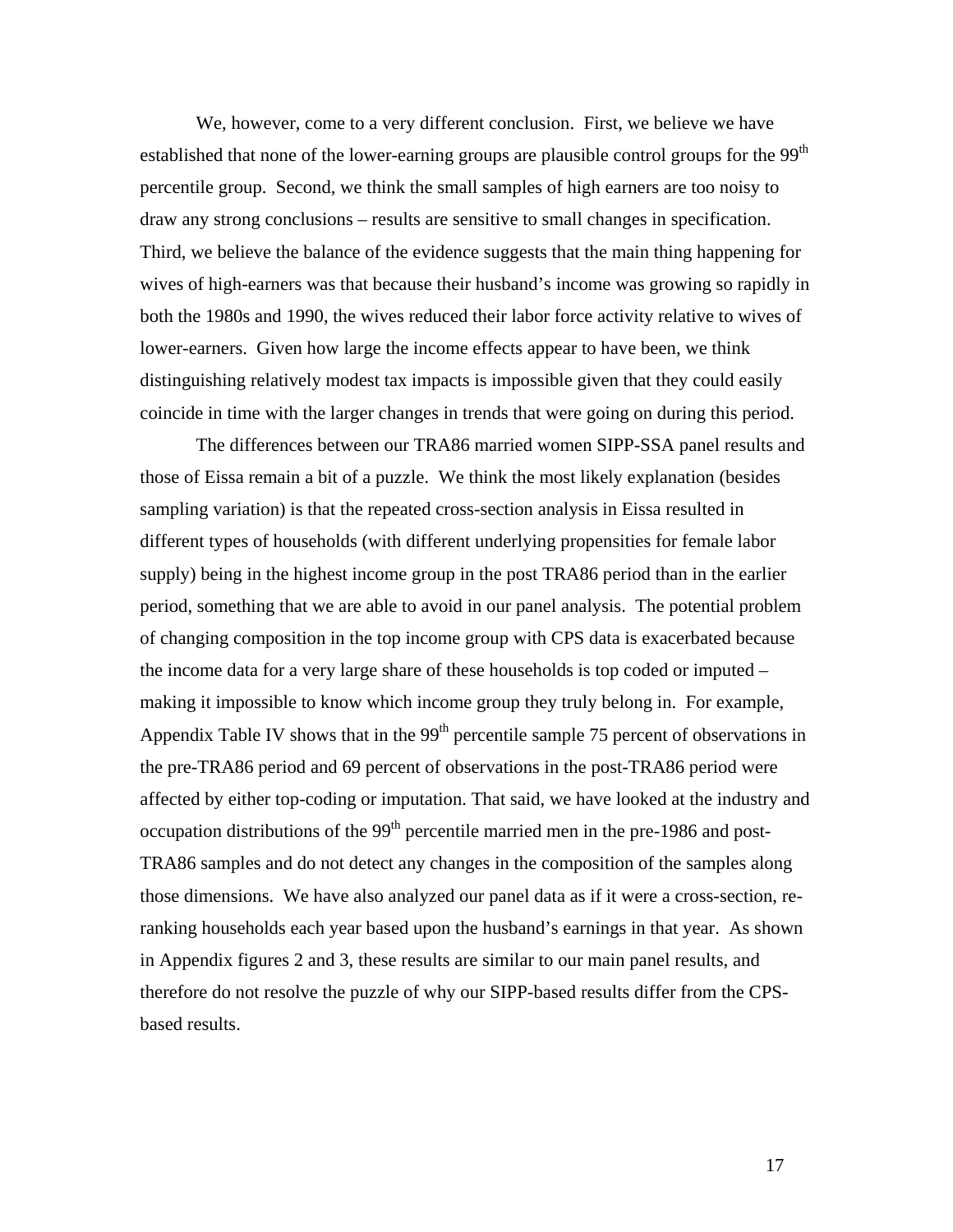We, however, come to a very different conclusion. First, we believe we have established that none of the lower-earning groups are plausible control groups for the 99<sup>th</sup> percentile group. Second, we think the small samples of high earners are too noisy to draw any strong conclusions – results are sensitive to small changes in specification. Third, we believe the balance of the evidence suggests that the main thing happening for wives of high-earners was that because their husband's income was growing so rapidly in both the 1980s and 1990, the wives reduced their labor force activity relative to wives of lower-earners. Given how large the income effects appear to have been, we think distinguishing relatively modest tax impacts is impossible given that they could easily coincide in time with the larger changes in trends that were going on during this period.

 The differences between our TRA86 married women SIPP-SSA panel results and those of Eissa remain a bit of a puzzle. We think the most likely explanation (besides sampling variation) is that the repeated cross-section analysis in Eissa resulted in different types of households (with different underlying propensities for female labor supply) being in the highest income group in the post TRA86 period than in the earlier period, something that we are able to avoid in our panel analysis. The potential problem of changing composition in the top income group with CPS data is exacerbated because the income data for a very large share of these households is top coded or imputed – making it impossible to know which income group they truly belong in. For example, Appendix Table IV shows that in the  $99<sup>th</sup>$  percentile sample 75 percent of observations in the pre-TRA86 period and 69 percent of observations in the post-TRA86 period were affected by either top-coding or imputation. That said, we have looked at the industry and occupation distributions of the  $99<sup>th</sup>$  percentile married men in the pre-1986 and post-TRA86 samples and do not detect any changes in the composition of the samples along those dimensions. We have also analyzed our panel data as if it were a cross-section, reranking households each year based upon the husband's earnings in that year. As shown in Appendix figures 2 and 3, these results are similar to our main panel results, and therefore do not resolve the puzzle of why our SIPP-based results differ from the CPSbased results.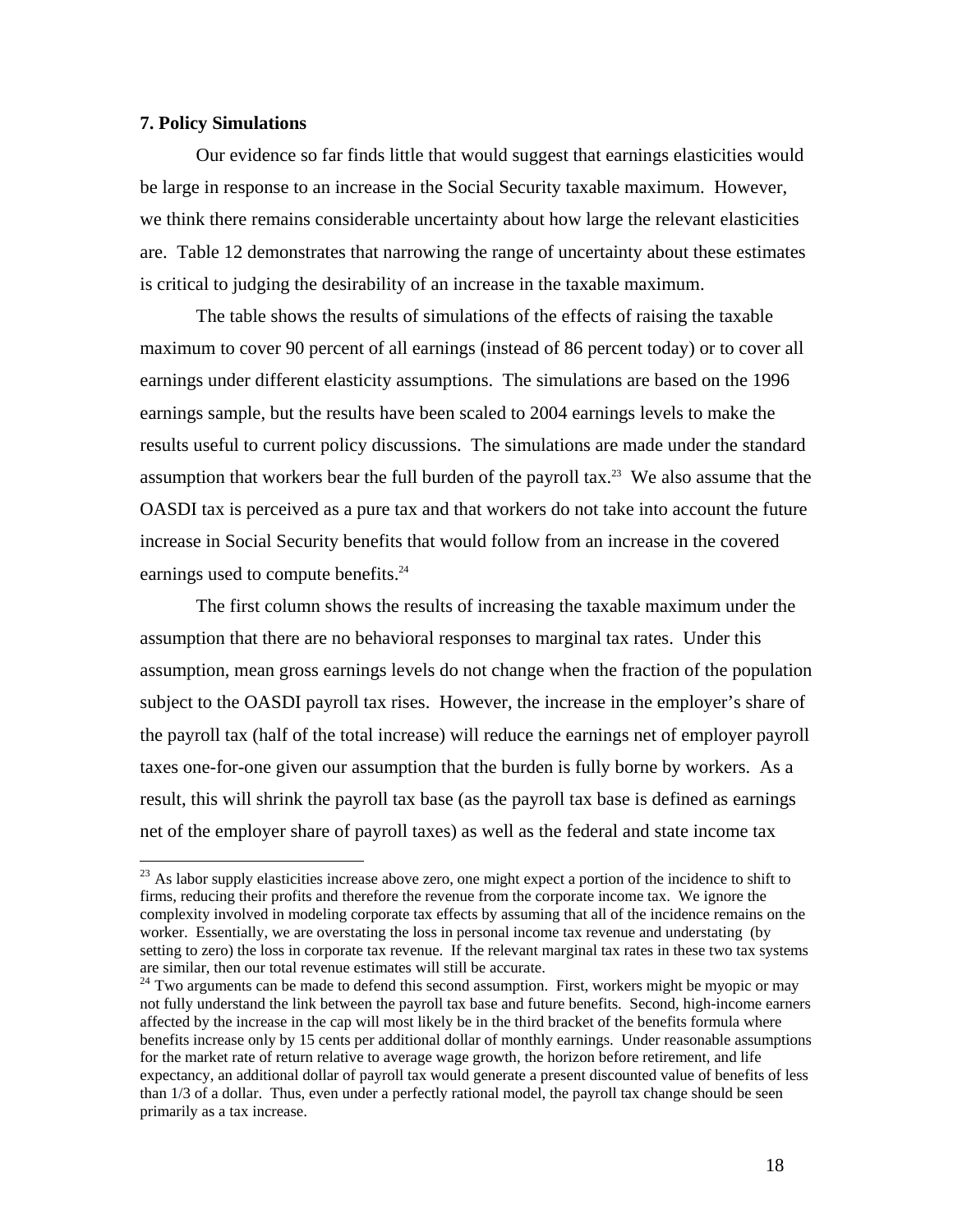## **7. Policy Simulations**

 $\overline{a}$ 

 Our evidence so far finds little that would suggest that earnings elasticities would be large in response to an increase in the Social Security taxable maximum. However, we think there remains considerable uncertainty about how large the relevant elasticities are. Table 12 demonstrates that narrowing the range of uncertainty about these estimates is critical to judging the desirability of an increase in the taxable maximum.

 The table shows the results of simulations of the effects of raising the taxable maximum to cover 90 percent of all earnings (instead of 86 percent today) or to cover all earnings under different elasticity assumptions. The simulations are based on the 1996 earnings sample, but the results have been scaled to 2004 earnings levels to make the results useful to current policy discussions. The simulations are made under the standard assumption that workers bear the full burden of the payroll tax.<sup>23</sup> We also assume that the OASDI tax is perceived as a pure tax and that workers do not take into account the future increase in Social Security benefits that would follow from an increase in the covered earnings used to compute benefits.<sup>24</sup>

 The first column shows the results of increasing the taxable maximum under the assumption that there are no behavioral responses to marginal tax rates. Under this assumption, mean gross earnings levels do not change when the fraction of the population subject to the OASDI payroll tax rises. However, the increase in the employer's share of the payroll tax (half of the total increase) will reduce the earnings net of employer payroll taxes one-for-one given our assumption that the burden is fully borne by workers. As a result, this will shrink the payroll tax base (as the payroll tax base is defined as earnings net of the employer share of payroll taxes) as well as the federal and state income tax

<sup>&</sup>lt;sup>23</sup> As labor supply elasticities increase above zero, one might expect a portion of the incidence to shift to firms, reducing their profits and therefore the revenue from the corporate income tax. We ignore the complexity involved in modeling corporate tax effects by assuming that all of the incidence remains on the worker. Essentially, we are overstating the loss in personal income tax revenue and understating (by setting to zero) the loss in corporate tax revenue. If the relevant marginal tax rates in these two tax systems are similar, then our total revenue estimates will still be accurate.

 $24$  Two arguments can be made to defend this second assumption. First, workers might be myopic or may not fully understand the link between the payroll tax base and future benefits. Second, high-income earners affected by the increase in the cap will most likely be in the third bracket of the benefits formula where benefits increase only by 15 cents per additional dollar of monthly earnings. Under reasonable assumptions for the market rate of return relative to average wage growth, the horizon before retirement, and life expectancy, an additional dollar of payroll tax would generate a present discounted value of benefits of less than 1/3 of a dollar. Thus, even under a perfectly rational model, the payroll tax change should be seen primarily as a tax increase.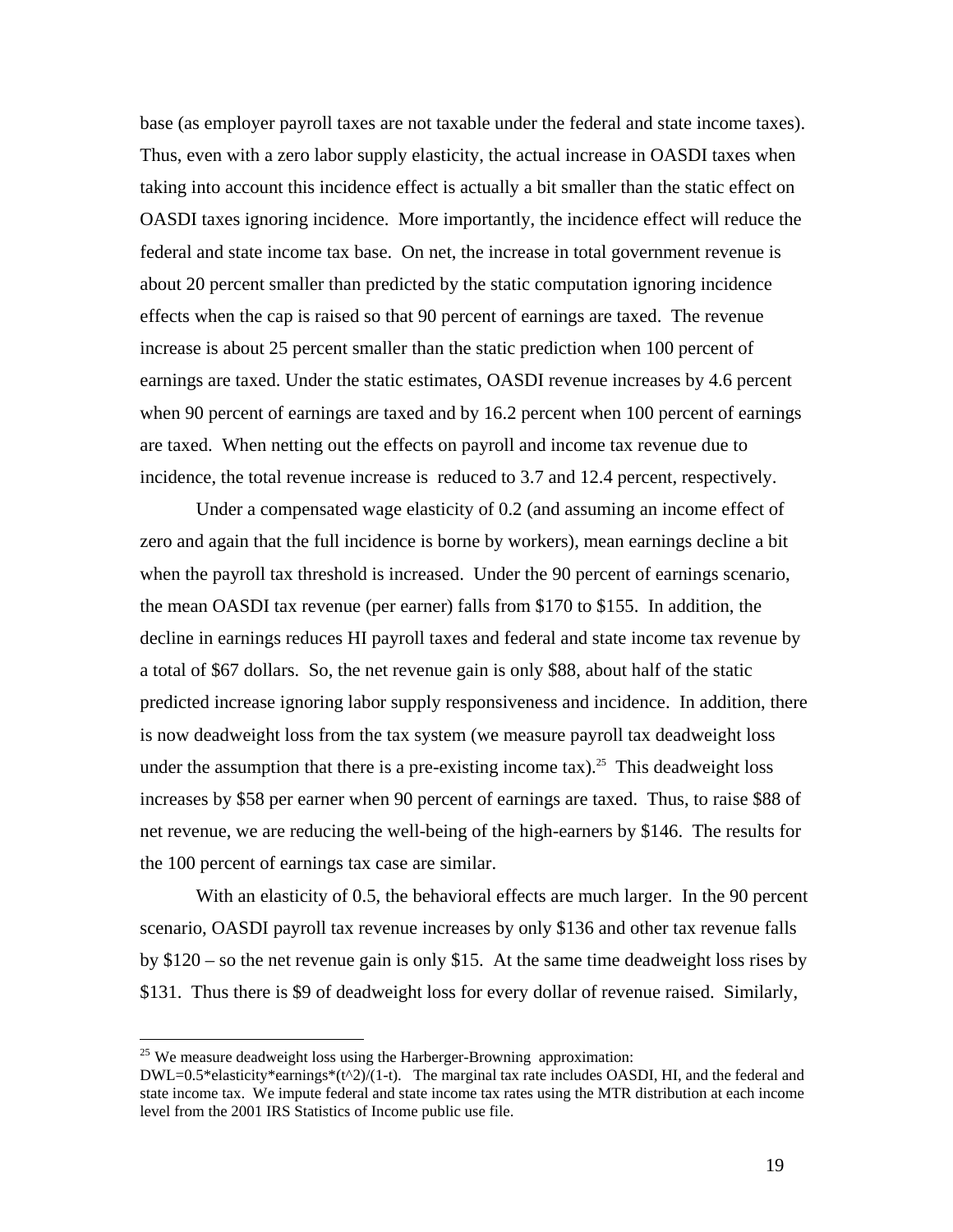base (as employer payroll taxes are not taxable under the federal and state income taxes). Thus, even with a zero labor supply elasticity, the actual increase in OASDI taxes when taking into account this incidence effect is actually a bit smaller than the static effect on OASDI taxes ignoring incidence. More importantly, the incidence effect will reduce the federal and state income tax base. On net, the increase in total government revenue is about 20 percent smaller than predicted by the static computation ignoring incidence effects when the cap is raised so that 90 percent of earnings are taxed. The revenue increase is about 25 percent smaller than the static prediction when 100 percent of earnings are taxed. Under the static estimates, OASDI revenue increases by 4.6 percent when 90 percent of earnings are taxed and by 16.2 percent when 100 percent of earnings are taxed. When netting out the effects on payroll and income tax revenue due to incidence, the total revenue increase is reduced to 3.7 and 12.4 percent, respectively.

 Under a compensated wage elasticity of 0.2 (and assuming an income effect of zero and again that the full incidence is borne by workers), mean earnings decline a bit when the payroll tax threshold is increased. Under the 90 percent of earnings scenario, the mean OASDI tax revenue (per earner) falls from \$170 to \$155. In addition, the decline in earnings reduces HI payroll taxes and federal and state income tax revenue by a total of \$67 dollars. So, the net revenue gain is only \$88, about half of the static predicted increase ignoring labor supply responsiveness and incidence. In addition, there is now deadweight loss from the tax system (we measure payroll tax deadweight loss under the assumption that there is a pre-existing income tax).<sup>25</sup> This deadweight loss increases by \$58 per earner when 90 percent of earnings are taxed. Thus, to raise \$88 of net revenue, we are reducing the well-being of the high-earners by \$146. The results for the 100 percent of earnings tax case are similar.

With an elasticity of 0.5, the behavioral effects are much larger. In the 90 percent scenario, OASDI payroll tax revenue increases by only \$136 and other tax revenue falls by \$120 – so the net revenue gain is only \$15. At the same time deadweight loss rises by \$131. Thus there is \$9 of deadweight loss for every dollar of revenue raised. Similarly,

 $\overline{a}$ 

 $25$  We measure deadweight loss using the Harberger-Browning approximation:

 $DWL=0.5*$ elasticity\*earnings\*(t^2)/(1-t). The marginal tax rate includes OASDI, HI, and the federal and state income tax. We impute federal and state income tax rates using the MTR distribution at each income level from the 2001 IRS Statistics of Income public use file.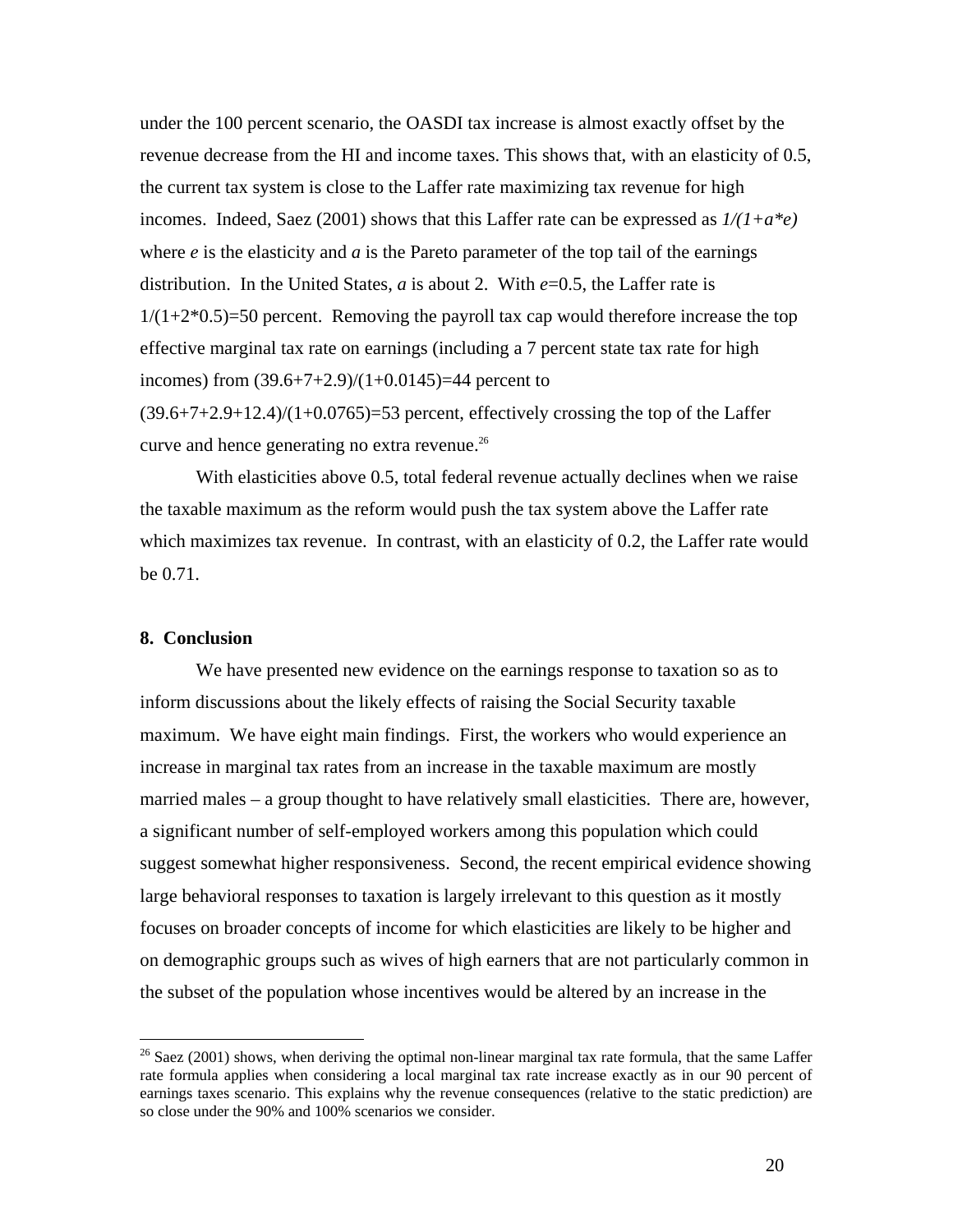under the 100 percent scenario, the OASDI tax increase is almost exactly offset by the revenue decrease from the HI and income taxes. This shows that, with an elasticity of 0.5, the current tax system is close to the Laffer rate maximizing tax revenue for high incomes. Indeed, Saez (2001) shows that this Laffer rate can be expressed as *1/(1+a\*e)* where  $e$  is the elasticity and  $a$  is the Pareto parameter of the top tail of the earnings distribution. In the United States, *a* is about 2. With *e*=0.5, the Laffer rate is  $1/(1+2*0.5)=50$  percent. Removing the payroll tax cap would therefore increase the top effective marginal tax rate on earnings (including a 7 percent state tax rate for high incomes) from  $(39.6+7+2.9)/(1+0.0145) = 44$  percent to  $(39.6+7+2.9+12.4)/(1+0.0765)=53$  percent, effectively crossing the top of the Laffer

curve and hence generating no extra revenue.<sup>26</sup>

With elasticities above 0.5, total federal revenue actually declines when we raise the taxable maximum as the reform would push the tax system above the Laffer rate which maximizes tax revenue. In contrast, with an elasticity of 0.2, the Laffer rate would be 0.71.

# **8. Conclusion**

 $\overline{a}$ 

 We have presented new evidence on the earnings response to taxation so as to inform discussions about the likely effects of raising the Social Security taxable maximum. We have eight main findings. First, the workers who would experience an increase in marginal tax rates from an increase in the taxable maximum are mostly married males – a group thought to have relatively small elasticities. There are, however, a significant number of self-employed workers among this population which could suggest somewhat higher responsiveness. Second, the recent empirical evidence showing large behavioral responses to taxation is largely irrelevant to this question as it mostly focuses on broader concepts of income for which elasticities are likely to be higher and on demographic groups such as wives of high earners that are not particularly common in the subset of the population whose incentives would be altered by an increase in the

<sup>&</sup>lt;sup>26</sup> Saez (2001) shows, when deriving the optimal non-linear marginal tax rate formula, that the same Laffer rate formula applies when considering a local marginal tax rate increase exactly as in our 90 percent of earnings taxes scenario. This explains why the revenue consequences (relative to the static prediction) are so close under the 90% and 100% scenarios we consider.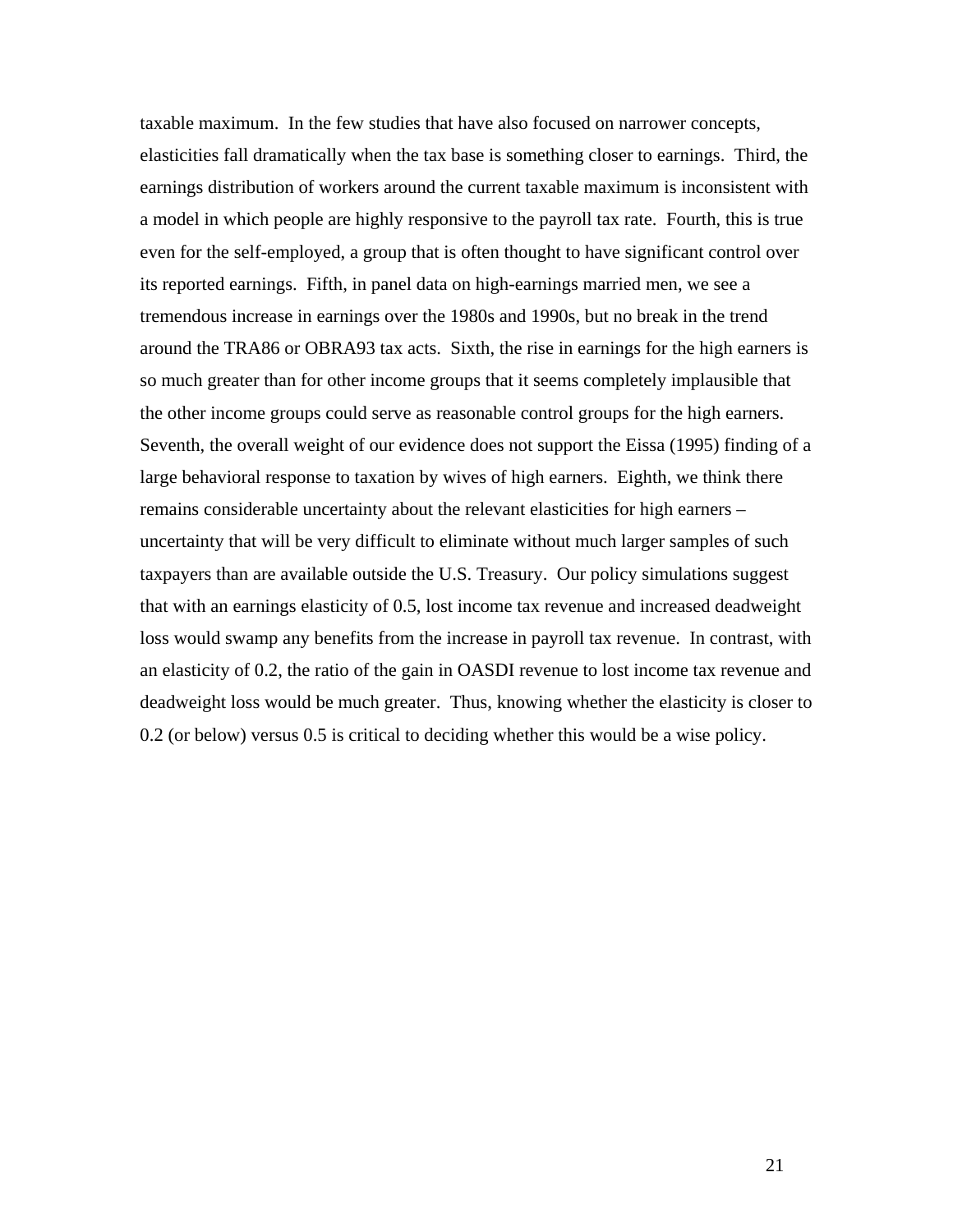taxable maximum. In the few studies that have also focused on narrower concepts, elasticities fall dramatically when the tax base is something closer to earnings. Third, the earnings distribution of workers around the current taxable maximum is inconsistent with a model in which people are highly responsive to the payroll tax rate. Fourth, this is true even for the self-employed, a group that is often thought to have significant control over its reported earnings. Fifth, in panel data on high-earnings married men, we see a tremendous increase in earnings over the 1980s and 1990s, but no break in the trend around the TRA86 or OBRA93 tax acts. Sixth, the rise in earnings for the high earners is so much greater than for other income groups that it seems completely implausible that the other income groups could serve as reasonable control groups for the high earners. Seventh, the overall weight of our evidence does not support the Eissa (1995) finding of a large behavioral response to taxation by wives of high earners. Eighth, we think there remains considerable uncertainty about the relevant elasticities for high earners – uncertainty that will be very difficult to eliminate without much larger samples of such taxpayers than are available outside the U.S. Treasury. Our policy simulations suggest that with an earnings elasticity of 0.5, lost income tax revenue and increased deadweight loss would swamp any benefits from the increase in payroll tax revenue. In contrast, with an elasticity of 0.2, the ratio of the gain in OASDI revenue to lost income tax revenue and deadweight loss would be much greater. Thus, knowing whether the elasticity is closer to 0.2 (or below) versus 0.5 is critical to deciding whether this would be a wise policy.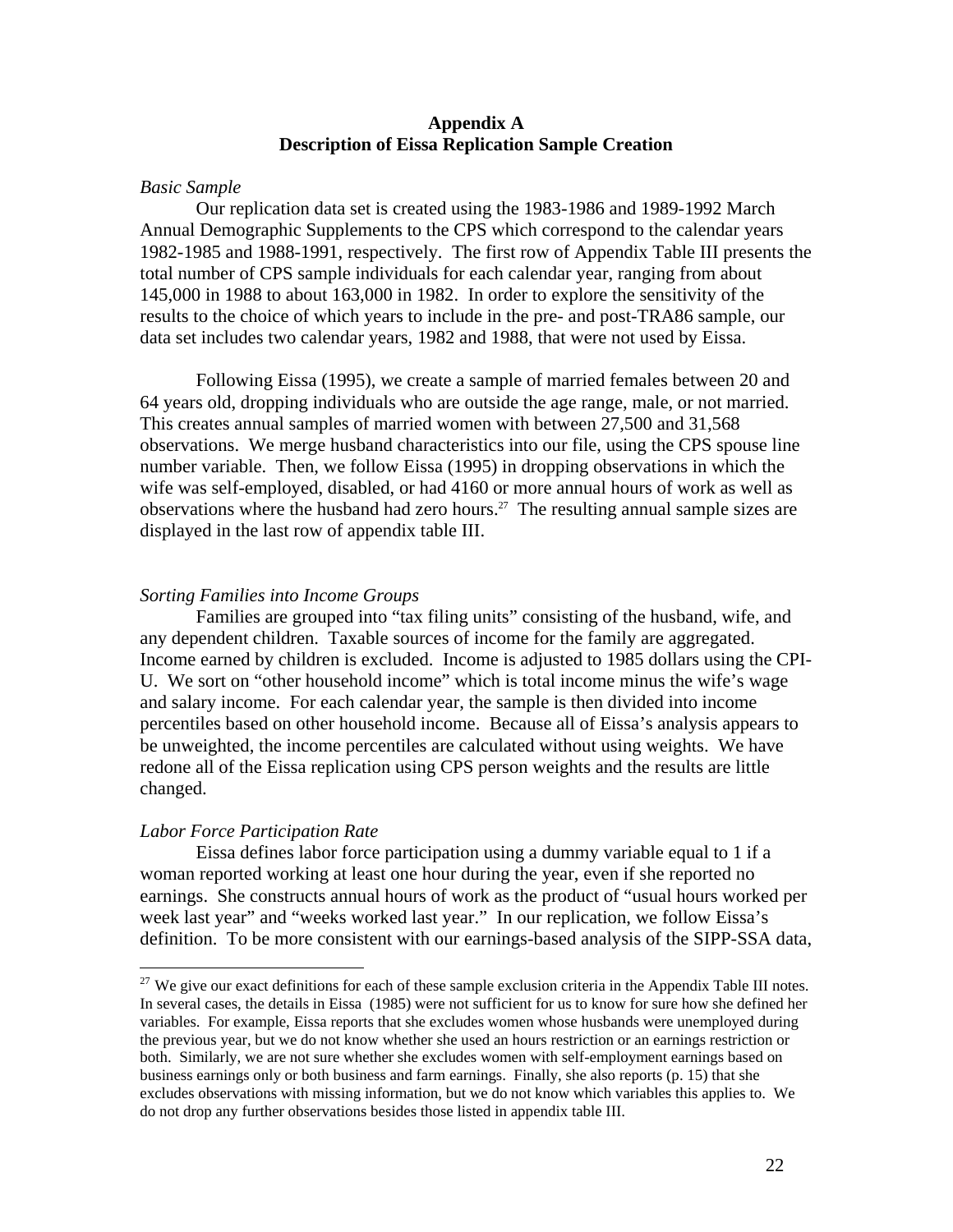## **Appendix A Description of Eissa Replication Sample Creation**

#### *Basic Sample*

 Our replication data set is created using the 1983-1986 and 1989-1992 March Annual Demographic Supplements to the CPS which correspond to the calendar years 1982-1985 and 1988-1991, respectively. The first row of Appendix Table III presents the total number of CPS sample individuals for each calendar year, ranging from about 145,000 in 1988 to about 163,000 in 1982. In order to explore the sensitivity of the results to the choice of which years to include in the pre- and post-TRA86 sample, our data set includes two calendar years, 1982 and 1988, that were not used by Eissa.

 Following Eissa (1995), we create a sample of married females between 20 and 64 years old, dropping individuals who are outside the age range, male, or not married. This creates annual samples of married women with between 27,500 and 31,568 observations. We merge husband characteristics into our file, using the CPS spouse line number variable. Then, we follow Eissa (1995) in dropping observations in which the wife was self-employed, disabled, or had 4160 or more annual hours of work as well as observations where the husband had zero hours.27 The resulting annual sample sizes are displayed in the last row of appendix table III.

#### *Sorting Families into Income Groups*

 Families are grouped into "tax filing units" consisting of the husband, wife, and any dependent children. Taxable sources of income for the family are aggregated. Income earned by children is excluded. Income is adjusted to 1985 dollars using the CPI-U. We sort on "other household income" which is total income minus the wife's wage and salary income. For each calendar year, the sample is then divided into income percentiles based on other household income. Because all of Eissa's analysis appears to be unweighted, the income percentiles are calculated without using weights. We have redone all of the Eissa replication using CPS person weights and the results are little changed.

#### *Labor Force Participation Rate*

 $\overline{a}$ 

 Eissa defines labor force participation using a dummy variable equal to 1 if a woman reported working at least one hour during the year, even if she reported no earnings. She constructs annual hours of work as the product of "usual hours worked per week last year" and "weeks worked last year." In our replication, we follow Eissa's definition. To be more consistent with our earnings-based analysis of the SIPP-SSA data,

 $27$  We give our exact definitions for each of these sample exclusion criteria in the Appendix Table III notes. In several cases, the details in Eissa (1985) were not sufficient for us to know for sure how she defined her variables. For example, Eissa reports that she excludes women whose husbands were unemployed during the previous year, but we do not know whether she used an hours restriction or an earnings restriction or both. Similarly, we are not sure whether she excludes women with self-employment earnings based on business earnings only or both business and farm earnings. Finally, she also reports (p. 15) that she excludes observations with missing information, but we do not know which variables this applies to. We do not drop any further observations besides those listed in appendix table III.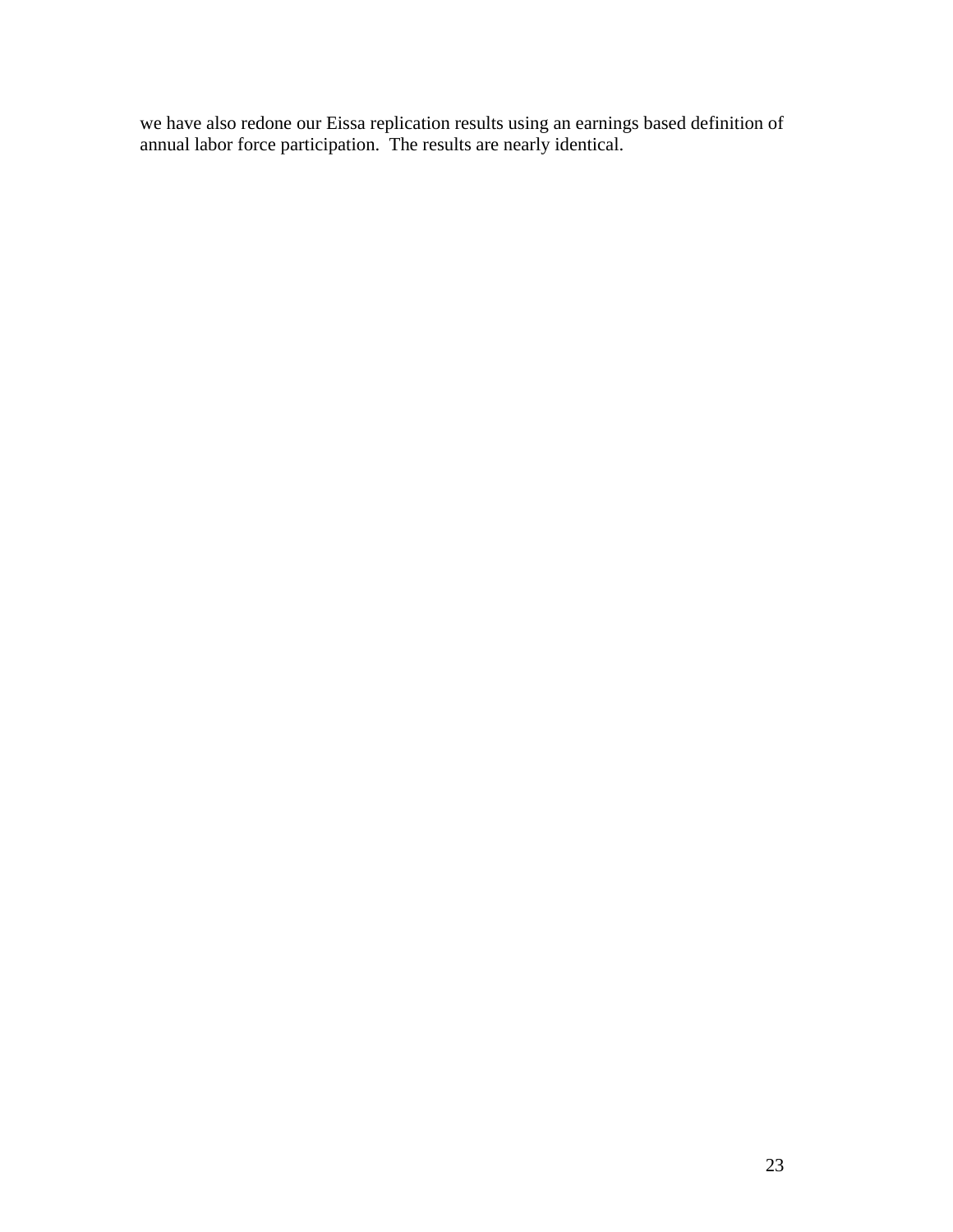we have also redone our Eissa replication results using an earnings based definition of annual labor force participation. The results are nearly identical.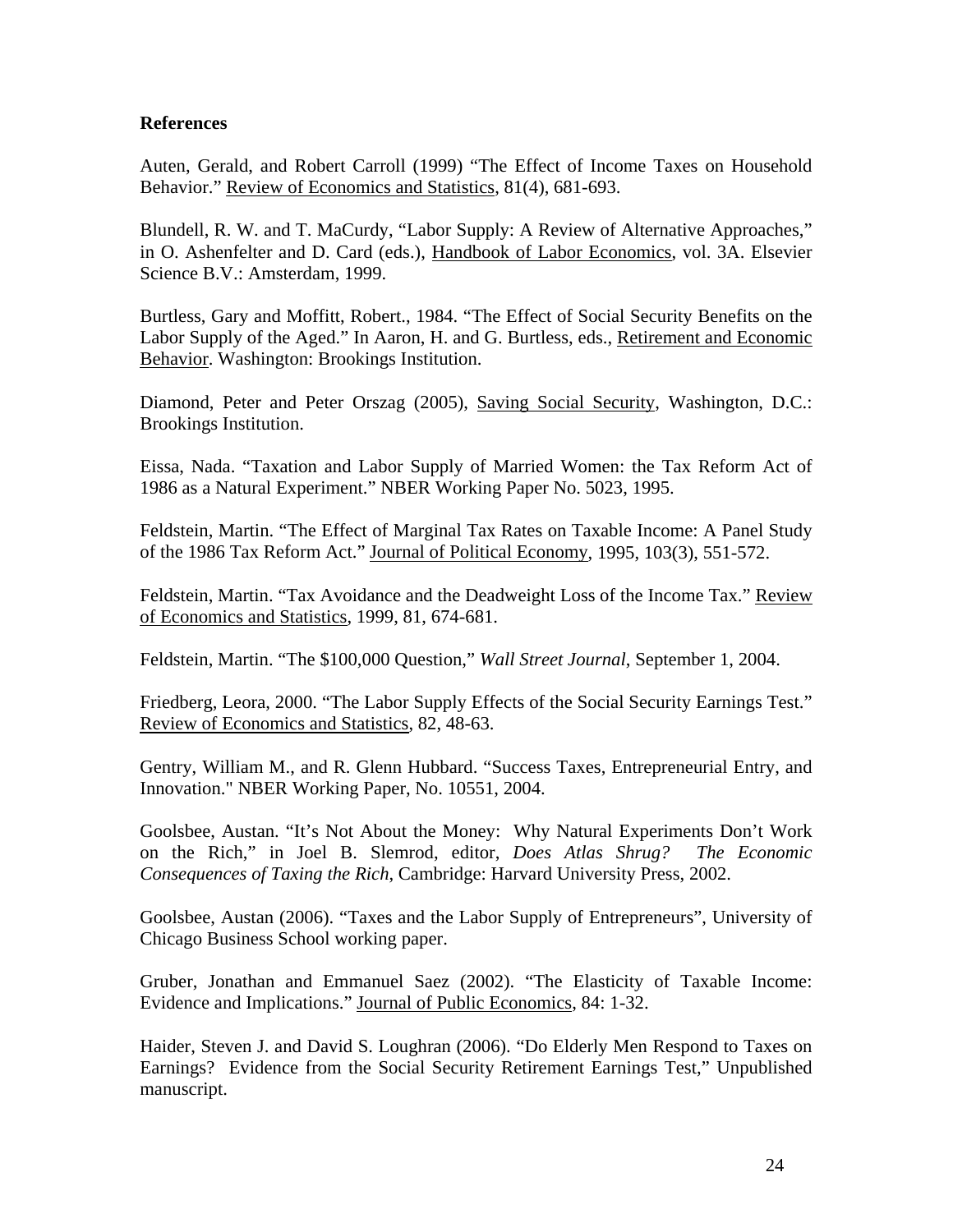# **References**

Auten, Gerald, and Robert Carroll (1999) "The Effect of Income Taxes on Household Behavior." Review of Economics and Statistics, 81(4), 681-693.

Blundell, R. W. and T. MaCurdy, "Labor Supply: A Review of Alternative Approaches," in O. Ashenfelter and D. Card (eds.), Handbook of Labor Economics, vol. 3A. Elsevier Science B.V.: Amsterdam, 1999.

Burtless, Gary and Moffitt, Robert., 1984. "The Effect of Social Security Benefits on the Labor Supply of the Aged." In Aaron, H. and G. Burtless, eds., Retirement and Economic Behavior. Washington: Brookings Institution.

Diamond, Peter and Peter Orszag (2005), Saving Social Security, Washington, D.C.: Brookings Institution.

Eissa, Nada. "Taxation and Labor Supply of Married Women: the Tax Reform Act of 1986 as a Natural Experiment." NBER Working Paper No. 5023, 1995.

Feldstein, Martin. "The Effect of Marginal Tax Rates on Taxable Income: A Panel Study of the 1986 Tax Reform Act." Journal of Political Economy, 1995, 103(3), 551-572.

Feldstein, Martin. "Tax Avoidance and the Deadweight Loss of the Income Tax." Review of Economics and Statistics, 1999, 81, 674-681.

Feldstein, Martin. "The \$100,000 Question," *Wall Street Journal*, September 1, 2004.

Friedberg, Leora, 2000. "The Labor Supply Effects of the Social Security Earnings Test." Review of Economics and Statistics, 82, 48-63.

Gentry, William M., and R. Glenn Hubbard. "Success Taxes, Entrepreneurial Entry, and Innovation." NBER Working Paper, No. 10551, 2004.

Goolsbee, Austan. "It's Not About the Money: Why Natural Experiments Don't Work on the Rich," in Joel B. Slemrod, editor, *Does Atlas Shrug? The Economic Consequences of Taxing the Rich*, Cambridge: Harvard University Press, 2002.

Goolsbee, Austan (2006). "Taxes and the Labor Supply of Entrepreneurs", University of Chicago Business School working paper.

Gruber, Jonathan and Emmanuel Saez (2002). "The Elasticity of Taxable Income: Evidence and Implications." Journal of Public Economics, 84: 1-32.

Haider, Steven J. and David S. Loughran (2006). "Do Elderly Men Respond to Taxes on Earnings? Evidence from the Social Security Retirement Earnings Test," Unpublished manuscript.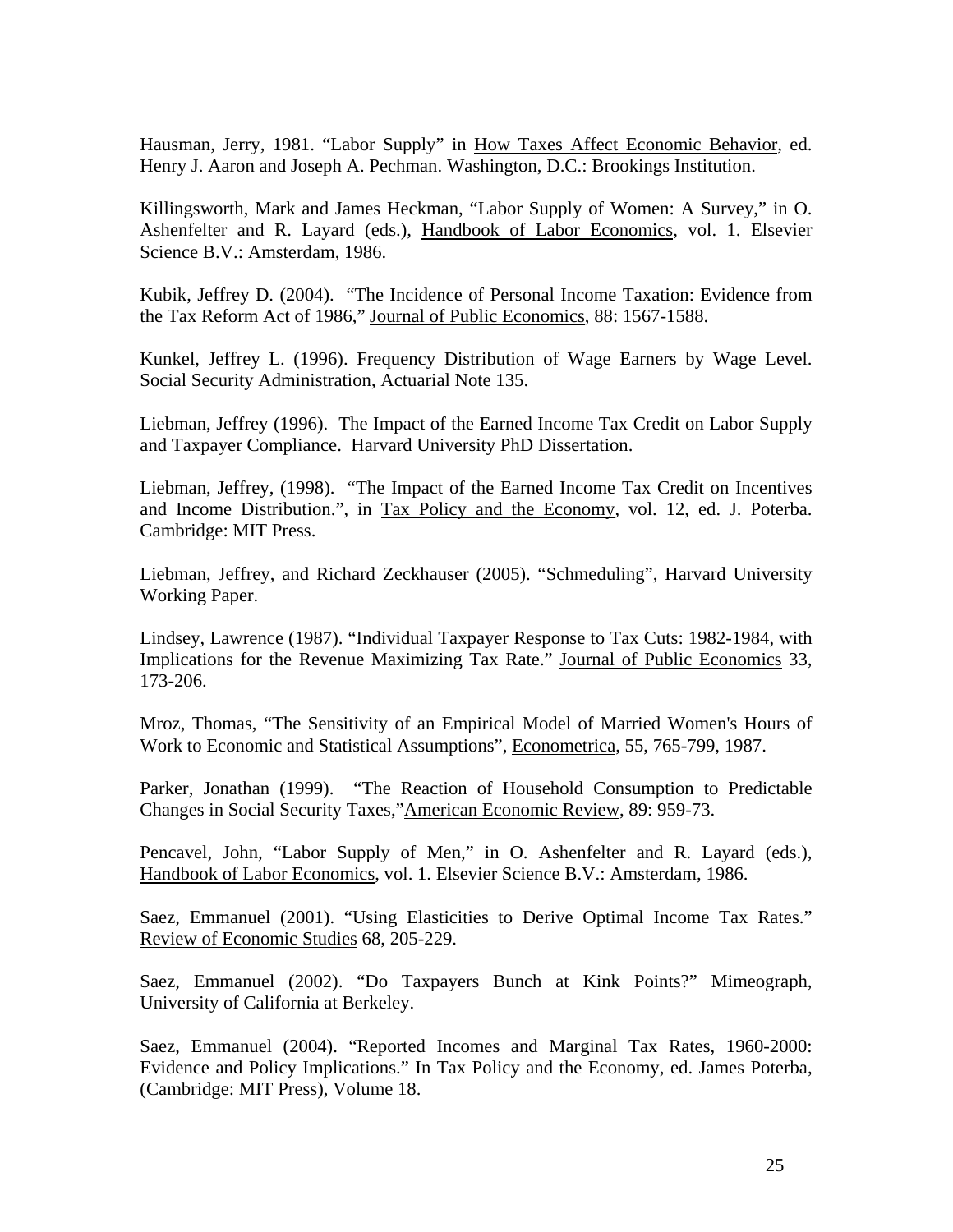Hausman, Jerry, 1981. "Labor Supply" in How Taxes Affect Economic Behavior, ed. Henry J. Aaron and Joseph A. Pechman. Washington, D.C.: Brookings Institution.

Killingsworth, Mark and James Heckman, "Labor Supply of Women: A Survey," in O. Ashenfelter and R. Layard (eds.), Handbook of Labor Economics, vol. 1. Elsevier Science B.V.: Amsterdam, 1986.

Kubik, Jeffrey D. (2004). "The Incidence of Personal Income Taxation: Evidence from the Tax Reform Act of 1986," Journal of Public Economics, 88: 1567-1588.

Kunkel, Jeffrey L. (1996). Frequency Distribution of Wage Earners by Wage Level. Social Security Administration, Actuarial Note 135.

Liebman, Jeffrey (1996). The Impact of the Earned Income Tax Credit on Labor Supply and Taxpayer Compliance. Harvard University PhD Dissertation.

Liebman, Jeffrey, (1998). "The Impact of the Earned Income Tax Credit on Incentives and Income Distribution.", in Tax Policy and the Economy, vol. 12, ed. J. Poterba. Cambridge: MIT Press.

Liebman, Jeffrey, and Richard Zeckhauser (2005). "Schmeduling", Harvard University Working Paper.

Lindsey, Lawrence (1987). "Individual Taxpayer Response to Tax Cuts: 1982-1984, with Implications for the Revenue Maximizing Tax Rate." Journal of Public Economics 33, 173-206.

Mroz, Thomas, "The Sensitivity of an Empirical Model of Married Women's Hours of Work to Economic and Statistical Assumptions", Econometrica, 55, 765-799, 1987.

Parker, Jonathan (1999). "The Reaction of Household Consumption to Predictable Changes in Social Security Taxes,"American Economic Review, 89: 959-73.

Pencavel, John, "Labor Supply of Men," in O. Ashenfelter and R. Layard (eds.), Handbook of Labor Economics, vol. 1. Elsevier Science B.V.: Amsterdam, 1986.

Saez, Emmanuel (2001). "Using Elasticities to Derive Optimal Income Tax Rates." Review of Economic Studies 68, 205-229.

Saez, Emmanuel (2002). "Do Taxpayers Bunch at Kink Points?" Mimeograph, University of California at Berkeley.

Saez, Emmanuel (2004). "Reported Incomes and Marginal Tax Rates, 1960-2000: Evidence and Policy Implications." In Tax Policy and the Economy, ed. James Poterba, (Cambridge: MIT Press), Volume 18.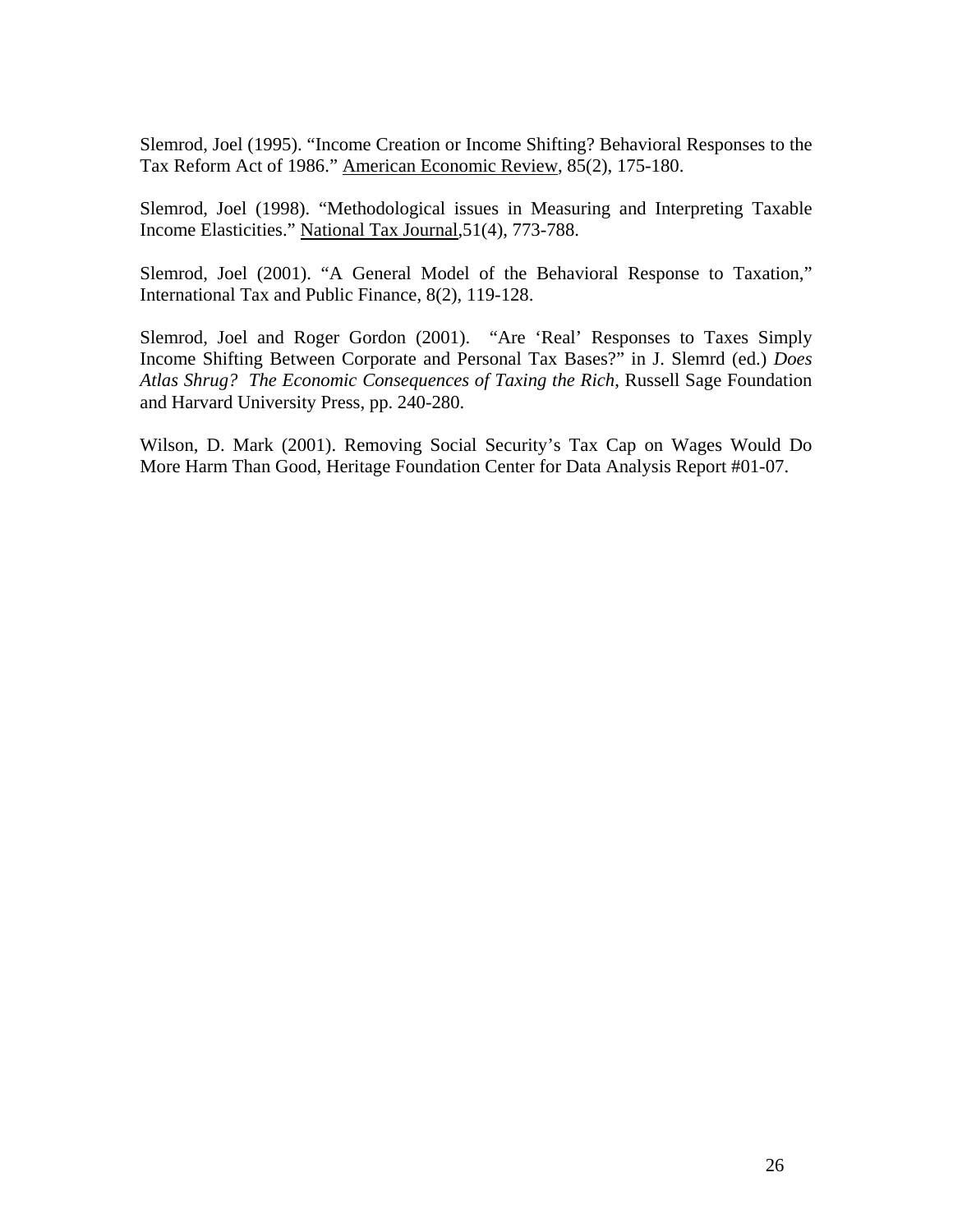Slemrod, Joel (1995). "Income Creation or Income Shifting? Behavioral Responses to the Tax Reform Act of 1986." American Economic Review, 85(2), 175-180.

Slemrod, Joel (1998). "Methodological issues in Measuring and Interpreting Taxable Income Elasticities." National Tax Journal,51(4), 773-788.

Slemrod, Joel (2001). "A General Model of the Behavioral Response to Taxation," International Tax and Public Finance, 8(2), 119-128.

Slemrod, Joel and Roger Gordon (2001). "Are 'Real' Responses to Taxes Simply Income Shifting Between Corporate and Personal Tax Bases?" in J. Slemrd (ed.) *Does Atlas Shrug? The Economic Consequences of Taxing the Rich*, Russell Sage Foundation and Harvard University Press, pp. 240-280.

Wilson, D. Mark (2001). Removing Social Security's Tax Cap on Wages Would Do More Harm Than Good, Heritage Foundation Center for Data Analysis Report #01-07.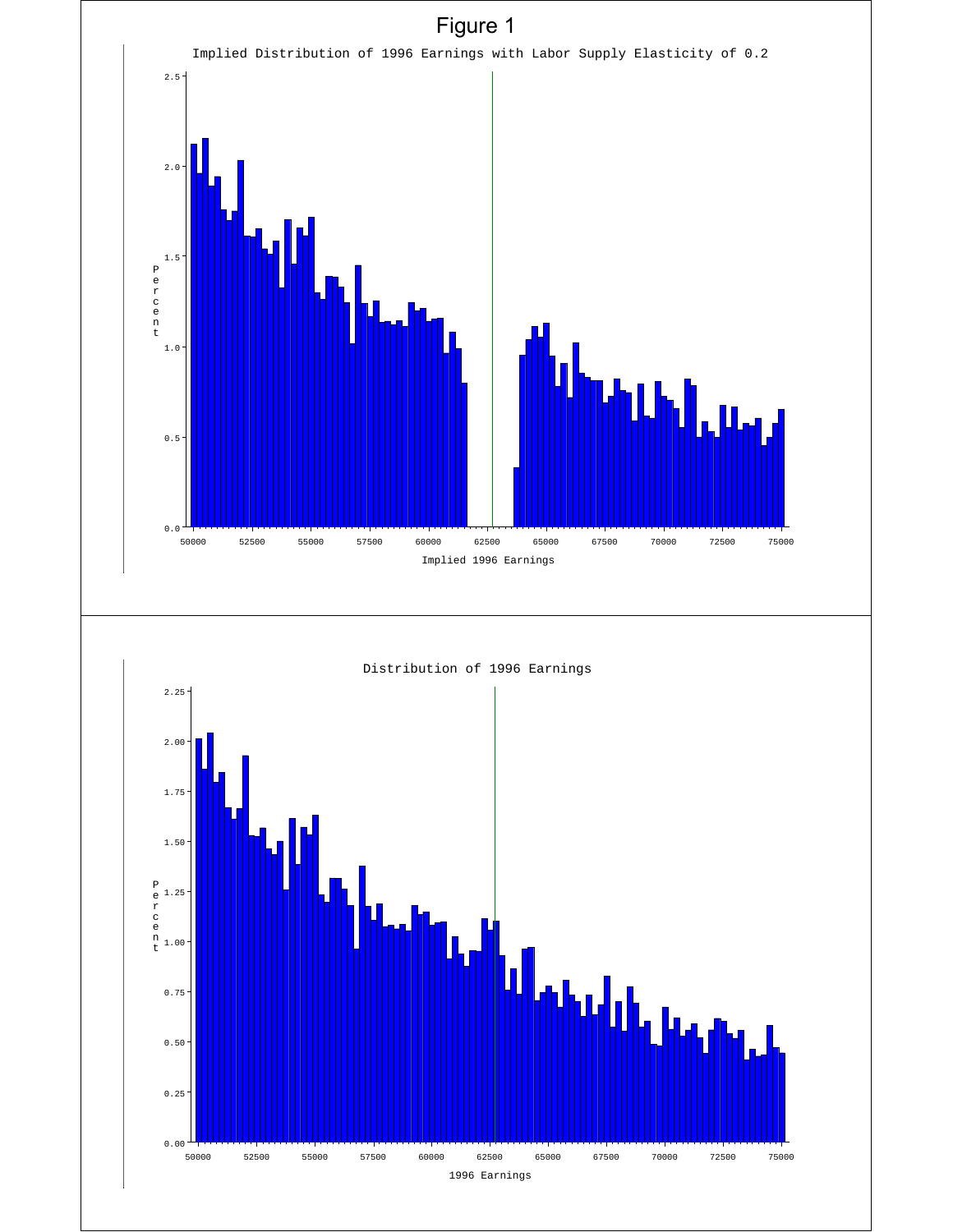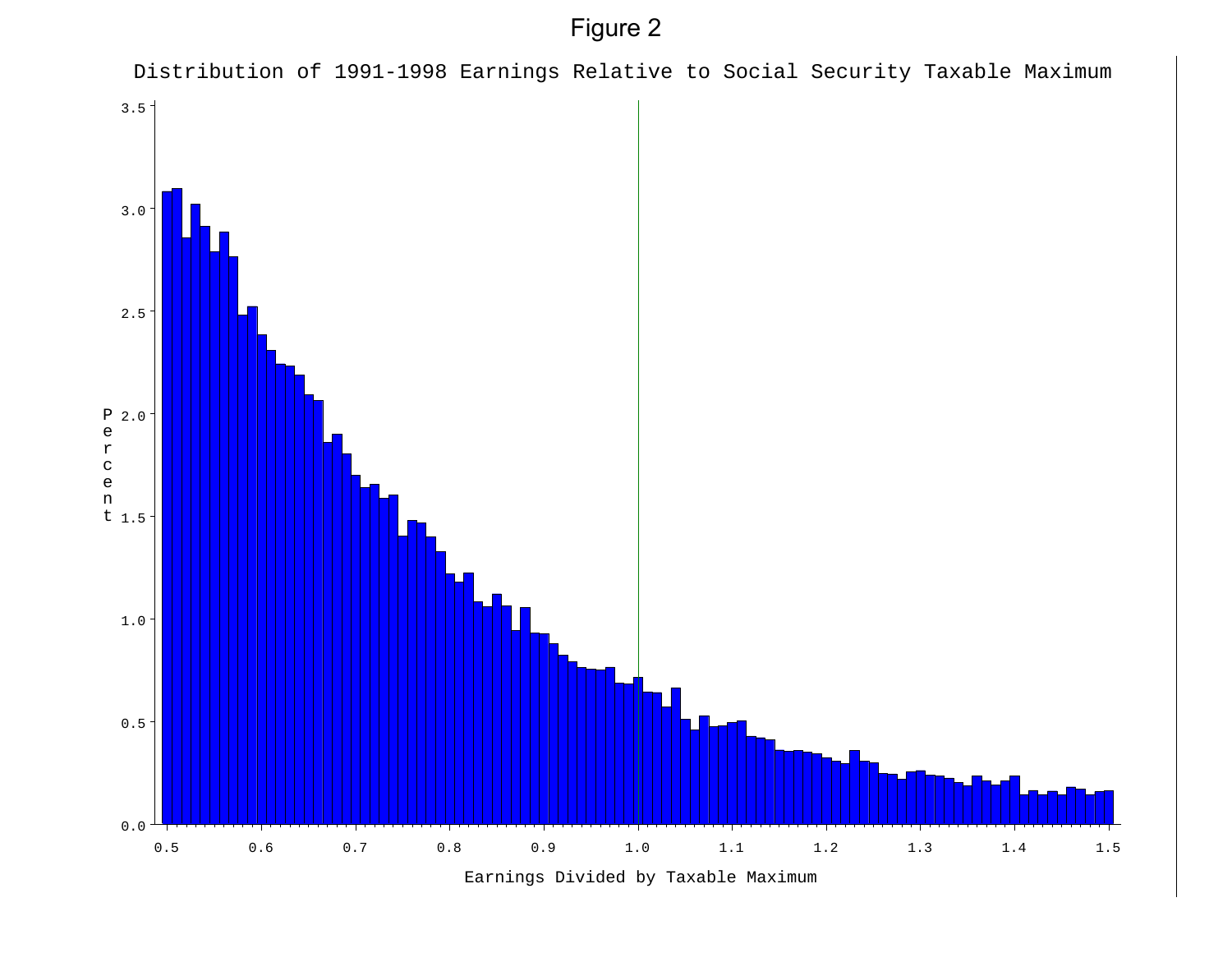Figure 2



Earnings Divided by Taxable Maximum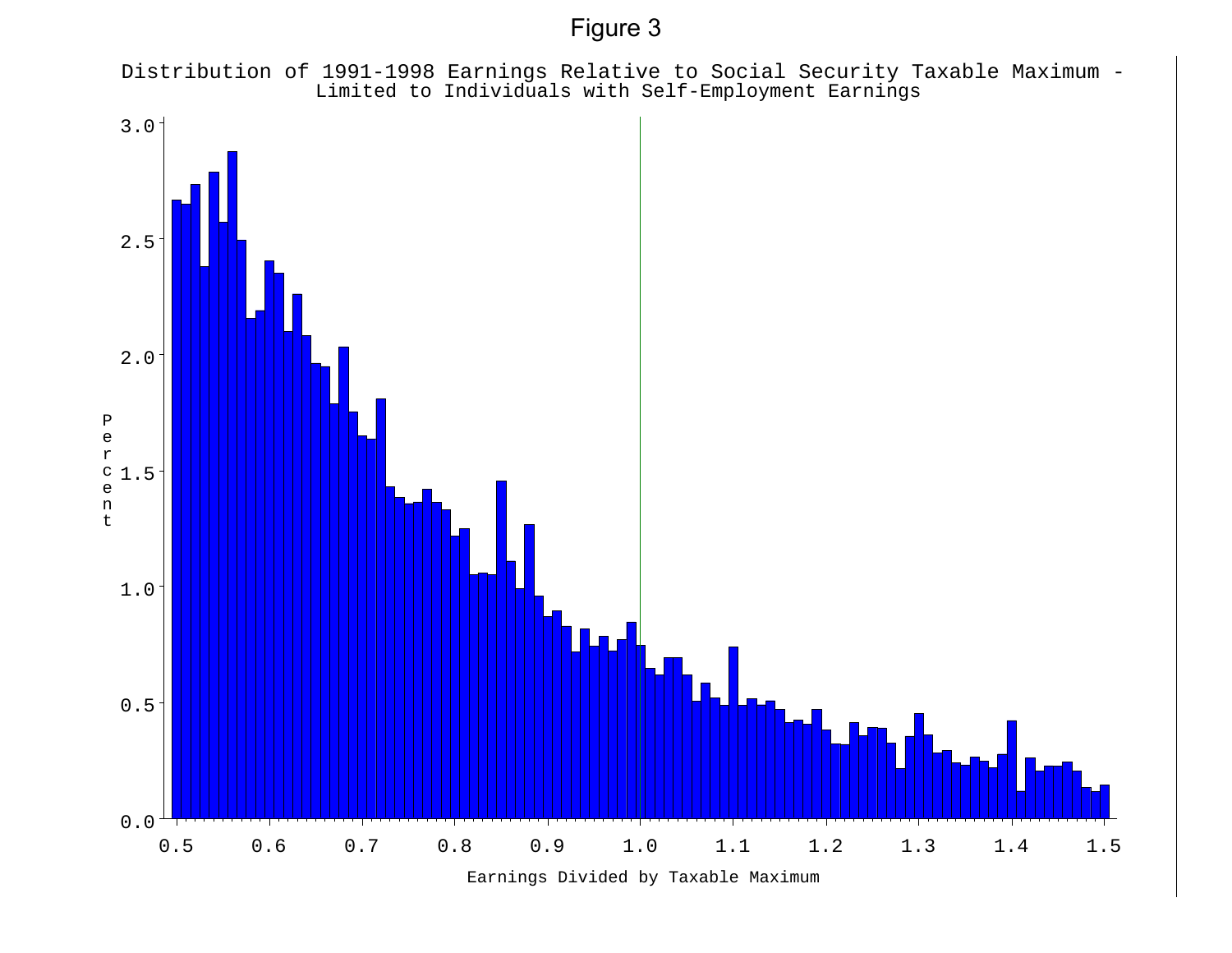Figure 3

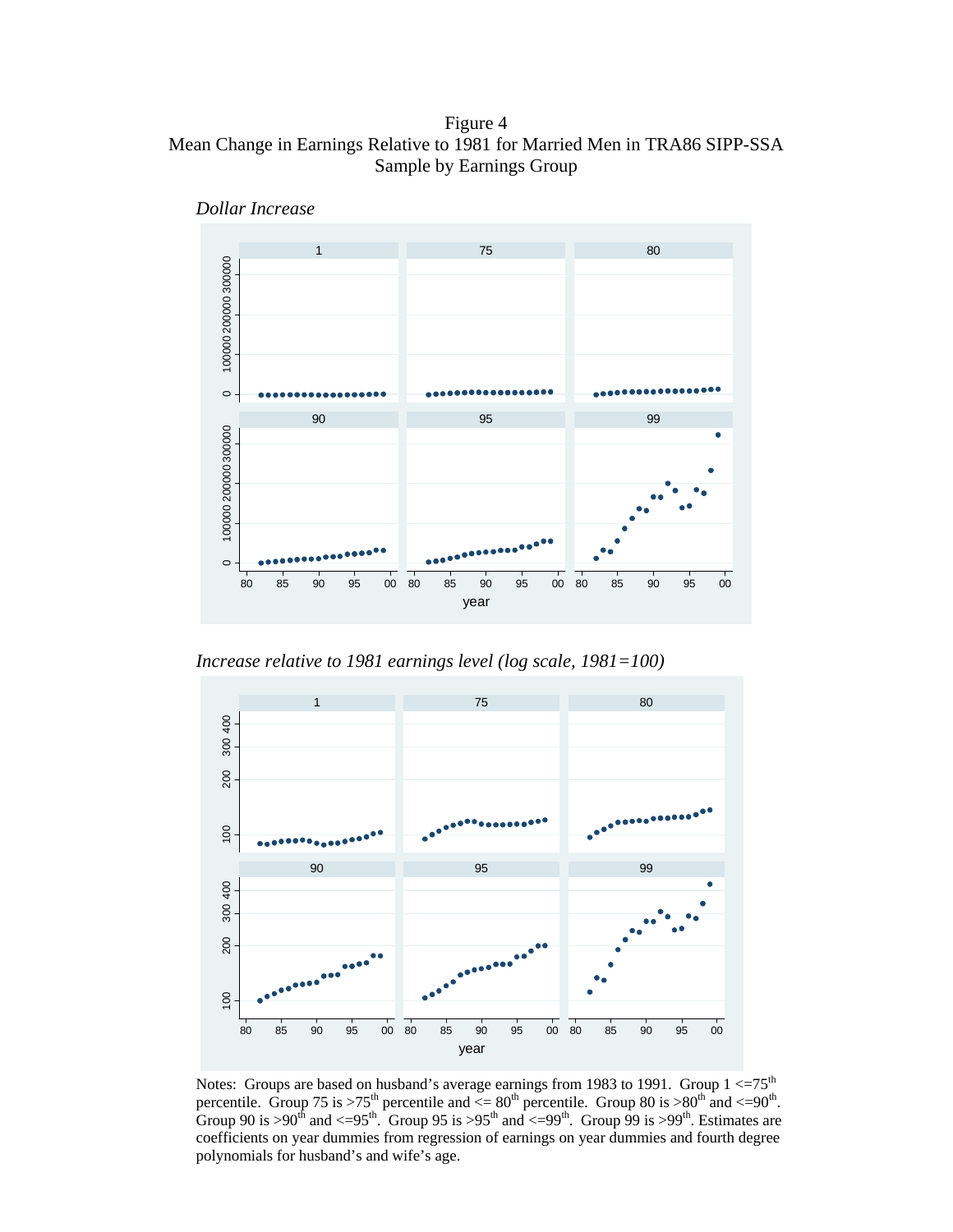Figure 4 Mean Change in Earnings Relative to 1981 for Married Men in TRA86 SIPP-SSA Sample by Earnings Group



*Dollar Increase* 

*Increase relative to 1981 earnings level (log scale, 1981=100)* 



Notes: Groups are based on husband's average earnings from 1983 to 1991. Group  $1 \leq 75^{th}$ percentile. Group 75 is >75<sup>th</sup> percentile and  $\leq 80^{th}$  percentile. Group 80 is >80<sup>th</sup> and  $\leq 90^{th}$ . Group 90 is >90<sup>th</sup> and <=95<sup>th</sup>. Group 95 is >95<sup>th</sup> and <=99<sup>th</sup>. Group 99 is >99<sup>th</sup>. Estimates are coefficients on year dummies from regression of earnings on year dummies and fourth degree polynomials for husband's and wife's age.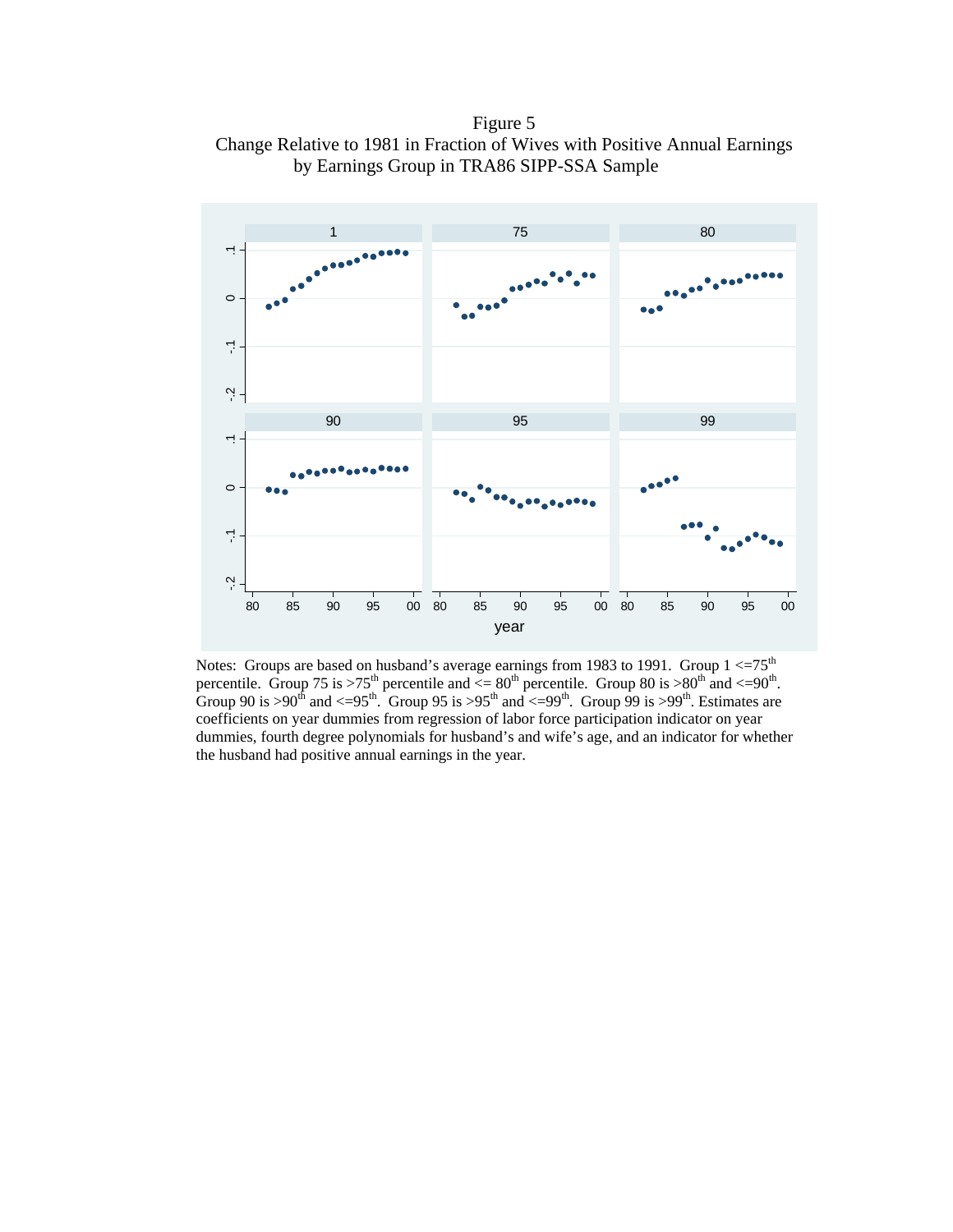Figure 5 Change Relative to 1981 in Fraction of Wives with Positive Annual Earnings by Earnings Group in TRA86 SIPP-SSA Sample



Notes: Groups are based on husband's average earnings from 1983 to 1991. Group  $1 < 75<sup>th</sup>$ percentile. Group 75 is >75<sup>th</sup> percentile and  $\leq 80^{th}$  percentile. Group 80 is >80<sup>th</sup> and  $\leq 90^{th}$ . Group 90 is >90<sup>th</sup> and <=95<sup>th</sup>. Group 95 is >95<sup>th</sup> and <=99<sup>th</sup>. Group 99 is >99<sup>th</sup>. Estimates are coefficients on year dummies from regression of labor force participation indicator on year dummies, fourth degree polynomials for husband's and wife's age, and an indicator for whether the husband had positive annual earnings in the year.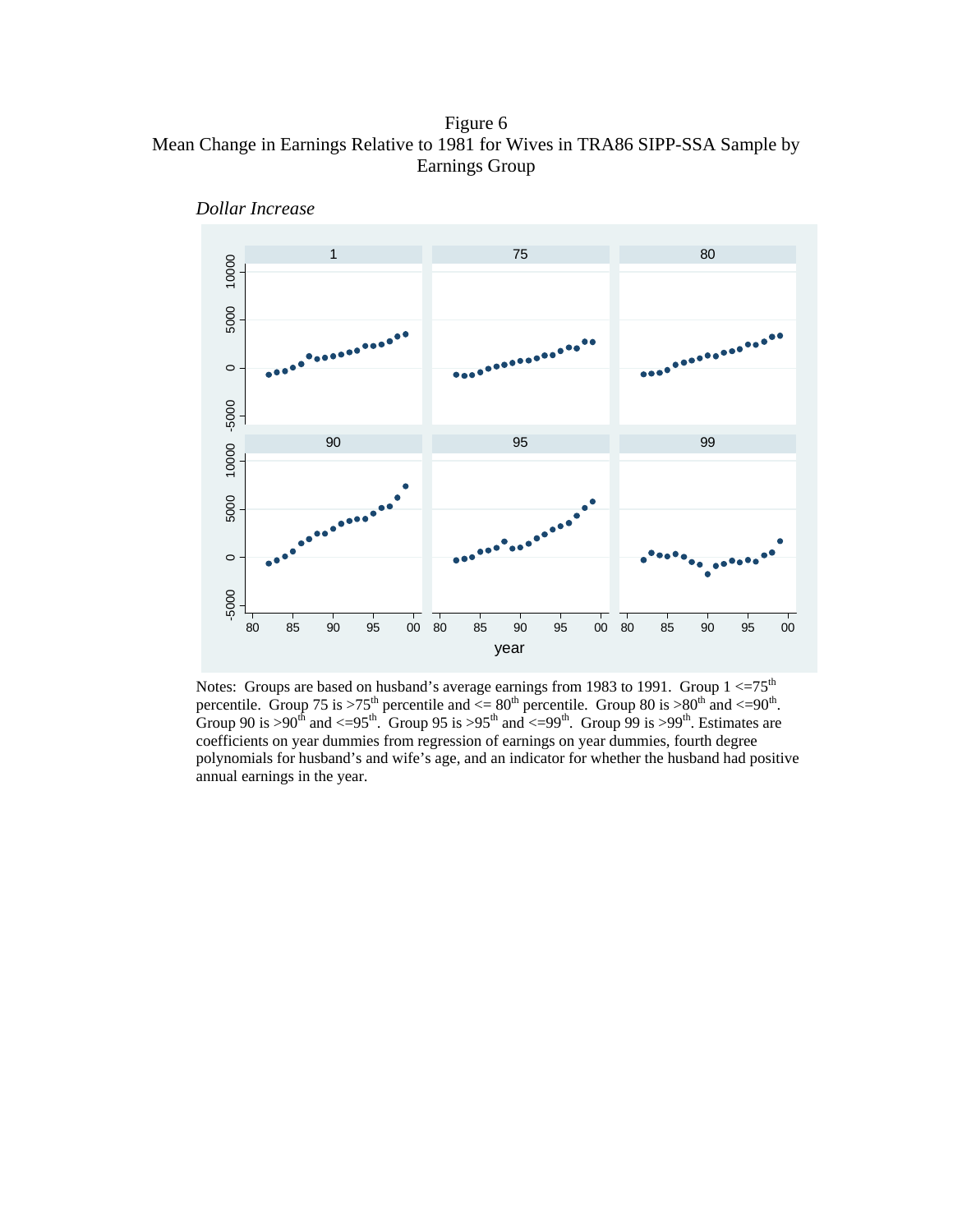Figure 6 Mean Change in Earnings Relative to 1981 for Wives in TRA86 SIPP-SSA Sample by Earnings Group



*Dollar Increase* 

Notes: Groups are based on husband's average earnings from 1983 to 1991. Group  $1 < 75<sup>th</sup>$ percentile. Group 75 is >75<sup>th</sup> percentile and  $\leq 80^{th}$  percentile. Group 80 is >80<sup>th</sup> and  $\leq 90^{th}$ . Group 90 is >90<sup>th</sup> and <=95<sup>th</sup>. Group 95 is >95<sup>th</sup> and <=99<sup>th</sup>. Group 99 is >99<sup>th</sup>. Estimates are coefficients on year dummies from regression of earnings on year dummies, fourth degree polynomials for husband's and wife's age, and an indicator for whether the husband had positive annual earnings in the year.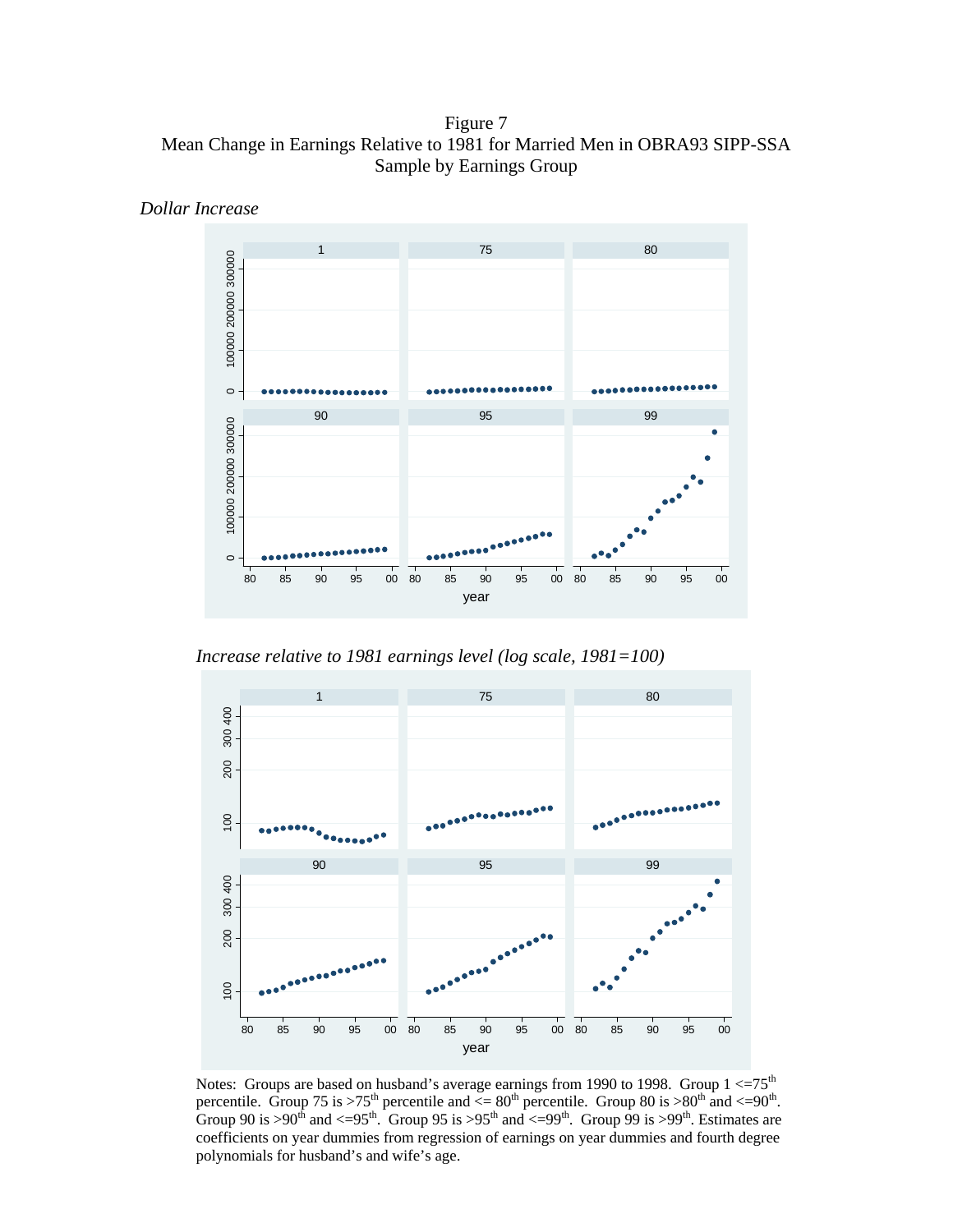Figure 7 Mean Change in Earnings Relative to 1981 for Married Men in OBRA93 SIPP-SSA Sample by Earnings Group



*Dollar Increase* 

*Increase relative to 1981 earnings level (log scale, 1981=100)* 



Notes: Groups are based on husband's average earnings from 1990 to 1998. Group  $1 < = 75<sup>th</sup>$ percentile. Group 75 is >75<sup>th</sup> percentile and  $\leq 80^{th}$  percentile. Group 80 is >80<sup>th</sup> and  $\leq 90^{th}$ . Group 90 is >90<sup>th</sup> and <=95<sup>th</sup>. Group 95 is >95<sup>th</sup> and <=99<sup>th</sup>. Group 99 is >99<sup>th</sup>. Estimates are coefficients on year dummies from regression of earnings on year dummies and fourth degree polynomials for husband's and wife's age.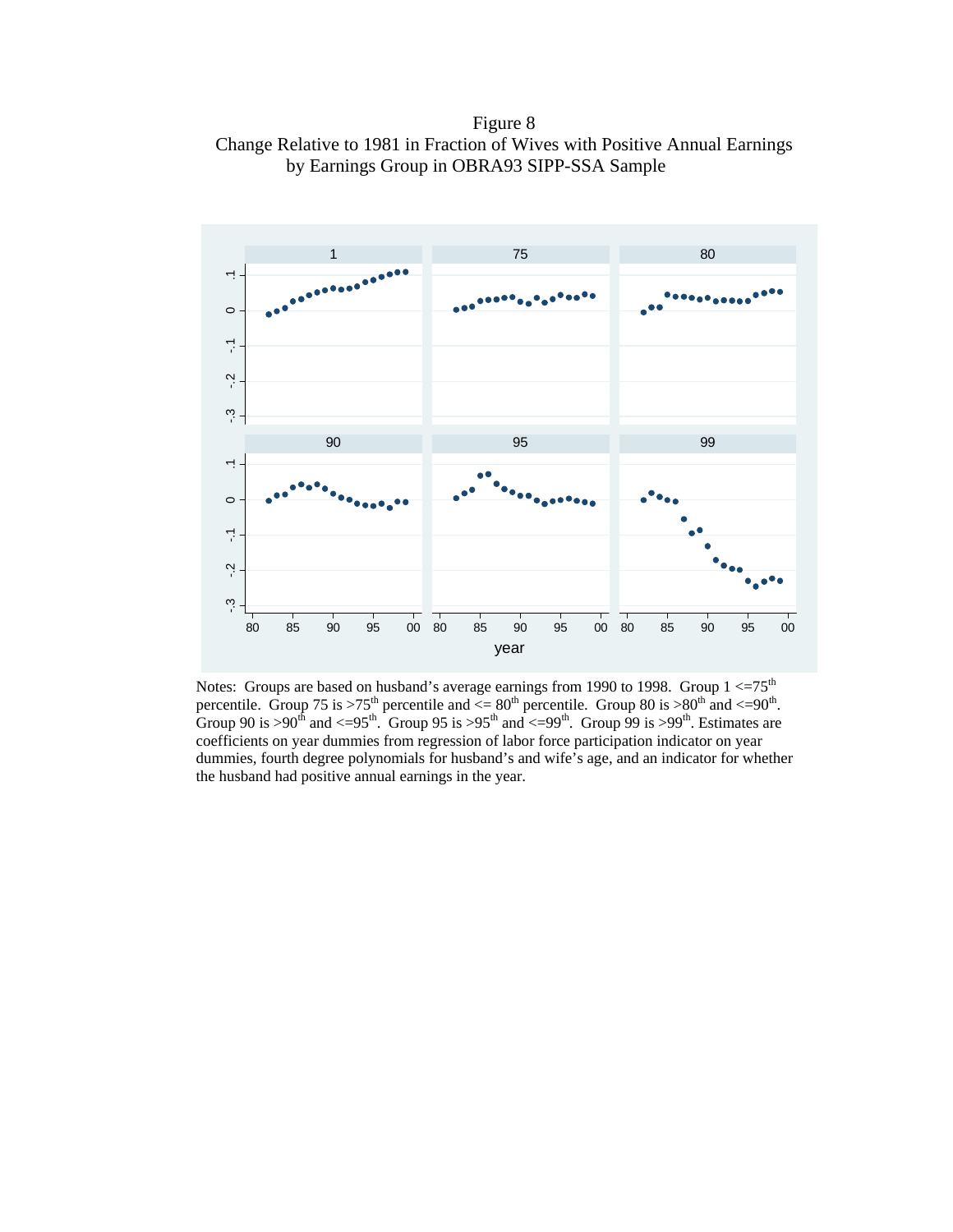Figure 8 Change Relative to 1981 in Fraction of Wives with Positive Annual Earnings by Earnings Group in OBRA93 SIPP-SSA Sample



Notes: Groups are based on husband's average earnings from 1990 to 1998. Group  $1 \leq 75^{th}$ percentile. Group 75 is >75<sup>th</sup> percentile and  $\leq 80^{th}$  percentile. Group 80 is >80<sup>th</sup> and  $\leq 90^{th}$ . Group 90 is >90<sup>th</sup> and <=95<sup>th</sup>. Group 95 is >95<sup>th</sup> and <=99<sup>th</sup>. Group 99 is >99<sup>th</sup>. Estimates are coefficients on year dummies from regression of labor force participation indicator on year dummies, fourth degree polynomials for husband's and wife's age, and an indicator for whether the husband had positive annual earnings in the year.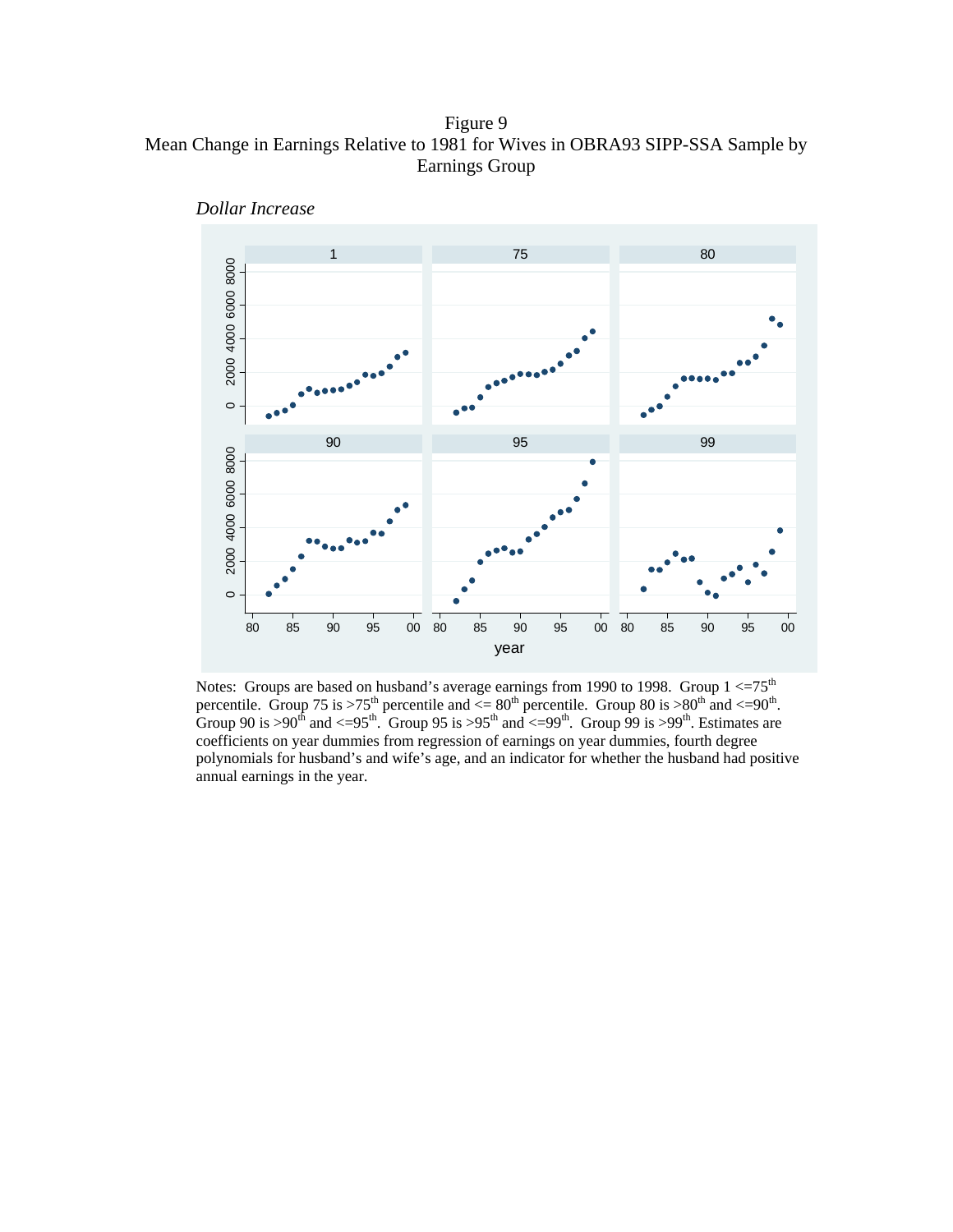Figure 9 Mean Change in Earnings Relative to 1981 for Wives in OBRA93 SIPP-SSA Sample by Earnings Group



*Dollar Increase* 

Notes: Groups are based on husband's average earnings from 1990 to 1998. Group  $1 < = 75<sup>th</sup>$ percentile. Group 75 is >75<sup>th</sup> percentile and  $\leq 80^{th}$  percentile. Group 80 is >80<sup>th</sup> and  $\leq 90^{th}$ . Group 90 is >90<sup>th</sup> and <=95<sup>th</sup>. Group 95 is >95<sup>th</sup> and <=99<sup>th</sup>. Group 99 is >99<sup>th</sup>. Estimates are coefficients on year dummies from regression of earnings on year dummies, fourth degree polynomials for husband's and wife's age, and an indicator for whether the husband had positive annual earnings in the year.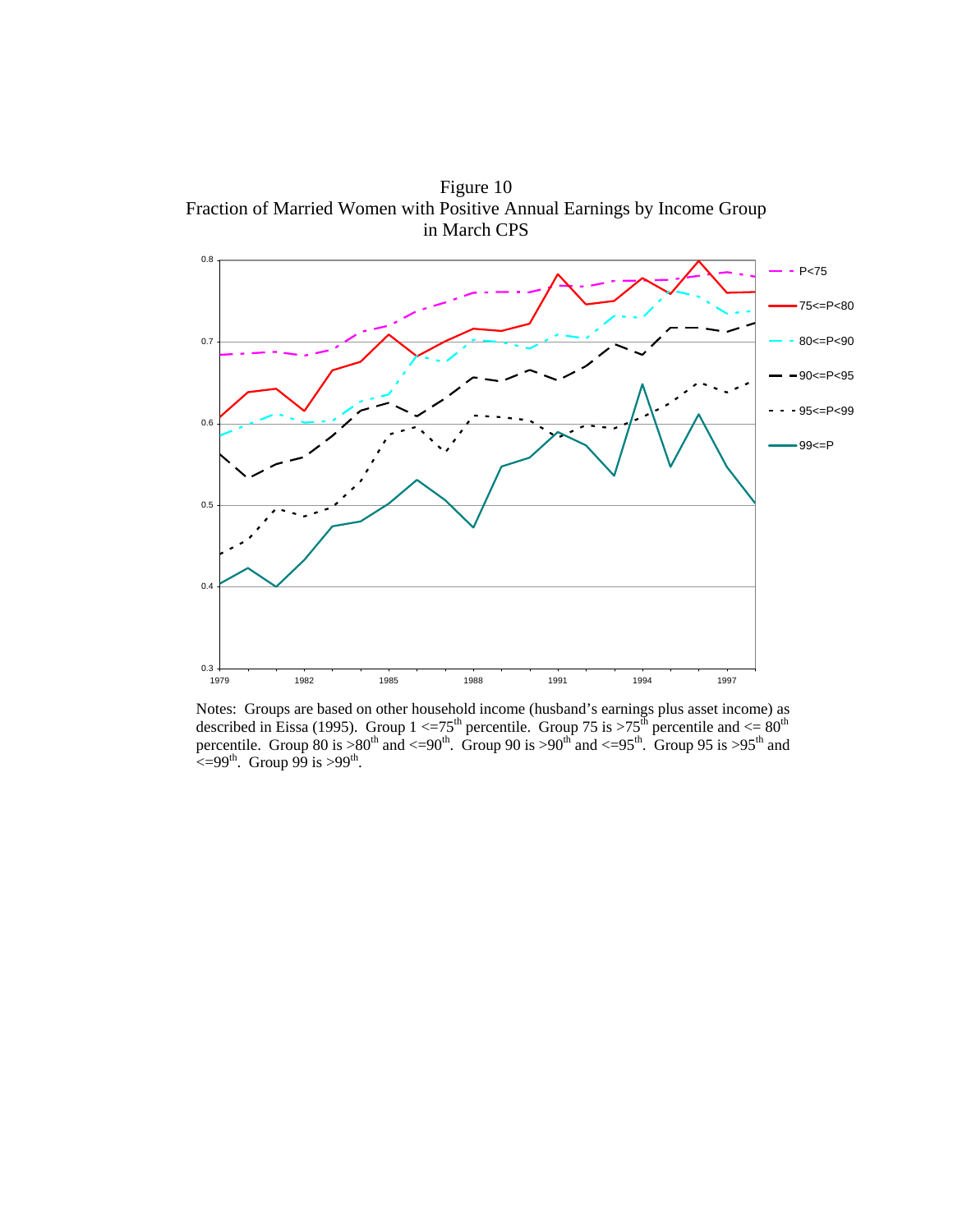Figure 10 Fraction of Married Women with Positive Annual Earnings by Income Group in March CPS



Notes: Groups are based on other household income (husband's earnings plus asset income) as described in Eissa (1995). Group 1  $\leq$  75<sup>th</sup> percentile. Group 75 is  $>$ 75<sup>th</sup> percentile and  $\leq$  80<sup>th</sup> percentile. Group 80 is  $>80^{th}$  and  $<-90^{th}$ . Group 90 is  $>90^{th}$  and  $<-95^{th}$ . Group 95 is  $>95^{th}$  and  $\leq$  =99<sup>th</sup>. Group 99 is >99<sup>th</sup>.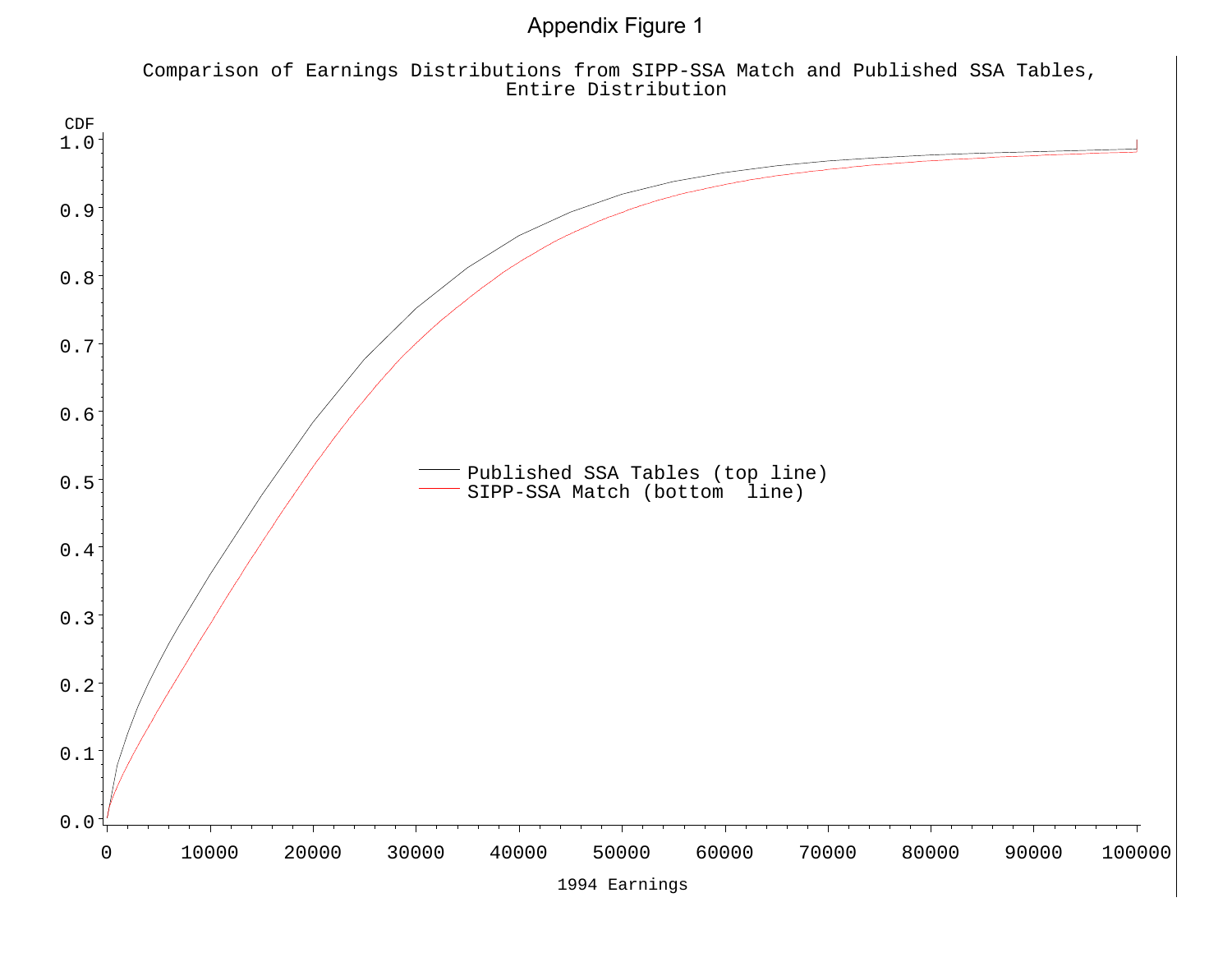Appendix Figure 1

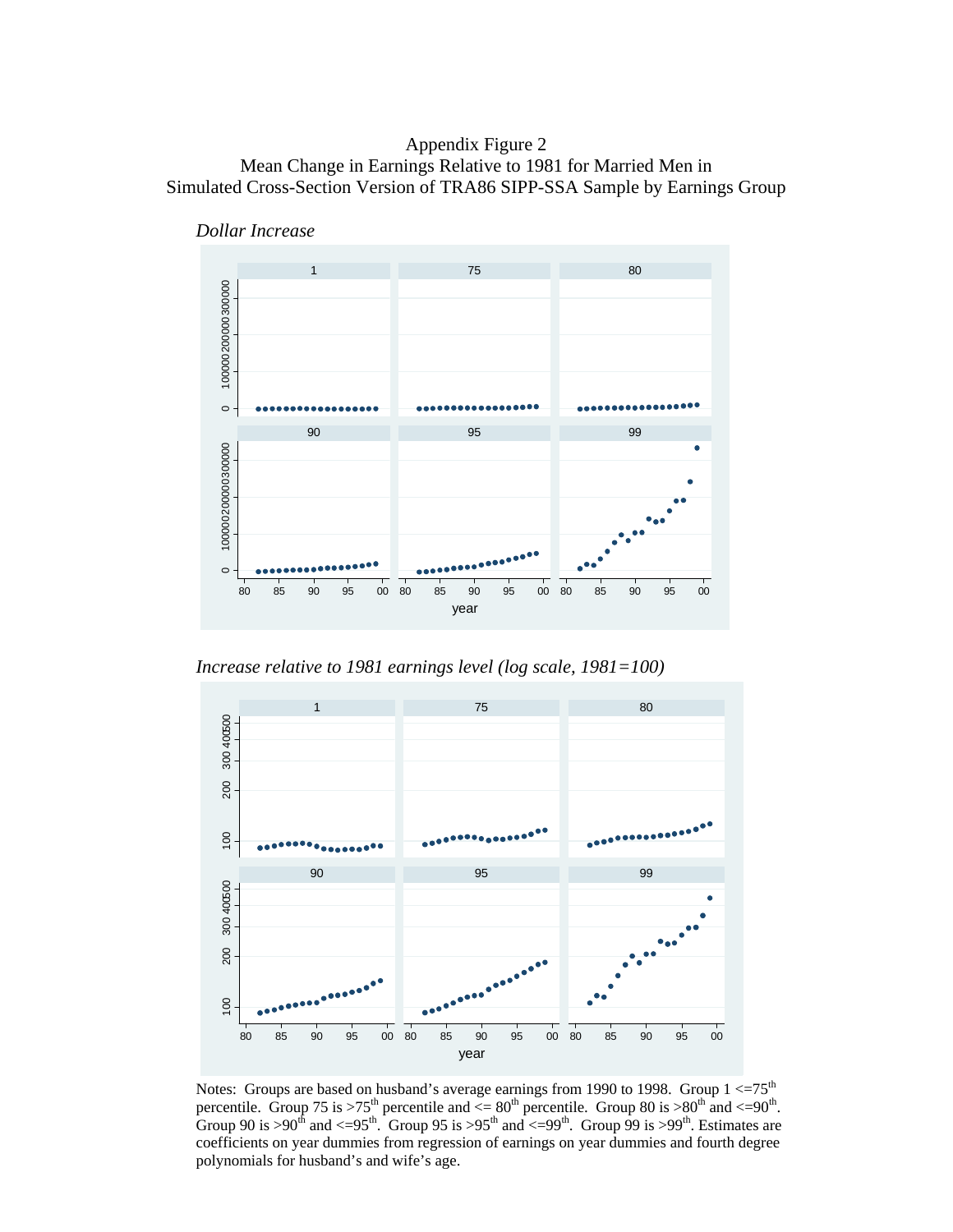# Appendix Figure 2 Mean Change in Earnings Relative to 1981 for Married Men in Simulated Cross-Section Version of TRA86 SIPP-SSA Sample by Earnings Group





*Increase relative to 1981 earnings level (log scale, 1981=100)* 



Notes: Groups are based on husband's average earnings from 1990 to 1998. Group  $1 < = 75<sup>th</sup>$ percentile. Group 75 is >75<sup>th</sup> percentile and  $\langle 80^{th}$  percentile. Group 80 is >80<sup>th</sup> and  $\langle 80^{th}$ . Group 90 is >90<sup>th</sup> and <=95<sup>th</sup>. Group 95 is >95<sup>th</sup> and <=99<sup>th</sup>. Group 99 is >99<sup>th</sup>. Estimates are coefficients on year dummies from regression of earnings on year dummies and fourth degree polynomials for husband's and wife's age.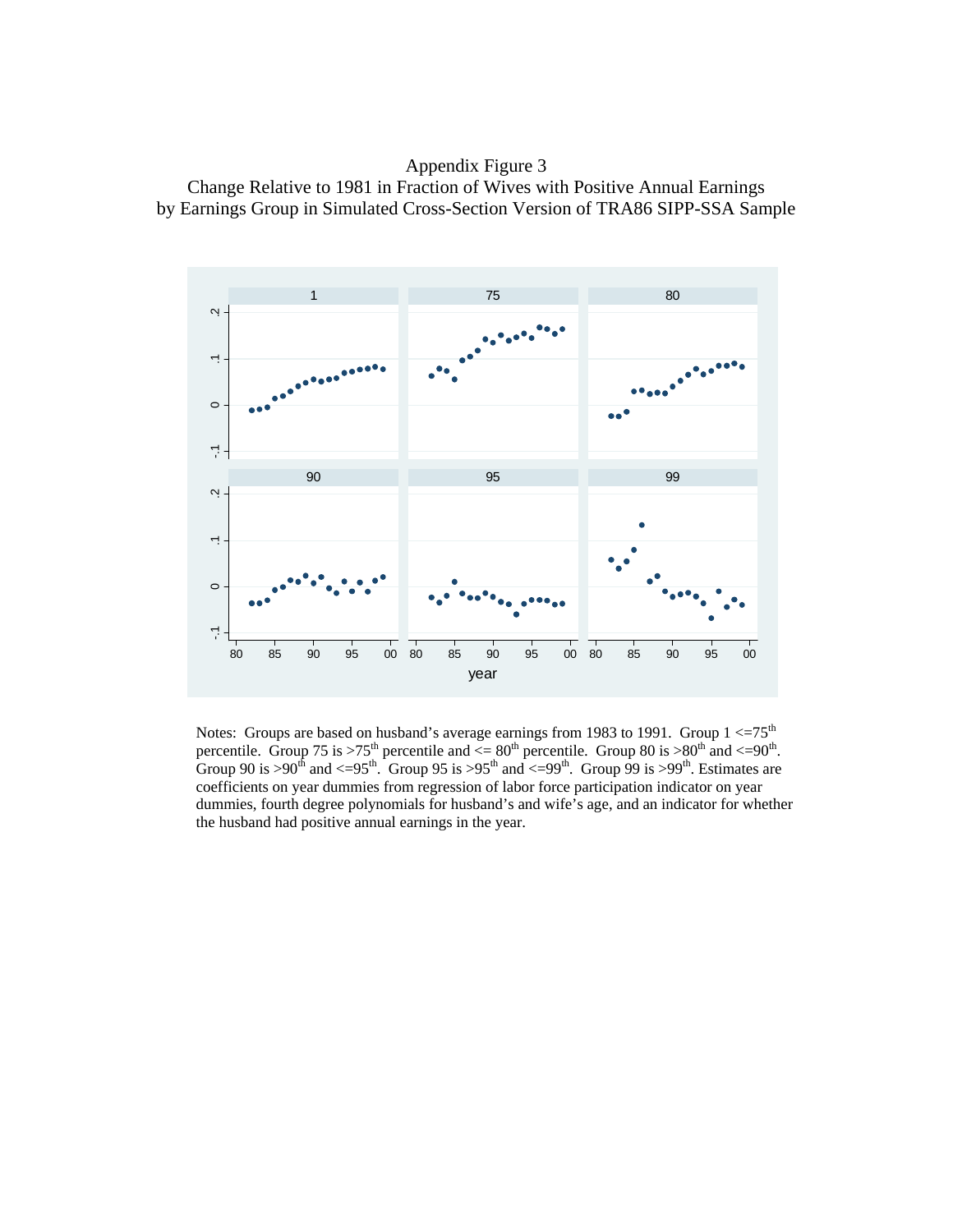Appendix Figure 3 Change Relative to 1981 in Fraction of Wives with Positive Annual Earnings by Earnings Group in Simulated Cross-Section Version of TRA86 SIPP-SSA Sample



Notes: Groups are based on husband's average earnings from 1983 to 1991. Group  $1 \leq 75$ <sup>th</sup> percentile. Group 75 is >75<sup>th</sup> percentile and  $\leq 80^{th}$  percentile. Group 80 is >80<sup>th</sup> and  $\leq 90^{th}$ . Group 90 is >90<sup>th</sup> and <=95<sup>th</sup>. Group 95 is >95<sup>th</sup> and <=99<sup>th</sup>. Group 99 is >99<sup>th</sup>. Estimates are coefficients on year dummies from regression of labor force participation indicator on year dummies, fourth degree polynomials for husband's and wife's age, and an indicator for whether the husband had positive annual earnings in the year.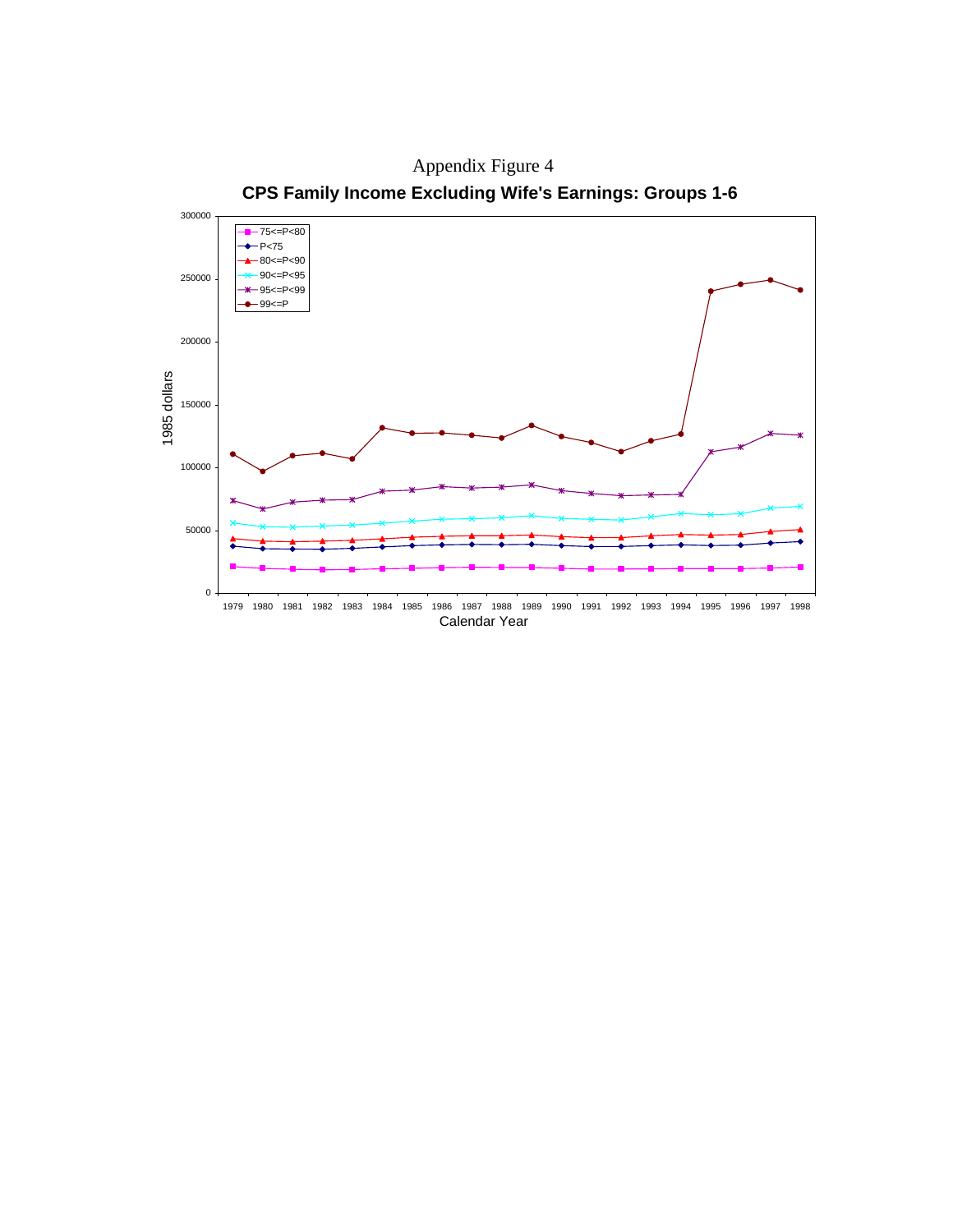

Appendix Figure 4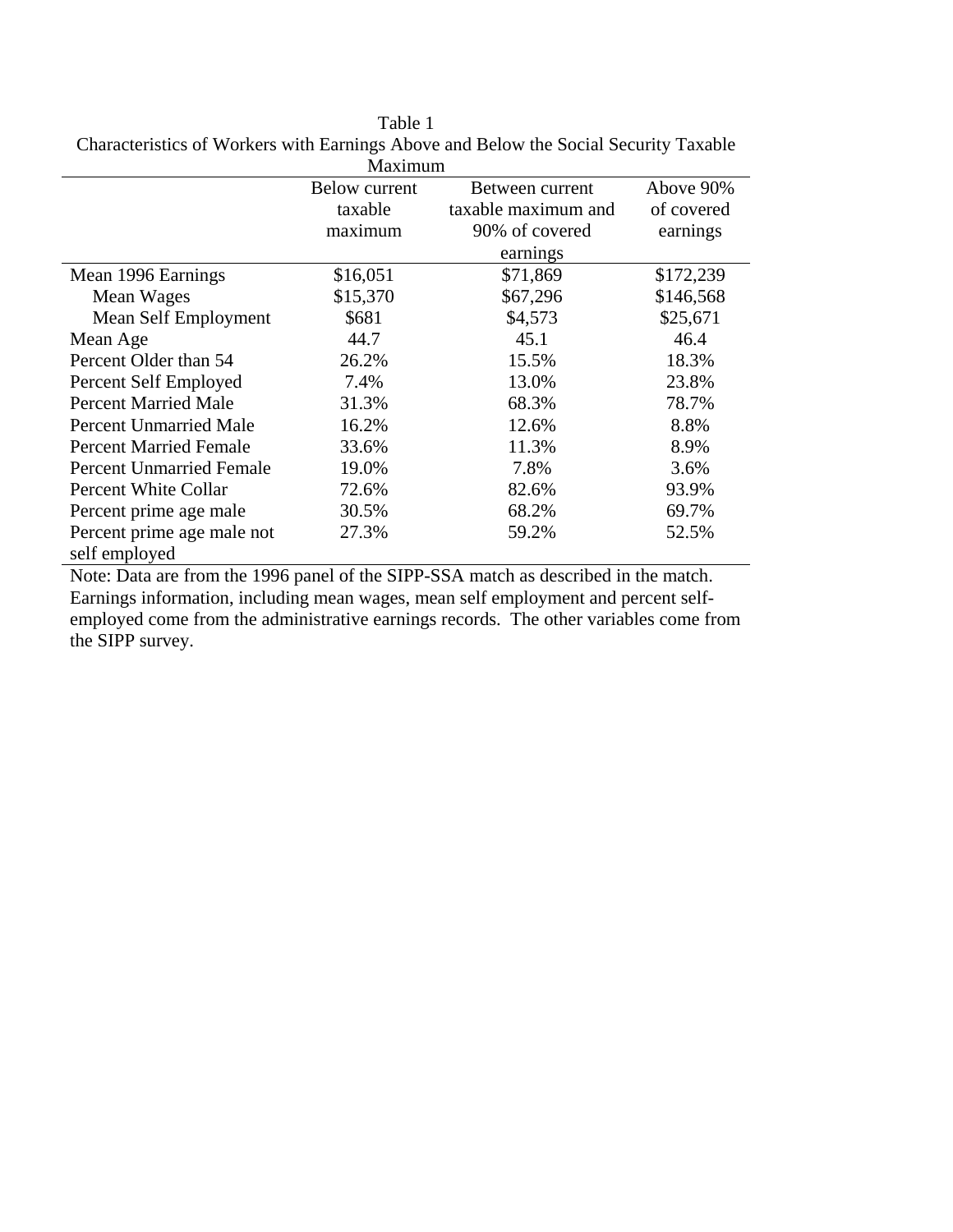Table 1 Characteristics of Workers with Earnings Above and Below the Social Security Taxable

|                                             | Maximum       |                     |            |
|---------------------------------------------|---------------|---------------------|------------|
|                                             | Below current | Between current     | Above 90%  |
|                                             | taxable       | taxable maximum and | of covered |
|                                             | maximum       | 90% of covered      | earnings   |
|                                             |               | earnings            |            |
| Mean 1996 Earnings                          | \$16,051      | \$71,869            | \$172,239  |
| Mean Wages                                  | \$15,370      | \$67,296            | \$146,568  |
| Mean Self Employment                        | \$681         | \$4,573             | \$25,671   |
| Mean Age                                    | 44.7          | 45.1                | 46.4       |
| Percent Older than 54                       | 26.2%         | 15.5%               | 18.3%      |
| Percent Self Employed                       | 7.4%          | 13.0%               | 23.8%      |
| <b>Percent Married Male</b>                 | 31.3%         | 68.3%               | 78.7%      |
| <b>Percent Unmarried Male</b>               | 16.2%         | 12.6%               | 8.8%       |
| <b>Percent Married Female</b>               | 33.6%         | 11.3%               | 8.9%       |
| <b>Percent Unmarried Female</b>             | 19.0%         | 7.8%                | 3.6%       |
| Percent White Collar                        | 72.6%         | 82.6%               | 93.9%      |
| Percent prime age male                      | 30.5%         | 68.2%               | 69.7%      |
| Percent prime age male not<br>self employed | 27.3%         | 59.2%               | 52.5%      |

Note: Data are from the 1996 panel of the SIPP-SSA match as described in the match. Earnings information, including mean wages, mean self employment and percent selfemployed come from the administrative earnings records. The other variables come from the SIPP survey.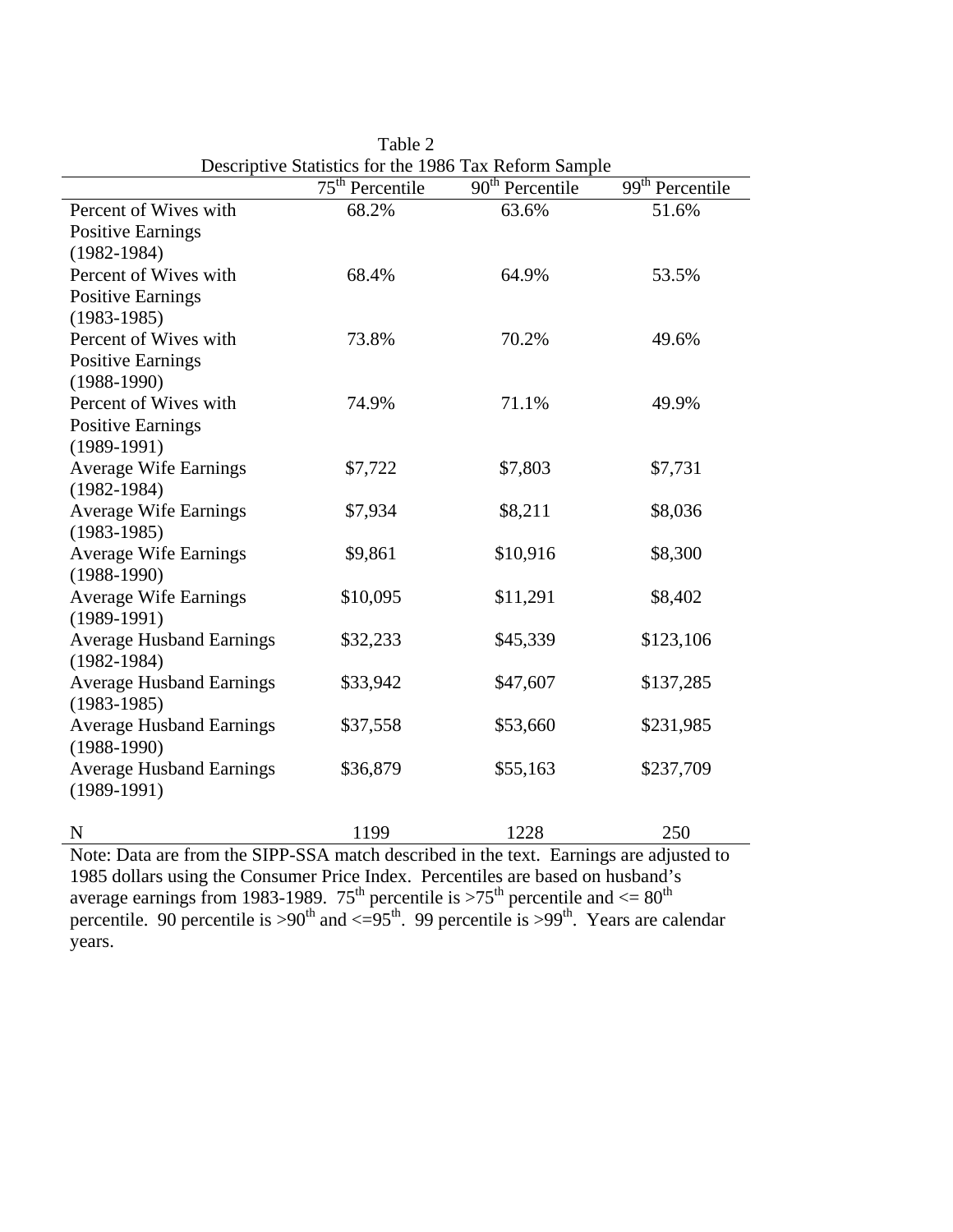| Descriptive Statistics for the 1986 Tax Reform Sample |                   |                   |                             |  |
|-------------------------------------------------------|-------------------|-------------------|-----------------------------|--|
|                                                       | $75th$ Percentile | $90th$ Percentile | 99 <sup>th</sup> Percentile |  |
| Percent of Wives with                                 | 68.2%             | 63.6%             | 51.6%                       |  |
| <b>Positive Earnings</b>                              |                   |                   |                             |  |
| $(1982 - 1984)$                                       |                   |                   |                             |  |
| Percent of Wives with                                 | 68.4%             | 64.9%             | 53.5%                       |  |
| <b>Positive Earnings</b>                              |                   |                   |                             |  |
| $(1983-1985)$                                         |                   |                   |                             |  |
| Percent of Wives with                                 | 73.8%             | 70.2%             | 49.6%                       |  |
| <b>Positive Earnings</b>                              |                   |                   |                             |  |
| $(1988-1990)$                                         |                   |                   |                             |  |
| Percent of Wives with                                 | 74.9%             | 71.1%             | 49.9%                       |  |
| <b>Positive Earnings</b>                              |                   |                   |                             |  |
| $(1989-1991)$                                         |                   |                   |                             |  |
| <b>Average Wife Earnings</b>                          | \$7,722           | \$7,803           | \$7,731                     |  |
| $(1982 - 1984)$                                       |                   |                   |                             |  |
| <b>Average Wife Earnings</b>                          | \$7,934           | \$8,211           | \$8,036                     |  |
| $(1983-1985)$                                         |                   |                   |                             |  |
| <b>Average Wife Earnings</b>                          | \$9,861           | \$10,916          | \$8,300                     |  |
| $(1988-1990)$                                         |                   |                   |                             |  |
| <b>Average Wife Earnings</b>                          | \$10,095          | \$11,291          | \$8,402                     |  |
| $(1989-1991)$                                         |                   |                   |                             |  |
| <b>Average Husband Earnings</b>                       | \$32,233          | \$45,339          | \$123,106                   |  |
| $(1982 - 1984)$                                       |                   |                   |                             |  |
| <b>Average Husband Earnings</b>                       | \$33,942          | \$47,607          | \$137,285                   |  |
| $(1983-1985)$                                         |                   |                   |                             |  |
| <b>Average Husband Earnings</b>                       | \$37,558          | \$53,660          | \$231,985                   |  |
| $(1988-1990)$                                         |                   |                   |                             |  |
| <b>Average Husband Earnings</b>                       | \$36,879          | \$55,163          | \$237,709                   |  |
| $(1989-1991)$                                         |                   |                   |                             |  |
|                                                       |                   |                   |                             |  |
| N                                                     | 1199              | 1228              | 250                         |  |

Table 2 Descriptive Statistics for the 1986 Tax Reform Sample

Note: Data are from the SIPP-SSA match described in the text. Earnings are adjusted to 1985 dollars using the Consumer Price Index. Percentiles are based on husband's average earnings from 1983-1989.  $75^{th}$  percentile is  $>75^{th}$  percentile and  $\leq 80^{th}$ percentile. 90 percentile is >90<sup>th</sup> and  $\langle 0.95 \rangle$ <sup>th</sup>. 99 percentile is >99<sup>th</sup>. Years are calendar years.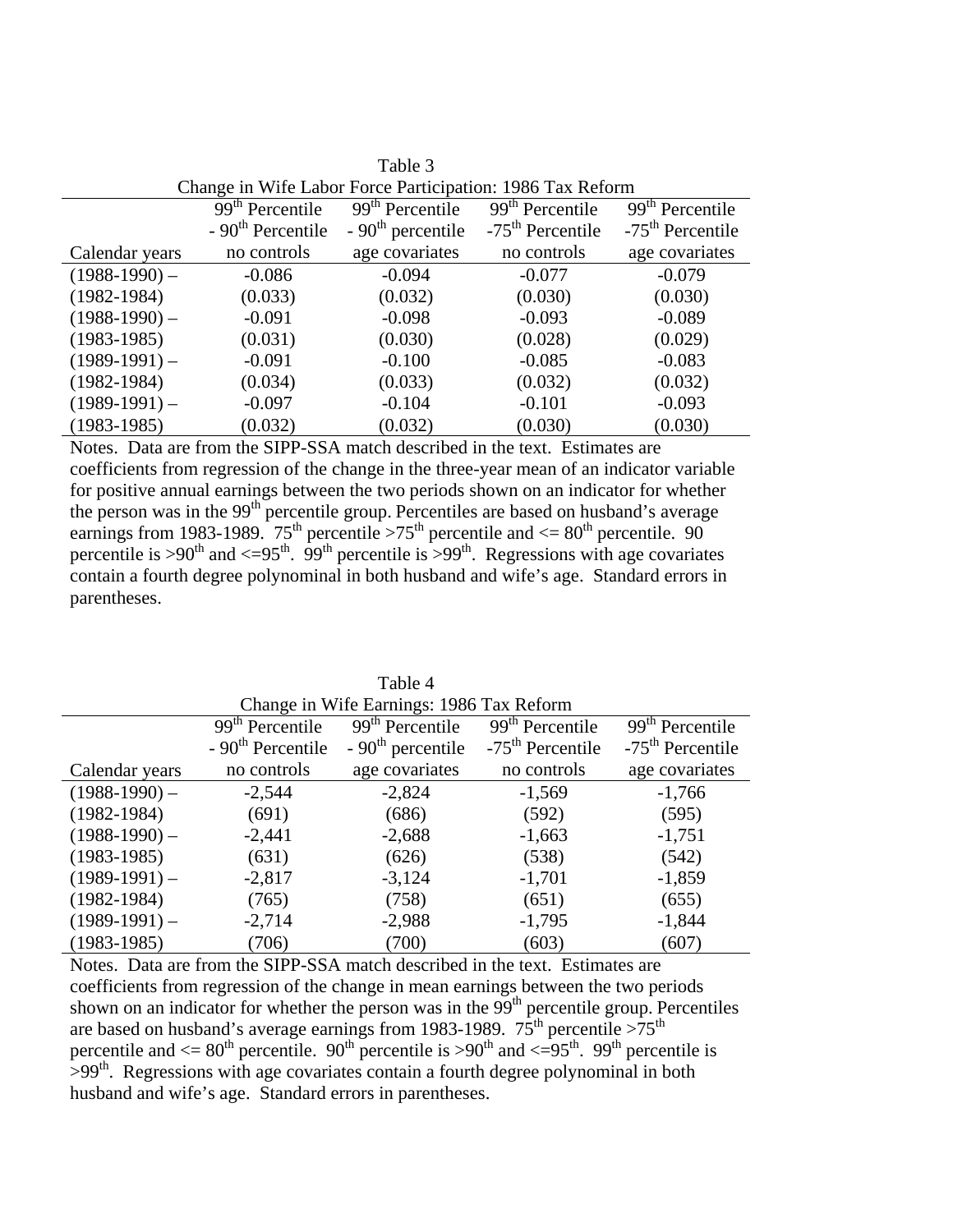|                 |                                                           | Table 3                     |                             |                              |
|-----------------|-----------------------------------------------------------|-----------------------------|-----------------------------|------------------------------|
|                 | Change in Wife Labor Force Participation: 1986 Tax Reform |                             |                             |                              |
|                 | $\overline{99}$ <sup>th</sup> Percentile                  | 99 <sup>th</sup> Percentile | 99 <sup>th</sup> Percentile | 99 <sup>th</sup> Percentile  |
|                 | $-90th$ Percentile                                        | $-90th$ percentile          | $-75th$ Percentile          | -75 <sup>th</sup> Percentile |
| Calendar years  | no controls                                               | age covariates              | no controls                 | age covariates               |
| $(1988-1990)$ – | $-0.086$                                                  | $-0.094$                    | $-0.077$                    | $-0.079$                     |
| $(1982 - 1984)$ | (0.033)                                                   | (0.032)                     | (0.030)                     | (0.030)                      |
| $(1988-1990)$ – | $-0.091$                                                  | $-0.098$                    | $-0.093$                    | $-0.089$                     |
| $(1983-1985)$   | (0.031)                                                   | (0.030)                     | (0.028)                     | (0.029)                      |
| $(1989-1991)$ – | $-0.091$                                                  | $-0.100$                    | $-0.085$                    | $-0.083$                     |
| $(1982 - 1984)$ | (0.034)                                                   | (0.033)                     | (0.032)                     | (0.032)                      |
| $(1989-1991)$ – | $-0.097$                                                  | $-0.104$                    | $-0.101$                    | $-0.093$                     |
| $(1983-1985)$   | (0.032)                                                   | (0.032)                     | (0.030)                     | (0.030)                      |

Notes. Data are from the SIPP-SSA match described in the text. Estimates are coefficients from regression of the change in the three-year mean of an indicator variable for positive annual earnings between the two periods shown on an indicator for whether the person was in the 99<sup>th</sup> percentile group. Percentiles are based on husband's average earnings from 1983-1989. 75<sup>th</sup> percentile >75<sup>th</sup> percentile and  $\leq 80$ <sup>th</sup> percentile. 90 percentile is >90<sup>th</sup> and <=95<sup>th</sup>. 99<sup>th</sup> percentile is >99<sup>th</sup>. Regressions with age covariates contain a fourth degree polynominal in both husband and wife's age. Standard errors in parentheses.

| Change in Wife Earnings: 1986 Tax Reform |                             |                             |                             |                             |
|------------------------------------------|-----------------------------|-----------------------------|-----------------------------|-----------------------------|
|                                          | 99 <sup>th</sup> Percentile | 99 <sup>th</sup> Percentile | 99 <sup>th</sup> Percentile | 99 <sup>th</sup> Percentile |
|                                          | $-90th$ Percentile          | $-90th$ percentile          | $-75th$ Percentile          | $-75th$ Percentile          |
| Calendar years                           | no controls                 | age covariates              | no controls                 | age covariates              |
| $(1988-1990)$ -                          | $-2,544$                    | $-2,824$                    | $-1,569$                    | $-1,766$                    |
| $(1982 - 1984)$                          | (691)                       | (686)                       | (592)                       | (595)                       |
| $(1988-1990)$ –                          | $-2,441$                    | $-2,688$                    | $-1,663$                    | $-1,751$                    |
| $(1983-1985)$                            | (631)                       | (626)                       | (538)                       | (542)                       |
| $(1989-1991)$ –                          | $-2,817$                    | $-3,124$                    | $-1,701$                    | $-1,859$                    |
| $(1982 - 1984)$                          | (765)                       | (758)                       | (651)                       | (655)                       |
| $(1989-1991)$ –                          | $-2,714$                    | $-2,988$                    | $-1,795$                    | $-1,844$                    |
| $(1983-1985)$                            | (706)                       | (700)                       | (603)                       | (607)                       |

Table 4

Notes. Data are from the SIPP-SSA match described in the text. Estimates are coefficients from regression of the change in mean earnings between the two periods shown on an indicator for whether the person was in the  $99<sup>th</sup>$  percentile group. Percentiles are based on husband's average earnings from 1983-1989.  $75^{th}$  percentile  $>75^{th}$ percentile and  $\langle 80^\text{th} \rangle$  percentile. 90<sup>th</sup> percentile is  $> 90^\text{th}$  and  $\langle -95^\text{th} \rangle$  99<sup>th</sup> percentile is  $>99<sup>th</sup>$ . Regressions with age covariates contain a fourth degree polynominal in both husband and wife's age. Standard errors in parentheses.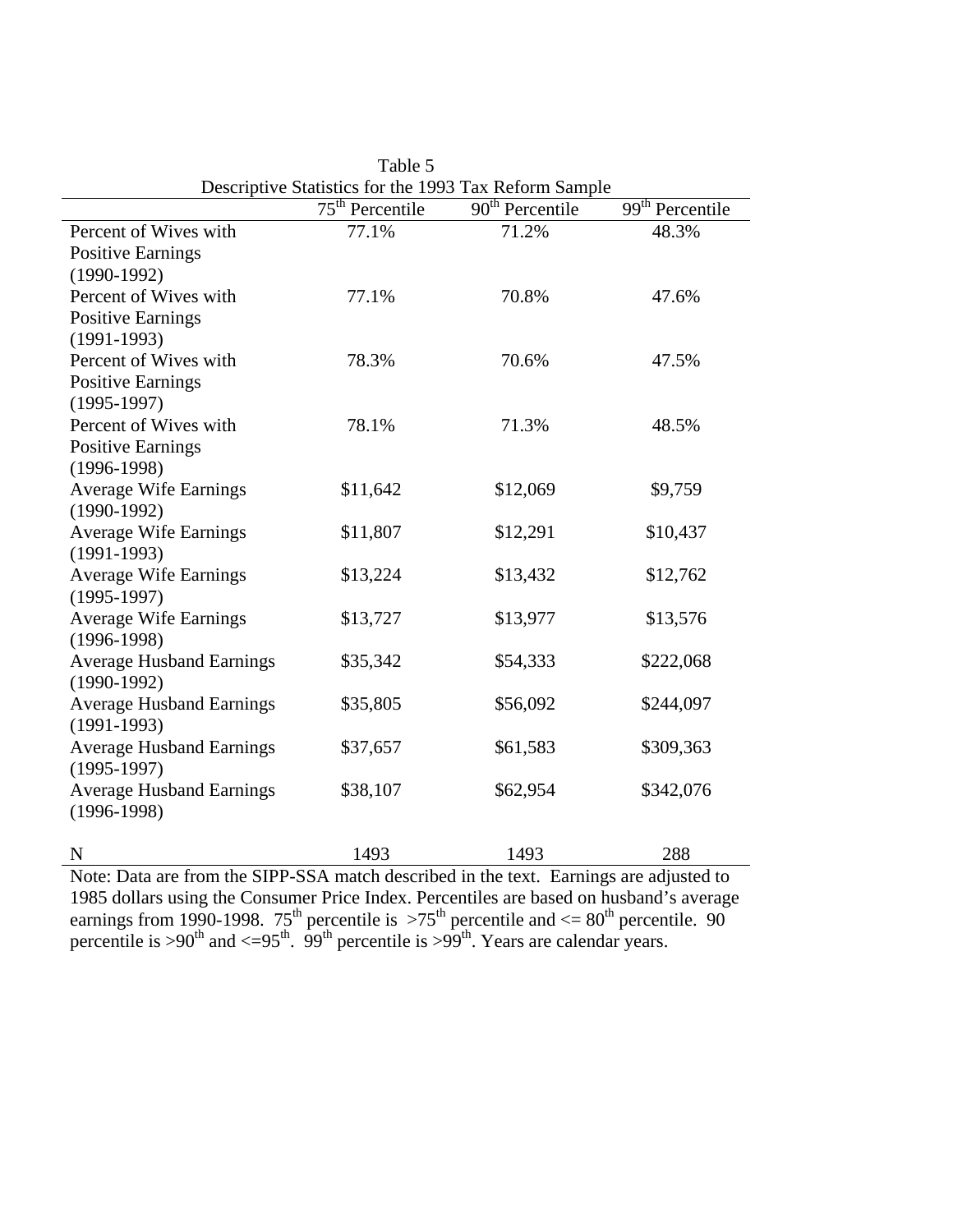|                                               |                   | Descriptive Blatistics for the 1999 Tax Kerorin Bampic |                   |
|-----------------------------------------------|-------------------|--------------------------------------------------------|-------------------|
|                                               | $75th$ Percentile | $90th$ Percentile                                      | $99th$ Percentile |
| Percent of Wives with                         | 77.1%             | 71.2%                                                  | 48.3%             |
| <b>Positive Earnings</b>                      |                   |                                                        |                   |
| $(1990-1992)$                                 |                   |                                                        |                   |
| Percent of Wives with                         | 77.1%             | 70.8%                                                  | 47.6%             |
| <b>Positive Earnings</b>                      |                   |                                                        |                   |
| $(1991-1993)$                                 |                   |                                                        |                   |
| Percent of Wives with                         | 78.3%             | 70.6%                                                  | 47.5%             |
| <b>Positive Earnings</b>                      |                   |                                                        |                   |
| $(1995-1997)$                                 |                   |                                                        |                   |
| Percent of Wives with                         | 78.1%             | 71.3%                                                  | 48.5%             |
| <b>Positive Earnings</b>                      |                   |                                                        |                   |
| $(1996-1998)$                                 |                   |                                                        |                   |
| <b>Average Wife Earnings</b>                  | \$11,642          | \$12,069                                               | \$9,759           |
| $(1990-1992)$                                 |                   |                                                        |                   |
| <b>Average Wife Earnings</b>                  | \$11,807          | \$12,291                                               | \$10,437          |
| $(1991-1993)$<br><b>Average Wife Earnings</b> | \$13,224          | \$13,432                                               | \$12,762          |
| $(1995-1997)$                                 |                   |                                                        |                   |
| <b>Average Wife Earnings</b>                  | \$13,727          | \$13,977                                               | \$13,576          |
| $(1996-1998)$                                 |                   |                                                        |                   |
| <b>Average Husband Earnings</b>               | \$35,342          | \$54,333                                               | \$222,068         |
| $(1990-1992)$                                 |                   |                                                        |                   |
| <b>Average Husband Earnings</b>               | \$35,805          | \$56,092                                               | \$244,097         |
| $(1991-1993)$                                 |                   |                                                        |                   |
| <b>Average Husband Earnings</b>               | \$37,657          | \$61,583                                               | \$309,363         |
| $(1995-1997)$                                 |                   |                                                        |                   |
| <b>Average Husband Earnings</b>               | \$38,107          | \$62,954                                               | \$342,076         |
| $(1996-1998)$                                 |                   |                                                        |                   |
|                                               |                   |                                                        |                   |
| N                                             | 1493              | 1493                                                   | 288               |

|                                                       | Table 5 |  |  |  |
|-------------------------------------------------------|---------|--|--|--|
| Descriptive Statistics for the 1993 Tax Reform Sample |         |  |  |  |
|                                                       |         |  |  |  |

Note: Data are from the SIPP-SSA match described in the text. Earnings are adjusted to 1985 dollars using the Consumer Price Index. Percentiles are based on husband's average earnings from 1990-1998. 75<sup>th</sup> percentile is  $>75$ <sup>th</sup> percentile and  $<= 80$ <sup>th</sup> percentile. 90 percentile is >90<sup>th</sup> and <=95<sup>th</sup>. 99<sup>th</sup> percentile is >99<sup>th</sup>. Years are calendar years.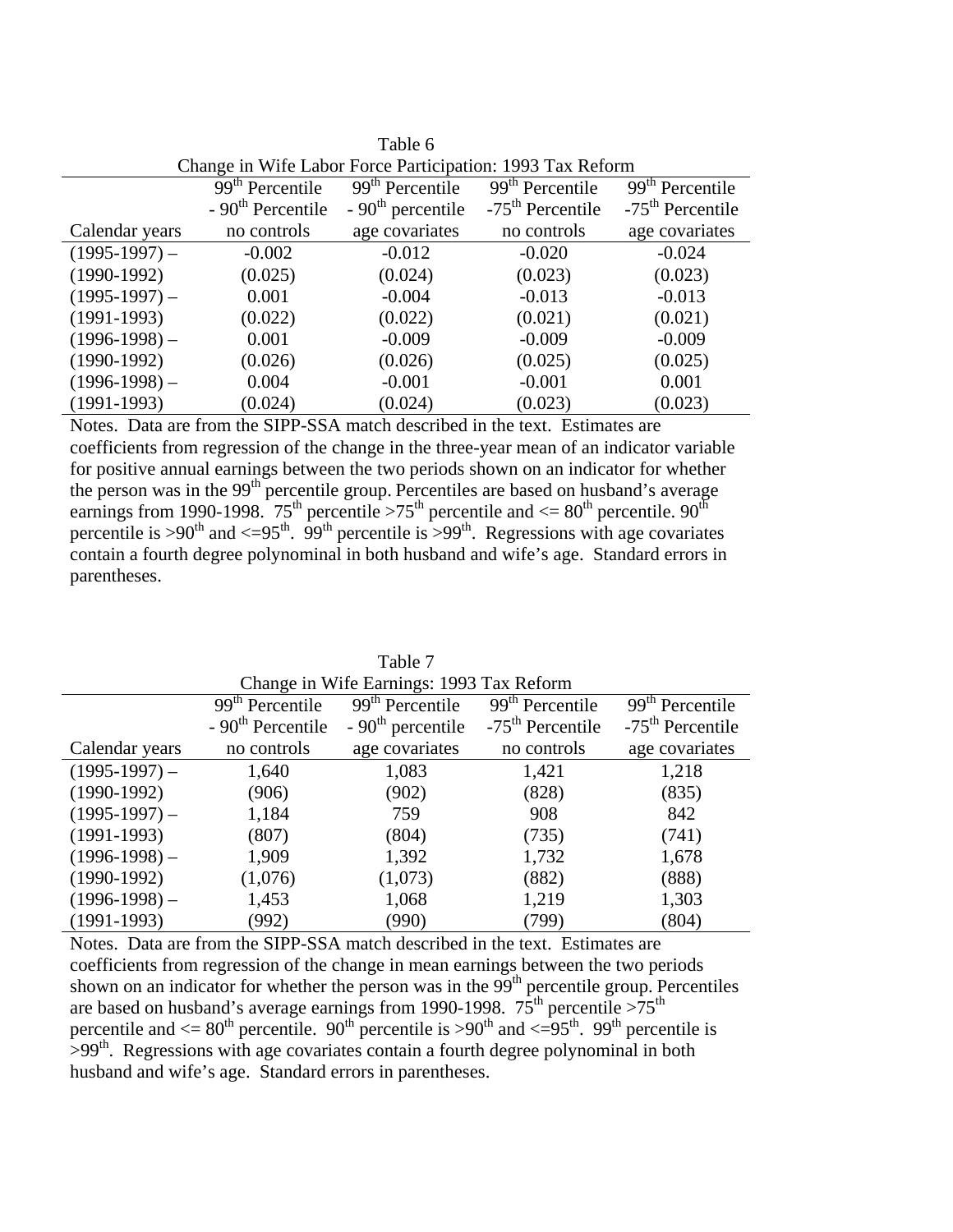|                 |                                                           | Tathe Q                     |                             |                             |  |
|-----------------|-----------------------------------------------------------|-----------------------------|-----------------------------|-----------------------------|--|
|                 | Change in Wife Labor Force Participation: 1993 Tax Reform |                             |                             |                             |  |
|                 | $\overline{9}9^{th}$ Percentile                           | 99 <sup>th</sup> Percentile | 99 <sup>th</sup> Percentile | 99 <sup>th</sup> Percentile |  |
|                 | $-90th$ Percentile                                        | $-90th$ percentile          | $-75th$ Percentile          | $-75th$ Percentile          |  |
| Calendar years  | no controls                                               | age covariates              | no controls                 | age covariates              |  |
| $(1995-1997)$ – | $-0.002$                                                  | $-0.012$                    | $-0.020$                    | $-0.024$                    |  |
| $(1990-1992)$   | (0.025)                                                   | (0.024)                     | (0.023)                     | (0.023)                     |  |
| $(1995-1997)$ – | 0.001                                                     | $-0.004$                    | $-0.013$                    | $-0.013$                    |  |
| $(1991-1993)$   | (0.022)                                                   | (0.022)                     | (0.021)                     | (0.021)                     |  |
| $(1996-1998)$ – | 0.001                                                     | $-0.009$                    | $-0.009$                    | $-0.009$                    |  |
| $(1990-1992)$   | (0.026)                                                   | (0.026)                     | (0.025)                     | (0.025)                     |  |
| $(1996-1998)$ – | 0.004                                                     | $-0.001$                    | $-0.001$                    | 0.001                       |  |
| $(1991-1993)$   | (0.024)                                                   | (0.024)                     | (0.023)                     | (0.023)                     |  |

 $Table 6$ 

Notes. Data are from the SIPP-SSA match described in the text. Estimates are coefficients from regression of the change in the three-year mean of an indicator variable for positive annual earnings between the two periods shown on an indicator for whether the person was in the 99<sup>th</sup> percentile group. Percentiles are based on husband's average earnings from 1990-1998. 75<sup>th</sup> percentile >75<sup>th</sup> percentile and  $\leq 80^{th}$  percentile. 90<sup>th</sup> percentile is >90<sup>th</sup> and <=95<sup>th</sup>. 99<sup>th</sup> percentile is >99<sup>th</sup>. Regressions with age covariates contain a fourth degree polynominal in both husband and wife's age. Standard errors in parentheses.

| Change in Wife Earnings: 1993 Tax Reform |                             |                             |                                          |                             |
|------------------------------------------|-----------------------------|-----------------------------|------------------------------------------|-----------------------------|
|                                          | 99 <sup>th</sup> Percentile | 99 <sup>th</sup> Percentile | $\overline{99}$ <sup>th</sup> Percentile | 99 <sup>th</sup> Percentile |
|                                          | $-90th$ Percentile          | $-90th$ percentile          | $-75th$ Percentile                       | $-75th$ Percentile          |
| Calendar years                           | no controls                 | age covariates              | no controls                              | age covariates              |
| $(1995-1997)$ –                          | 1,640                       | 1,083                       | 1,421                                    | 1,218                       |
| $(1990-1992)$                            | (906)                       | (902)                       | (828)                                    | (835)                       |
| $(1995-1997)$ –                          | 1,184                       | 759                         | 908                                      | 842                         |
| $(1991-1993)$                            | (807)                       | (804)                       | (735)                                    | (741)                       |
| $(1996-1998)$ –                          | 1,909                       | 1,392                       | 1,732                                    | 1,678                       |
| $(1990-1992)$                            | (1,076)                     | (1,073)                     | (882)                                    | (888)                       |
| $(1996-1998)$ –                          | 1,453                       | 1,068                       | 1,219                                    | 1,303                       |
| $(1991-1993)$                            | (992)                       | (990)                       | (799)                                    | (804)                       |

Table 7

Notes. Data are from the SIPP-SSA match described in the text. Estimates are coefficients from regression of the change in mean earnings between the two periods shown on an indicator for whether the person was in the  $99<sup>th</sup>$  percentile group. Percentiles are based on husband's average earnings from 1990-1998.  $75^{\text{th}}$  percentile  $>75^{\text{th}}$ percentile and  $\langle 80^\text{th} \rangle$  percentile. 90<sup>th</sup> percentile is  $> 90^\text{th}$  and  $\langle -95^\text{th} \rangle$ . 99<sup>th</sup> percentile is  $>99<sup>th</sup>$ . Regressions with age covariates contain a fourth degree polynominal in both husband and wife's age. Standard errors in parentheses.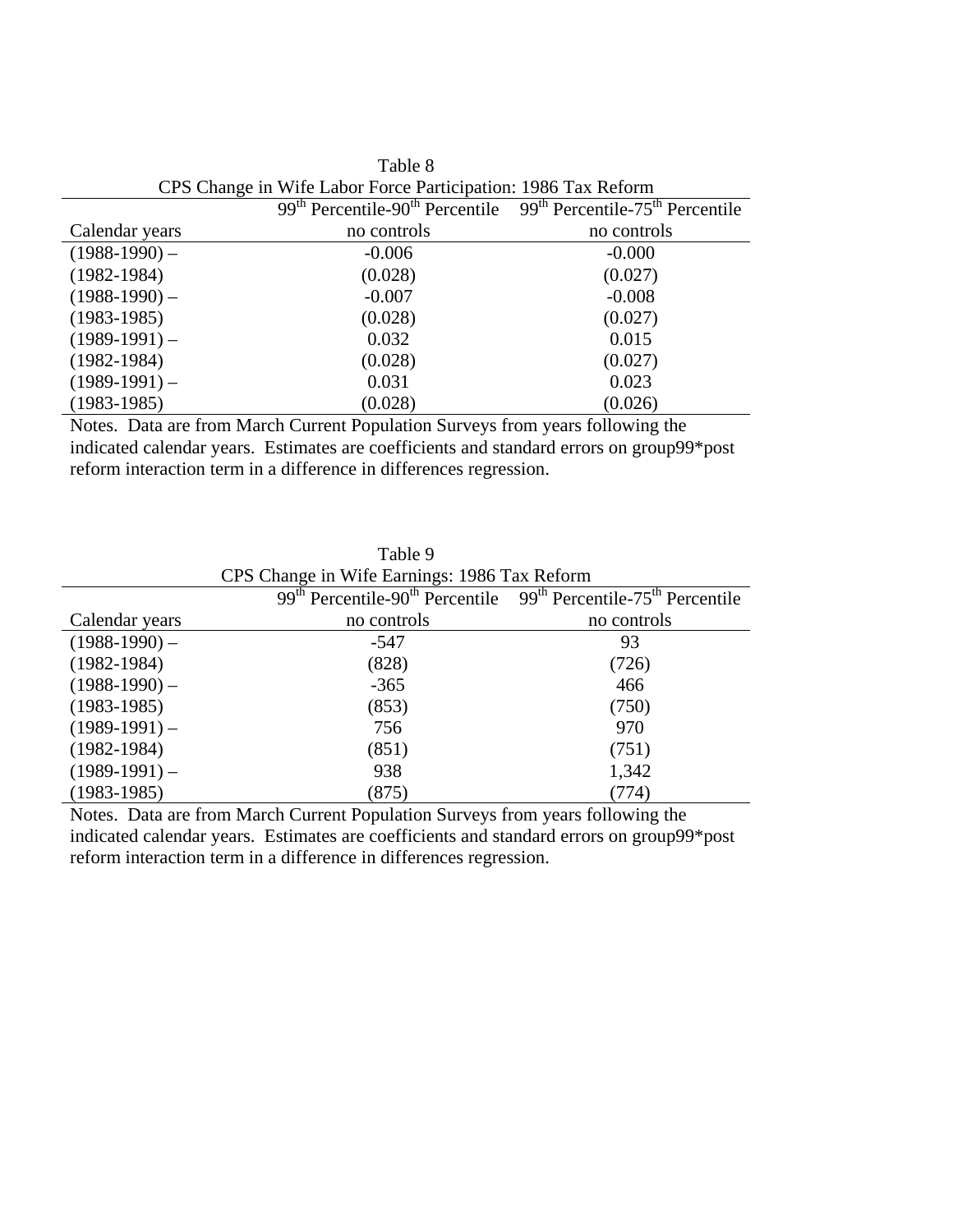| CPS Change in whe Labor Force Participation: 1980 Tax Reform |             |                                                                                             |  |
|--------------------------------------------------------------|-------------|---------------------------------------------------------------------------------------------|--|
|                                                              |             | $99th$ Percentile-90 <sup>th</sup> Percentile $99th$ Percentile-75 <sup>th</sup> Percentile |  |
| Calendar years                                               | no controls | no controls                                                                                 |  |
| $(1988-1990)$ –                                              | $-0.006$    | $-0.000$                                                                                    |  |
| $(1982 - 1984)$                                              | (0.028)     | (0.027)                                                                                     |  |
| $(1988-1990)$ –                                              | $-0.007$    | $-0.008$                                                                                    |  |
| $(1983-1985)$                                                | (0.028)     | (0.027)                                                                                     |  |
| $(1989-1991)$ –                                              | 0.032       | 0.015                                                                                       |  |
| $(1982 - 1984)$                                              | (0.028)     | (0.027)                                                                                     |  |
| $(1989-1991)$ –                                              | 0.031       | 0.023                                                                                       |  |
| $(1983-1985)$                                                | (0.028)     | (0.026)                                                                                     |  |

| Table 8                                                       |  |
|---------------------------------------------------------------|--|
| CPS Change in Wife Labor Force Participation: 1986 Tax Reform |  |

Notes. Data are from March Current Population Surveys from years following the indicated calendar years. Estimates are coefficients and standard errors on group99\*post reform interaction term in a difference in differences regression.

| CPS Change in Wife Earnings: 1986 Tax Reform |             |                                                                                             |  |
|----------------------------------------------|-------------|---------------------------------------------------------------------------------------------|--|
|                                              |             | $99th$ Percentile-90 <sup>th</sup> Percentile $99th$ Percentile-75 <sup>th</sup> Percentile |  |
| Calendar years                               | no controls | no controls                                                                                 |  |
| $(1988-1990)$ –                              | $-547$      | 93                                                                                          |  |
| $(1982 - 1984)$                              | (828)       | (726)                                                                                       |  |
| $(1988-1990)$ –                              | $-365$      | 466                                                                                         |  |
| $(1983-1985)$                                | (853)       | (750)                                                                                       |  |
| $(1989-1991)$ –                              | 756         | 970                                                                                         |  |
| $(1982 - 1984)$                              | (851)       | (751)                                                                                       |  |
| $(1989-1991)$ –                              | 938         | 1,342                                                                                       |  |
| $(1983-1985)$                                | (875)       | (774)                                                                                       |  |

Table 9

Notes. Data are from March Current Population Surveys from years following the indicated calendar years. Estimates are coefficients and standard errors on group99\*post reform interaction term in a difference in differences regression.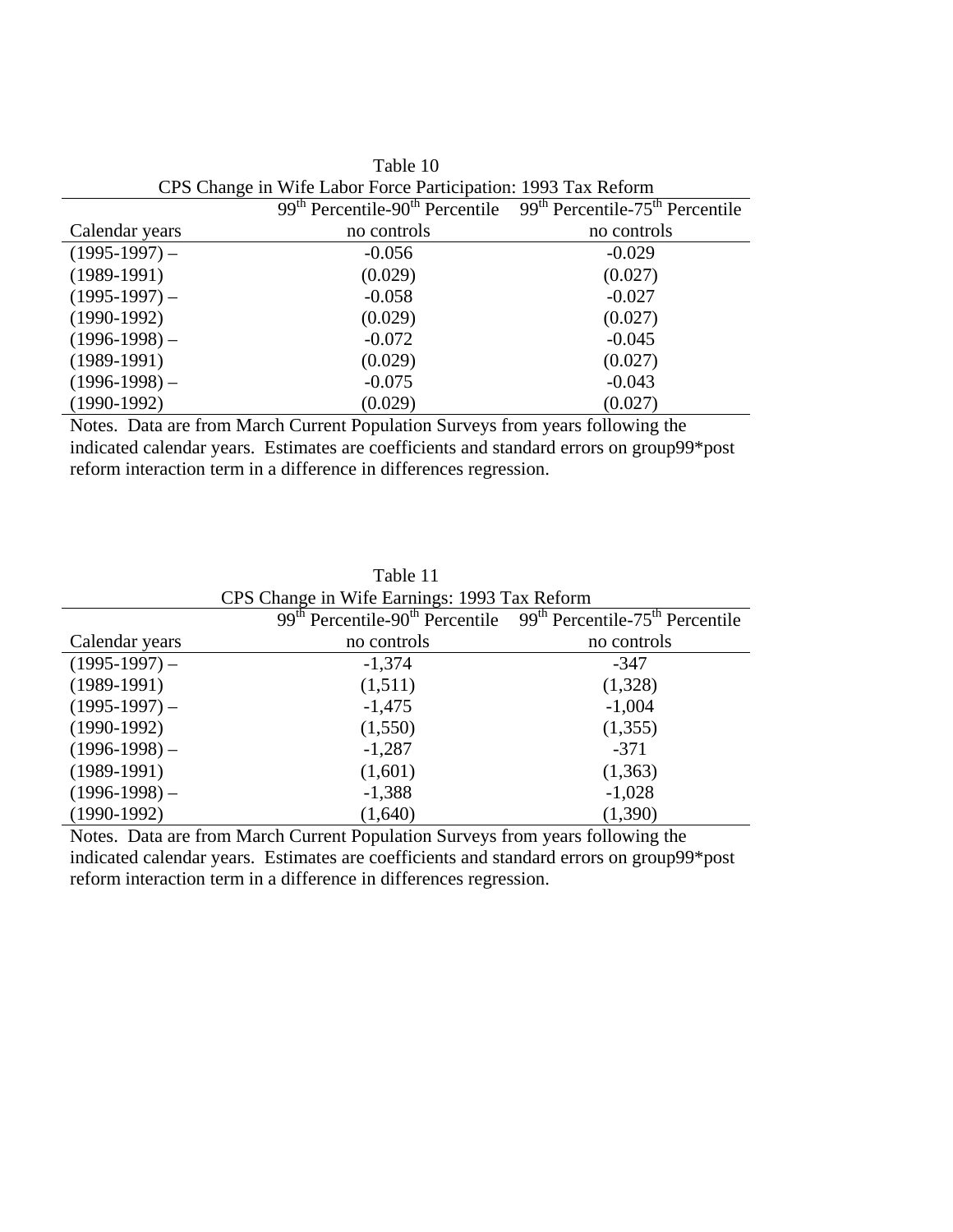| CPS Change in Wife Labor Force Participation: 1993 Tax Reform |             |                                                                                                       |  |
|---------------------------------------------------------------|-------------|-------------------------------------------------------------------------------------------------------|--|
|                                                               |             | $99th$ Percentile-90 <sup>th</sup> Percentile 99 <sup>th</sup> Percentile-75 <sup>th</sup> Percentile |  |
| Calendar years                                                | no controls | no controls                                                                                           |  |
| $(1995-1997)$ –                                               | $-0.056$    | $-0.029$                                                                                              |  |
| $(1989-1991)$                                                 | (0.029)     | (0.027)                                                                                               |  |
| $(1995-1997)$ –                                               | $-0.058$    | $-0.027$                                                                                              |  |
| $(1990-1992)$                                                 | (0.029)     | (0.027)                                                                                               |  |
| $(1996-1998)$ –                                               | $-0.072$    | $-0.045$                                                                                              |  |
| $(1989-1991)$                                                 | (0.029)     | (0.027)                                                                                               |  |
| $(1996-1998)$ –                                               | $-0.075$    | $-0.043$                                                                                              |  |
| $(1990-1992)$                                                 | (0.029)     | (0.027)                                                                                               |  |

Table 10 CPS Change in Wife Labor Force Participation: 1993 Tax Reform

Notes. Data are from March Current Population Surveys from years following the indicated calendar years. Estimates are coefficients and standard errors on group99\*post reform interaction term in a difference in differences regression.

| CPS Change in Wife Earnings: 1993 Tax Reform |             |                                                                                             |  |  |  |  |
|----------------------------------------------|-------------|---------------------------------------------------------------------------------------------|--|--|--|--|
|                                              |             | $99th$ Percentile-90 <sup>th</sup> Percentile $99th$ Percentile-75 <sup>th</sup> Percentile |  |  |  |  |
| Calendar years                               | no controls | no controls                                                                                 |  |  |  |  |
| $(1995-1997)$ –                              | $-1,374$    | $-347$                                                                                      |  |  |  |  |
| $(1989-1991)$                                | (1,511)     | (1,328)                                                                                     |  |  |  |  |
| $(1995-1997)$ –                              | $-1,475$    | $-1,004$                                                                                    |  |  |  |  |
| $(1990-1992)$                                | (1,550)     | (1,355)                                                                                     |  |  |  |  |
| $(1996-1998)$ –                              | $-1,287$    | $-371$                                                                                      |  |  |  |  |
| $(1989-1991)$                                | (1,601)     | (1,363)                                                                                     |  |  |  |  |
| $(1996-1998)$ –                              | $-1,388$    | $-1,028$                                                                                    |  |  |  |  |
| $(1990-1992)$                                | (1,640)     | (1,390)                                                                                     |  |  |  |  |

Table 11

Notes. Data are from March Current Population Surveys from years following the indicated calendar years. Estimates are coefficients and standard errors on group99\*post reform interaction term in a difference in differences regression.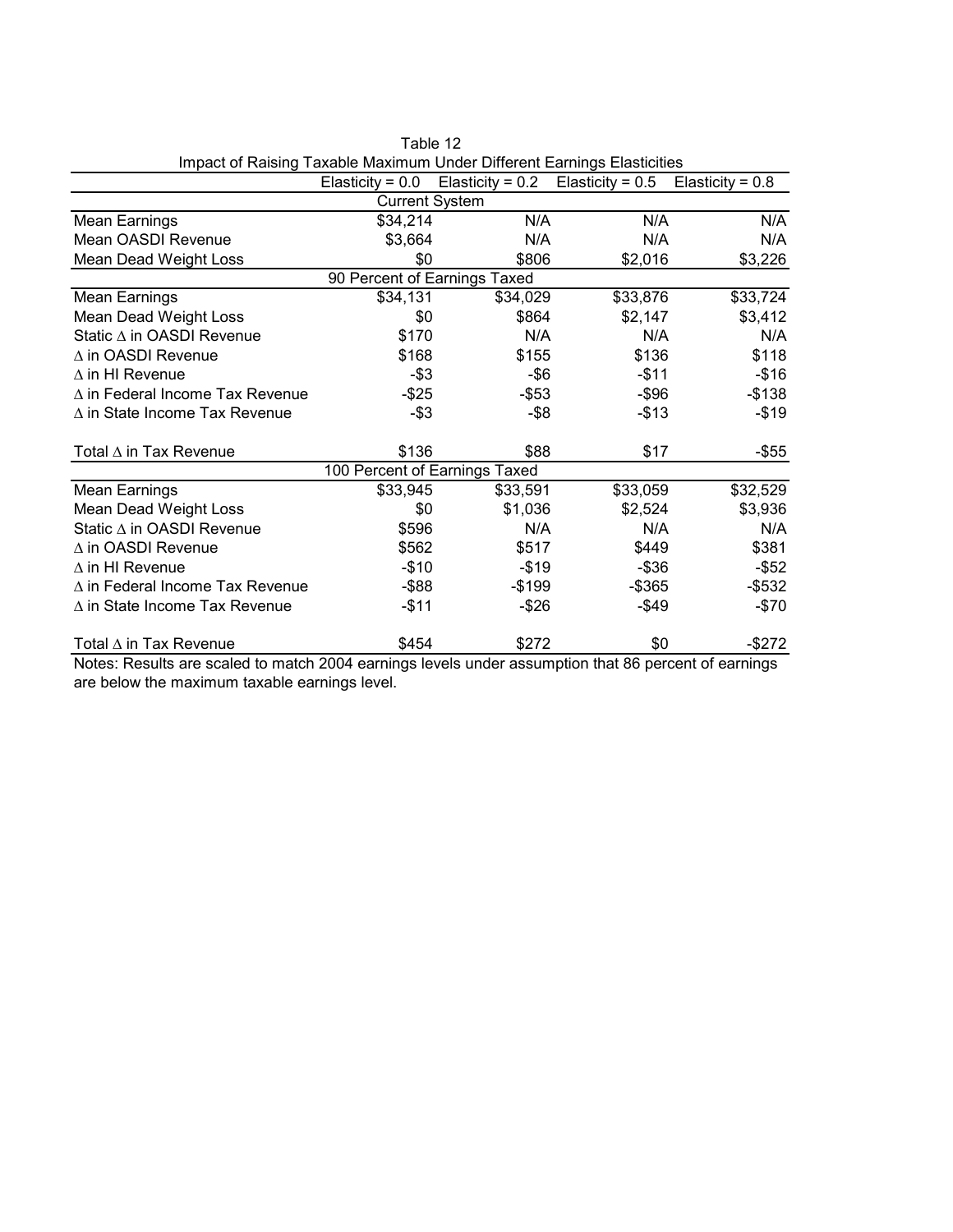| impact or reasing Taxable Maximum Onder Diretent Lamings Liasticities |                              |                       | Elasticity = $0.0$ Elasticity = $0.2$ Elasticity = $0.5$                                                       | Elasticity = $0.8$          |  |  |  |  |
|-----------------------------------------------------------------------|------------------------------|-----------------------|----------------------------------------------------------------------------------------------------------------|-----------------------------|--|--|--|--|
| <b>Current System</b>                                                 |                              |                       |                                                                                                                |                             |  |  |  |  |
| Mean Earnings                                                         | \$34,214                     | N/A                   | N/A                                                                                                            | N/A                         |  |  |  |  |
| Mean OASDI Revenue                                                    | \$3,664                      | N/A                   | N/A                                                                                                            | N/A                         |  |  |  |  |
| Mean Dead Weight Loss                                                 | \$0                          | \$806                 | \$2,016                                                                                                        | \$3,226                     |  |  |  |  |
|                                                                       | 90 Percent of Earnings Taxed |                       |                                                                                                                |                             |  |  |  |  |
| Mean Earnings                                                         | \$34,131                     | \$34,029              | \$33,876                                                                                                       | \$33,724                    |  |  |  |  |
| Mean Dead Weight Loss                                                 | \$0                          | \$864                 | \$2,147                                                                                                        | \$3,412                     |  |  |  |  |
| Static ∆ in OASDI Revenue                                             | \$170                        | N/A                   | N/A                                                                                                            | N/A                         |  |  |  |  |
| $\Delta$ in OASDI Revenue                                             | \$168                        | \$155                 | \$136                                                                                                          | \$118                       |  |  |  |  |
| $\Delta$ in HI Revenue                                                | $-$ \$3                      | $-$ \$6               | $-$11$                                                                                                         | $-$16$                      |  |  |  |  |
| $\Delta$ in Federal Income Tax Revenue                                | $-$ \$25                     | $-$ \$53              | $-$ \$96                                                                                                       | $-$ \$138                   |  |  |  |  |
| $\Delta$ in State Income Tax Revenue                                  | $-$ \$3                      | $-$ \$8               | $-$ \$13                                                                                                       | $-$19$                      |  |  |  |  |
| Total $\Delta$ in Tax Revenue                                         | \$136                        | \$88                  | \$17                                                                                                           | -\$55                       |  |  |  |  |
| 100 Percent of Earnings Taxed                                         |                              |                       |                                                                                                                |                             |  |  |  |  |
| <b>Mean Earnings</b>                                                  | \$33,945                     | \$33,591              | \$33,059                                                                                                       | \$32,529                    |  |  |  |  |
| Mean Dead Weight Loss                                                 | \$0                          | \$1,036               | \$2,524                                                                                                        | \$3,936                     |  |  |  |  |
| Static ∆ in OASDI Revenue                                             | \$596                        | N/A                   | N/A                                                                                                            | N/A                         |  |  |  |  |
| $\Delta$ in OASDI Revenue                                             | \$562                        | \$517                 | \$449                                                                                                          | \$381                       |  |  |  |  |
| $\Delta$ in HI Revenue                                                | $-$10$                       | $-$19$                | $-$ \$36                                                                                                       | $-$ \$52                    |  |  |  |  |
| $\Delta$ in Federal Income Tax Revenue                                | $-$ \$88                     | $-$199$               | $-$ \$365                                                                                                      | $-$ \$532                   |  |  |  |  |
| $\Delta$ in State Income Tax Revenue                                  | $-$11$                       | $-$ \$26              | $-$ \$49                                                                                                       | $-$70$                      |  |  |  |  |
| Total $\Delta$ in Tax Revenue<br>المقالم والمرورة<br>$N = 1 - 1 - 1$  | \$454<br>$-1 - k$ 000 $4$    | \$272<br>الملمن بمالم | \$0<br>$\mathbf{A}$ $\mathbf{A}$ $\mathbf{A}$ $\mathbf{A}$ $\mathbf{A}$ $\mathbf{A}$ $\mathbf{A}$ $\mathbf{A}$ | $-$ \$272<br>$\overline{f}$ |  |  |  |  |

Table 12 Impact of Raising Taxable Maximum Under Different Earnings Elasticities

Notes: Results are scaled to match 2004 earnings levels under assumption that 86 percent of earnings are below the maximum taxable earnings level.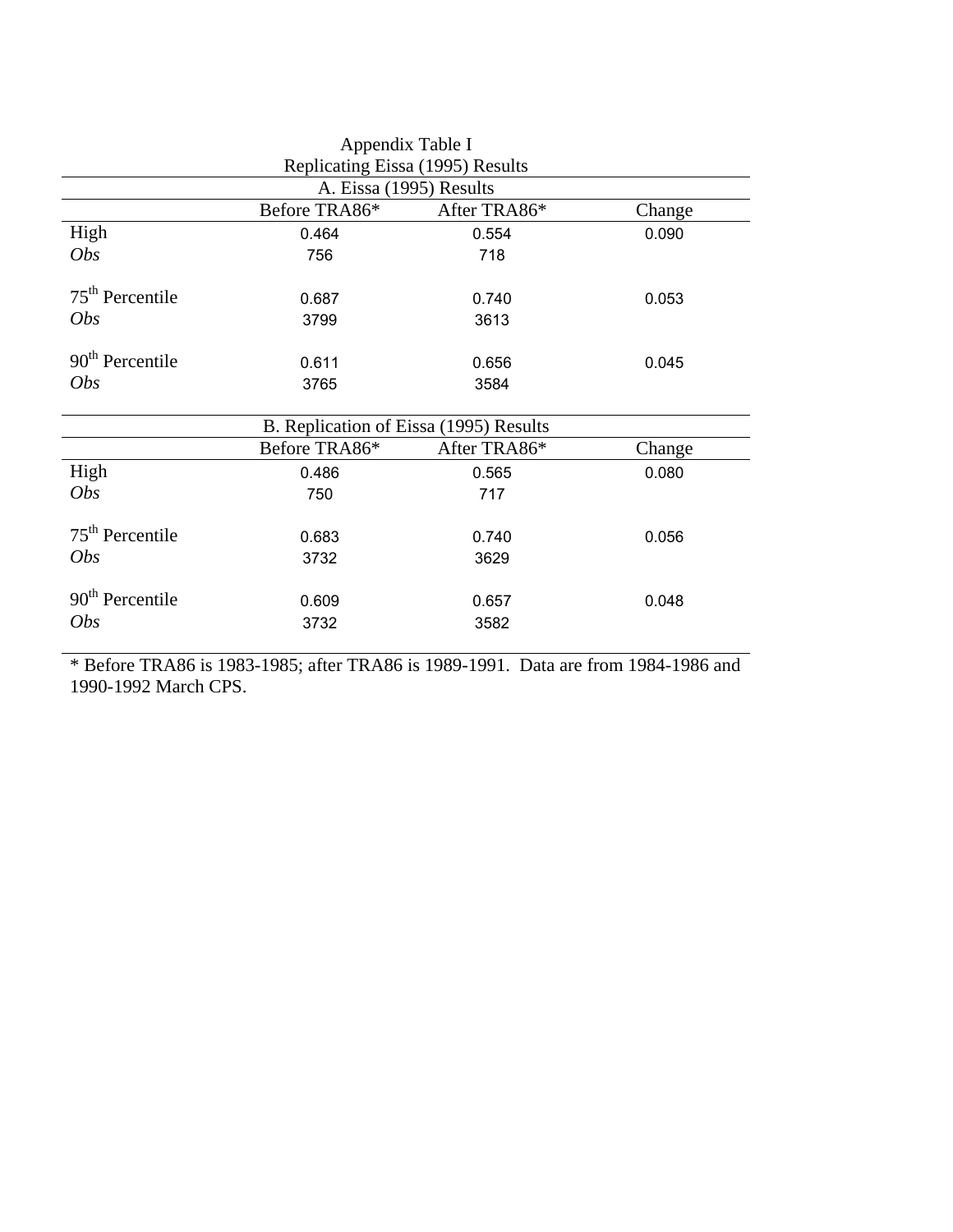|                   | Appendix Table I                       |              |        |
|-------------------|----------------------------------------|--------------|--------|
|                   | Replicating Eissa (1995) Results       |              |        |
|                   | A. Eissa (1995) Results                |              |        |
|                   | Before TRA86*                          | After TRA86* | Change |
| High              | 0.464                                  | 0.554        | 0.090  |
| <i>Obs</i>        | 756                                    | 718          |        |
| $75th$ Percentile | 0.687                                  | 0.740        | 0.053  |
| <i>Obs</i>        | 3799                                   | 3613         |        |
| $90th$ Percentile | 0.611                                  | 0.656        | 0.045  |
| <i>Obs</i>        | 3765                                   | 3584         |        |
|                   | B. Replication of Eissa (1995) Results |              |        |
|                   | Before TRA86*                          | After TRA86* | Change |
| High              | 0.486                                  | 0.565        | 0.080  |
| <i>Obs</i>        | 750                                    | 717          |        |
| $75th$ Percentile | 0.683                                  | 0.740        | 0.056  |
| <i>Obs</i>        | 3732                                   | 3629         |        |
| $90th$ Percentile | 0.609                                  | 0.657        | 0.048  |
| <i>Obs</i>        | 3732                                   | 3582         |        |
|                   |                                        |              |        |

\* Before TRA86 is 1983-1985; after TRA86 is 1989-1991. Data are from 1984-1986 and 1990-1992 March CPS.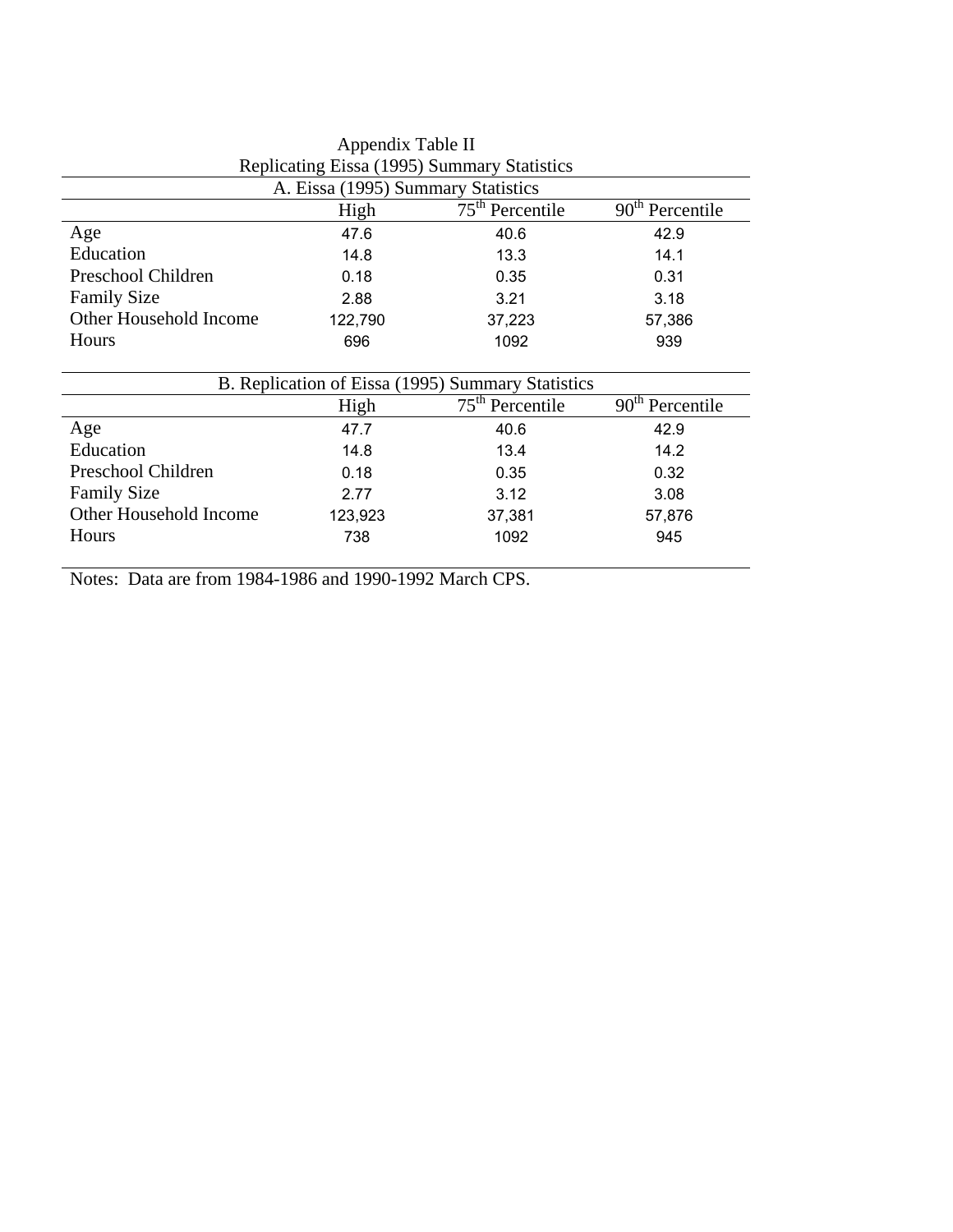| Appendix Table II                                        |         |                                                   |        |  |  |  |  |
|----------------------------------------------------------|---------|---------------------------------------------------|--------|--|--|--|--|
| Replicating Eissa (1995) Summary Statistics              |         |                                                   |        |  |  |  |  |
| A. Eissa (1995) Summary Statistics                       |         |                                                   |        |  |  |  |  |
| $75th$ Percentile<br>$90th$ Percentile<br>High           |         |                                                   |        |  |  |  |  |
| Age                                                      | 47.6    | 40.6                                              | 42.9   |  |  |  |  |
| Education                                                | 14.8    | 13.3                                              | 14.1   |  |  |  |  |
| Preschool Children                                       | 0.18    | 0.35                                              | 0.31   |  |  |  |  |
| <b>Family Size</b>                                       | 2.88    | 3.21                                              | 3.18   |  |  |  |  |
| Other Household Income                                   | 122,790 | 37,223                                            | 57,386 |  |  |  |  |
| Hours                                                    | 696     | 1092                                              | 939    |  |  |  |  |
|                                                          |         | B. Replication of Eissa (1995) Summary Statistics |        |  |  |  |  |
| $75th$ Percentile<br>90 <sup>th</sup> Percentile<br>High |         |                                                   |        |  |  |  |  |
| Age                                                      | 47.7    | 40.6                                              | 42.9   |  |  |  |  |
| Education                                                | 14.8    | 13.4                                              | 14.2   |  |  |  |  |
| Preschool Children                                       | 0.18    | 0.35                                              | 0.32   |  |  |  |  |
| <b>Family Size</b>                                       | 2.77    | 3.12                                              | 3.08   |  |  |  |  |
| Other Household Income                                   | 123,923 | 37,381                                            | 57,876 |  |  |  |  |
| <b>Hours</b>                                             | 738     | 1092                                              | 945    |  |  |  |  |

Notes: Data are from 1984-1986 and 1990-1992 March CPS.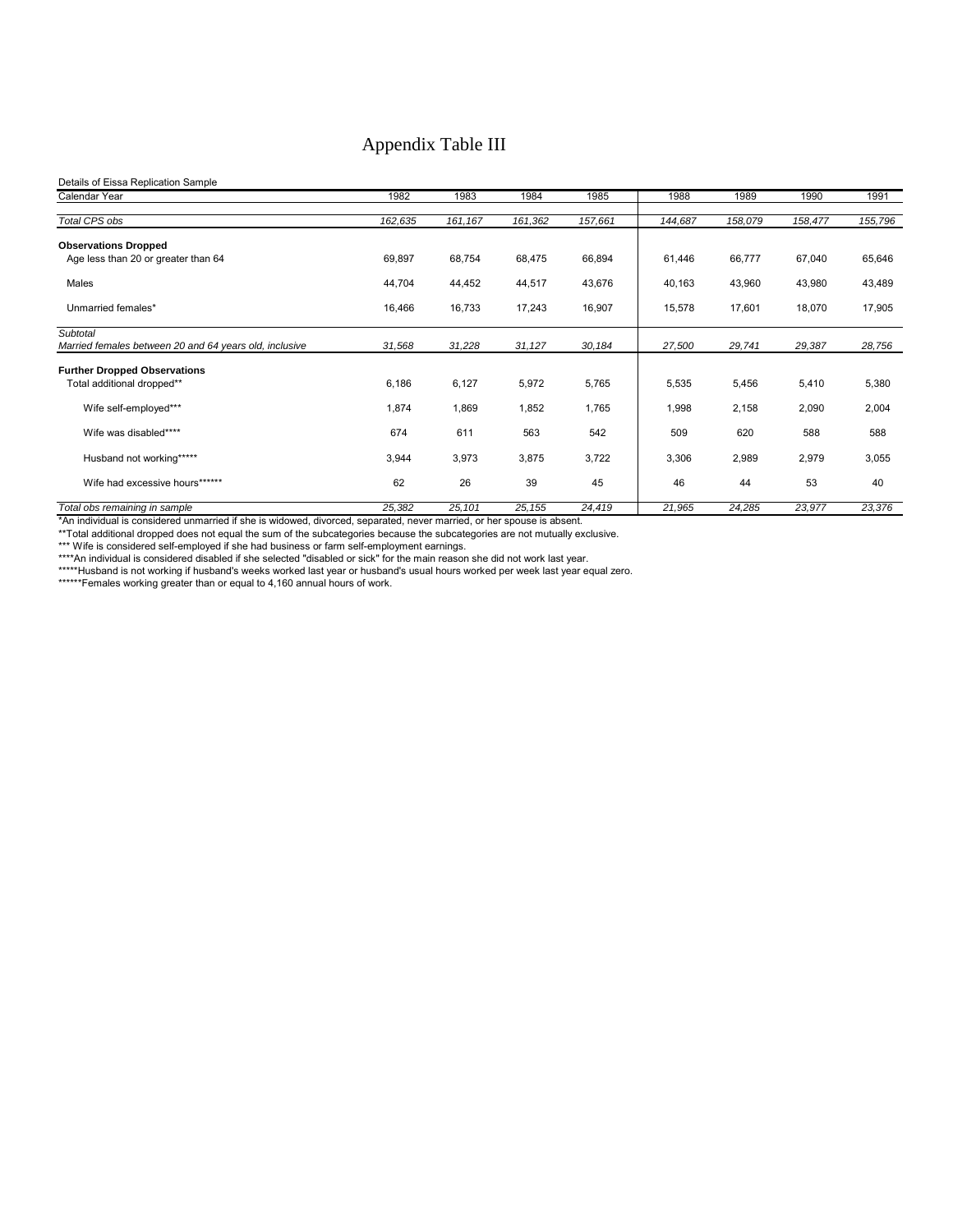# Appendix Table III

#### Details of Eissa Replication Sample

| Calendar Year                                                      | 1982    | 1983     | 1984    | 1985    | 1988    | 1989    | 1990    | 1991    |
|--------------------------------------------------------------------|---------|----------|---------|---------|---------|---------|---------|---------|
| <b>Total CPS obs</b>                                               | 162,635 | 161, 167 | 161,362 | 157,661 | 144,687 | 158,079 | 158,477 | 155,796 |
| <b>Observations Dropped</b><br>Age less than 20 or greater than 64 | 69,897  | 68,754   | 68,475  | 66,894  | 61,446  | 66,777  | 67,040  | 65,646  |
| Males                                                              | 44,704  | 44,452   | 44,517  | 43,676  | 40,163  | 43,960  | 43,980  | 43,489  |
| Unmarried females*                                                 | 16,466  | 16,733   | 17,243  | 16,907  | 15,578  | 17,601  | 18,070  | 17,905  |
| Subtotal<br>Married females between 20 and 64 years old, inclusive | 31,568  | 31,228   | 31,127  | 30,184  | 27,500  | 29,741  | 29,387  | 28,756  |
| <b>Further Dropped Observations</b>                                |         |          |         |         |         |         |         |         |
| Total additional dropped**                                         | 6,186   | 6,127    | 5,972   | 5,765   | 5,535   | 5,456   | 5,410   | 5,380   |
| Wife self-employed***                                              | 1,874   | 1,869    | 1,852   | 1,765   | 1,998   | 2,158   | 2,090   | 2,004   |
| Wife was disabled****                                              | 674     | 611      | 563     | 542     | 509     | 620     | 588     | 588     |
| Husband not working*****                                           | 3,944   | 3,973    | 3,875   | 3,722   | 3,306   | 2,989   | 2,979   | 3,055   |
| Wife had excessive hours******                                     | 62      | 26       | 39      | 45      | 46      | 44      | 53      | 40      |
| Total obs remaining in sample                                      | 25,382  | 25,101   | 25,155  | 24,419  | 21,965  | 24,285  | 23,977  | 23,376  |

\*An individual is considered unmarried if she is widowed, divorced, separated, never married, or her spouse is absent.

\*\*Total additional dropped does not equal the sum of the subcategories because the subcategories are not mutually exclusive.

\*\*\* Wife is considered self-employed if she had business or farm self-employment earnings.

\*\*\*\*An individual is considered disabled if she selected "disabled or sick" for the main reason she did not work last year.

\*\*\*\*\*Husband is not working if husband's weeks worked last year or husband's usual hours worked per week last year equal zero. \*\*\*\*\*\*Females working greater than or equal to 4,160 annual hours of work.